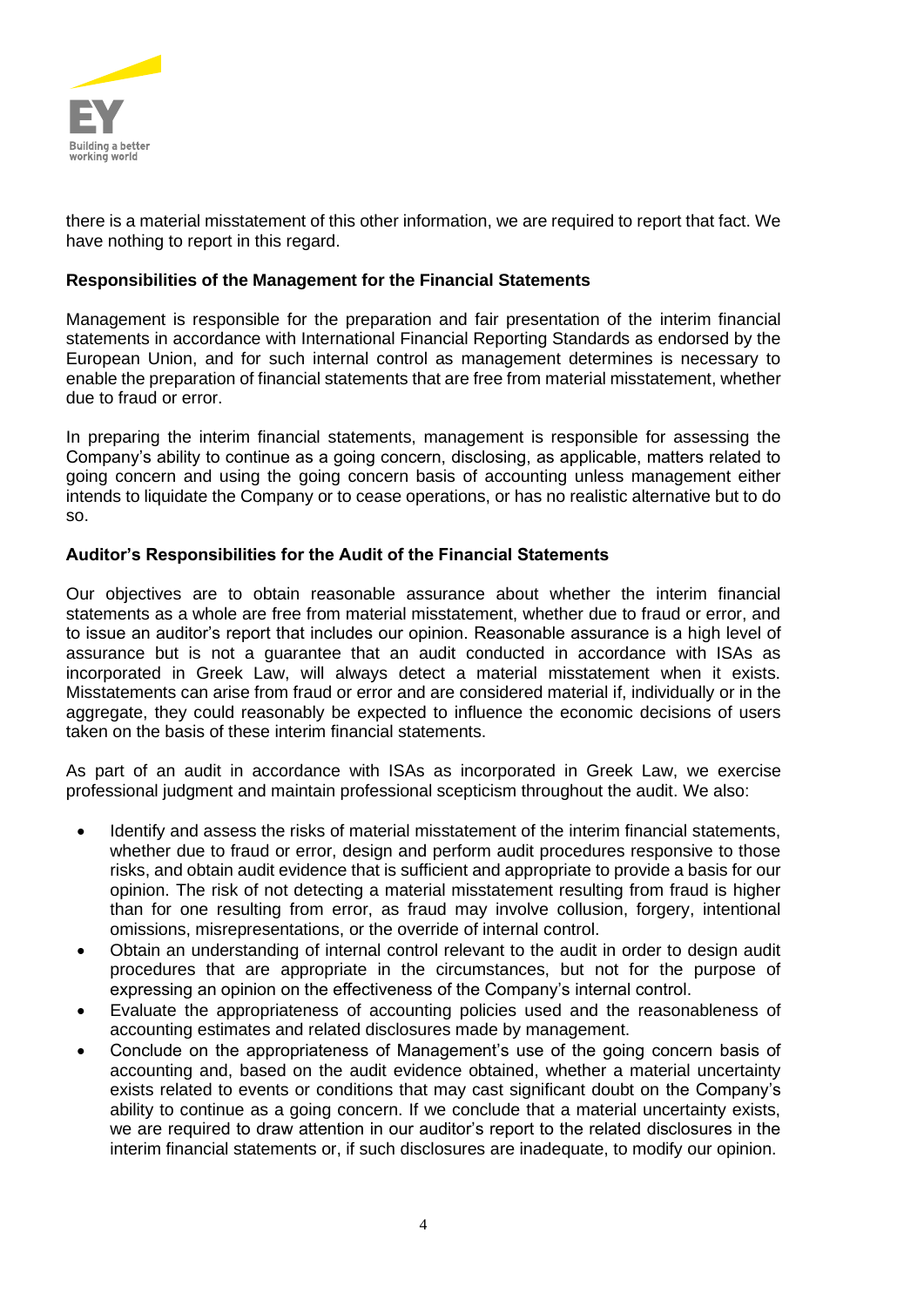

there is a material misstatement of this other information, we are required to report that fact. We have nothing to report in this regard.

#### **Responsibilities of the Management for the Financial Statements**

Management is responsible for the preparation and fair presentation of the interim financial statements in accordance with International Financial Reporting Standards as endorsed by the European Union, and for such internal control as management determines is necessary to enable the preparation of financial statements that are free from material misstatement, whether due to fraud or error.

In preparing the interim financial statements, management is responsible for assessing the Company's ability to continue as a going concern, disclosing, as applicable, matters related to going concern and using the going concern basis of accounting unless management either intends to liquidate the Company or to cease operations, or has no realistic alternative but to do so.

#### **Auditor's Responsibilities for the Audit of the Financial Statements**

Our objectives are to obtain reasonable assurance about whether the interim financial statements as a whole are free from material misstatement, whether due to fraud or error, and to issue an auditor's report that includes our opinion. Reasonable assurance is a high level of assurance but is not a guarantee that an audit conducted in accordance with ISAs as incorporated in Greek Law, will always detect a material misstatement when it exists. Misstatements can arise from fraud or error and are considered material if, individually or in the aggregate, they could reasonably be expected to influence the economic decisions of users taken on the basis of these interim financial statements.

As part of an audit in accordance with ISAs as incorporated in Greek Law, we exercise professional judgment and maintain professional scepticism throughout the audit. We also:

- Identify and assess the risks of material misstatement of the interim financial statements, whether due to fraud or error, design and perform audit procedures responsive to those risks, and obtain audit evidence that is sufficient and appropriate to provide a basis for our opinion. The risk of not detecting a material misstatement resulting from fraud is higher than for one resulting from error, as fraud may involve collusion, forgery, intentional omissions, misrepresentations, or the override of internal control.
- Obtain an understanding of internal control relevant to the audit in order to design audit procedures that are appropriate in the circumstances, but not for the purpose of expressing an opinion on the effectiveness of the Company's internal control.
- Evaluate the appropriateness of accounting policies used and the reasonableness of accounting estimates and related disclosures made by management.
- Conclude on the appropriateness of Management's use of the going concern basis of accounting and, based on the audit evidence obtained, whether a material uncertainty exists related to events or conditions that may cast significant doubt on the Company's ability to continue as a going concern. If we conclude that a material uncertainty exists, we are required to draw attention in our auditor's report to the related disclosures in the interim financial statements or, if such disclosures are inadequate, to modify our opinion.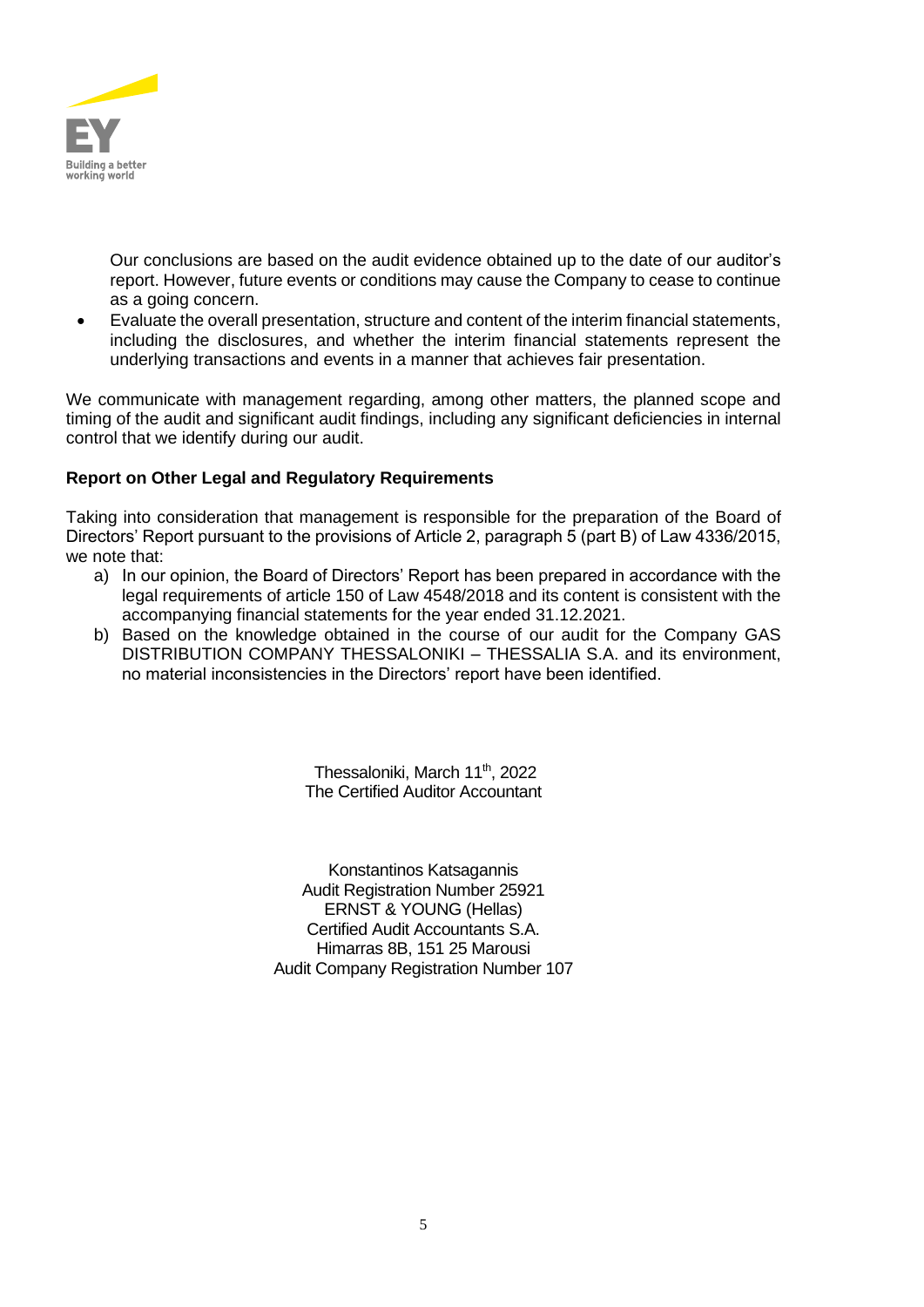

Our conclusions are based on the audit evidence obtained up to the date of our auditor's report. However, future events or conditions may cause the Company to cease to continue as a going concern.

• Evaluate the overall presentation, structure and content of the interim financial statements, including the disclosures, and whether the interim financial statements represent the underlying transactions and events in a manner that achieves fair presentation.

We communicate with management regarding, among other matters, the planned scope and timing of the audit and significant audit findings, including any significant deficiencies in internal control that we identify during our audit.

# **Report on Other Legal and Regulatory Requirements**

Taking into consideration that management is responsible for the preparation of the Board of Directors' Report pursuant to the provisions of Article 2, paragraph 5 (part B) of Law 4336/2015, we note that:

- a) In our opinion, the Board of Directors' Report has been prepared in accordance with the legal requirements of article 150 of Law 4548/2018 and its content is consistent with the accompanying financial statements for the year ended 31.12.2021.
- b) Based on the knowledge obtained in the course of our audit for the Company GAS DISTRIBUTION COMPANY THESSALONIKI – THESSALIA S.A. and its environment, no material inconsistencies in the Directors' report have been identified.

Thessaloniki, March 11<sup>th</sup>, 2022 The Certified Auditor Accountant

Konstantinos Katsagannis Audit Registration Number 25921 ERNST & YOUNG (Hellas) Certified Audit Accountants S.A. Himarras 8B, 151 25 Marousi Audit Company Registration Number 107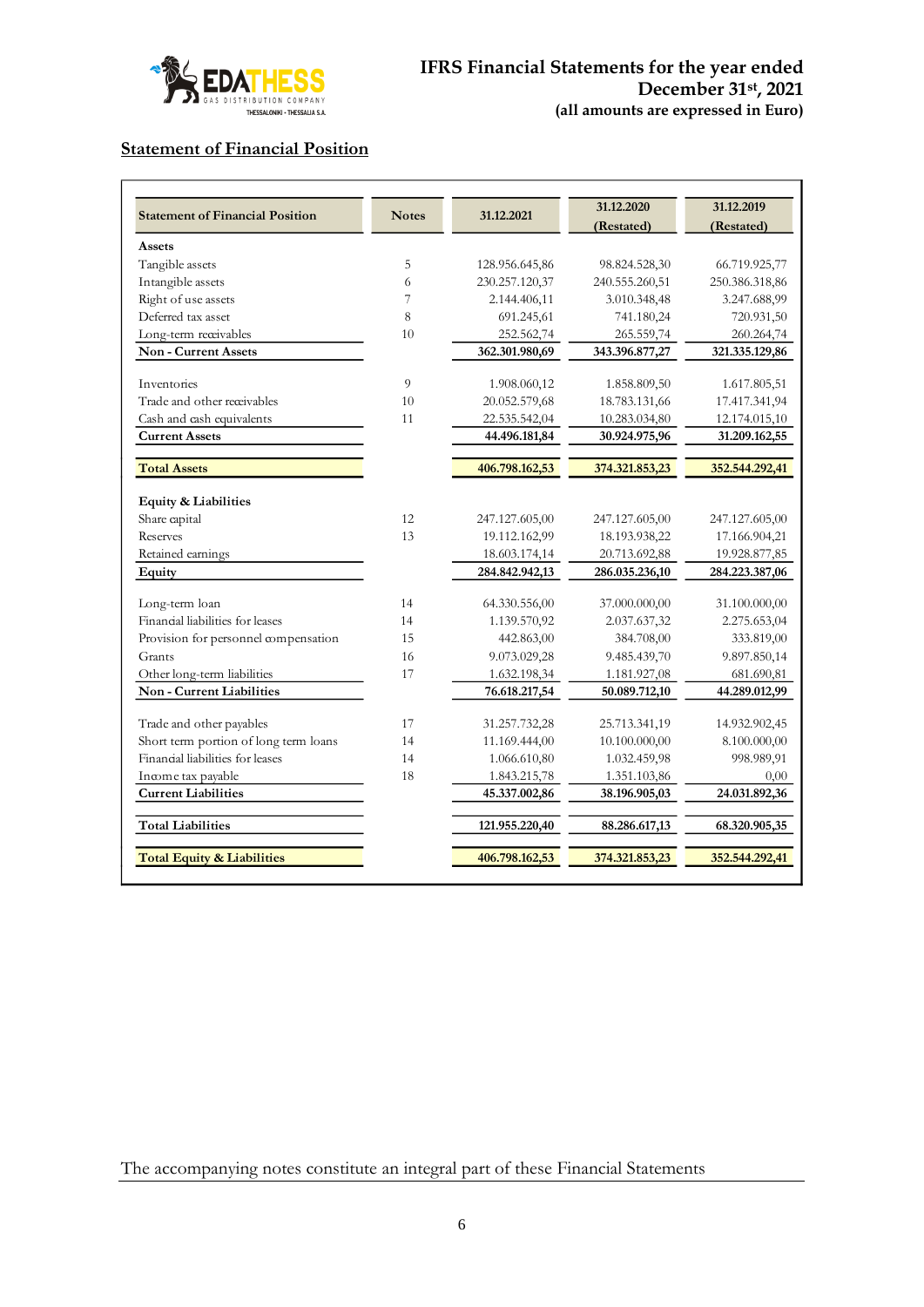

# **Statement of Financial Position**

| <b>Statement of Financial Position</b> | <b>Notes</b> | 31.12.2021     | 31.12.2020<br>(Restated) | 31.12.2019<br>(Restated) |
|----------------------------------------|--------------|----------------|--------------------------|--------------------------|
| Assets                                 |              |                |                          |                          |
| Tangible assets                        | 5            | 128.956.645,86 | 98.824.528,30            | 66.719.925,77            |
| Intangible assets                      | 6            | 230.257.120,37 | 240.555.260,51           | 250.386.318,86           |
| Right of use assets                    | 7            | 2.144.406,11   | 3.010.348,48             | 3.247.688,99             |
| Deferred tax asset                     | 8            | 691.245,61     | 741.180,24               | 720.931,50               |
| Long-term receivables                  | 10           | 252.562,74     | 265.559,74               | 260.264,74               |
| Non - Current Assets                   |              | 362.301.980,69 | 343.396.877,27           | 321.335.129,86           |
|                                        |              |                |                          |                          |
| Inventories                            | 9            | 1.908.060,12   | 1.858.809,50             | 1.617.805,51             |
| Trade and other receivables            | 10           | 20.052.579,68  | 18.783.131,66            | 17.417.341,94            |
| Cash and cash equivalents              | 11           | 22.535.542,04  | 10.283.034,80            | 12.174.015,10            |
| <b>Current Assets</b>                  |              | 44.496.181,84  | 30.924.975,96            | 31.209.162,55            |
| <b>Total Assets</b>                    |              | 406.798.162,53 | 374.321.853,23           | 352.544.292,41           |
| Equity & Liabilities                   |              |                |                          |                          |
| Share capital                          | 12           | 247.127.605,00 | 247.127.605,00           | 247.127.605,00           |
| Reserves                               | 13           | 19.112.162,99  | 18.193.938,22            | 17.166.904,21            |
| Retained earnings                      |              | 18.603.174,14  | 20.713.692,88            | 19.928.877,85            |
| Equity                                 |              | 284.842.942,13 | 286.035.236,10           | 284.223.387,06           |
| Long-term loan                         | 14           | 64.330.556,00  | 37.000.000,00            | 31.100.000,00            |
| Financial liabilities for leases       | 14           | 1.139.570,92   | 2.037.637,32             | 2.275.653,04             |
| Provision for personnel compensation   | 15           | 442.863,00     | 384.708,00               | 333.819,00               |
| Grants                                 | 16           | 9.073.029,28   | 9.485.439,70             | 9.897.850,14             |
| Other long-term liabilities            | 17           | 1.632.198,34   | 1.181.927,08             | 681.690,81               |
| Non - Current Liabilities              |              | 76.618.217,54  | 50.089.712,10            | 44.289.012,99            |
| Trade and other payables               | 17           | 31.257.732,28  | 25.713.341,19            | 14.932.902,45            |
| Short term portion of long term loans  | 14           | 11.169.444,00  | 10.100.000,00            | 8.100.000,00             |
| Financial liabilities for leases       | 14           | 1.066.610,80   | 1.032.459,98             | 998.989,91               |
| Income tax payable                     | 18           | 1.843.215,78   | 1.351.103,86             | 0,00                     |
| <b>Current Liabilities</b>             |              | 45.337.002,86  | 38.196.905,03            | 24.031.892,36            |
| <b>Total Liabilities</b>               |              | 121.955.220,40 | 88.286.617,13            | 68.320.905,35            |
| <b>Total Equity &amp; Liabilities</b>  |              | 406.798.162,53 | 374.321.853,23           | 352.544.292,41           |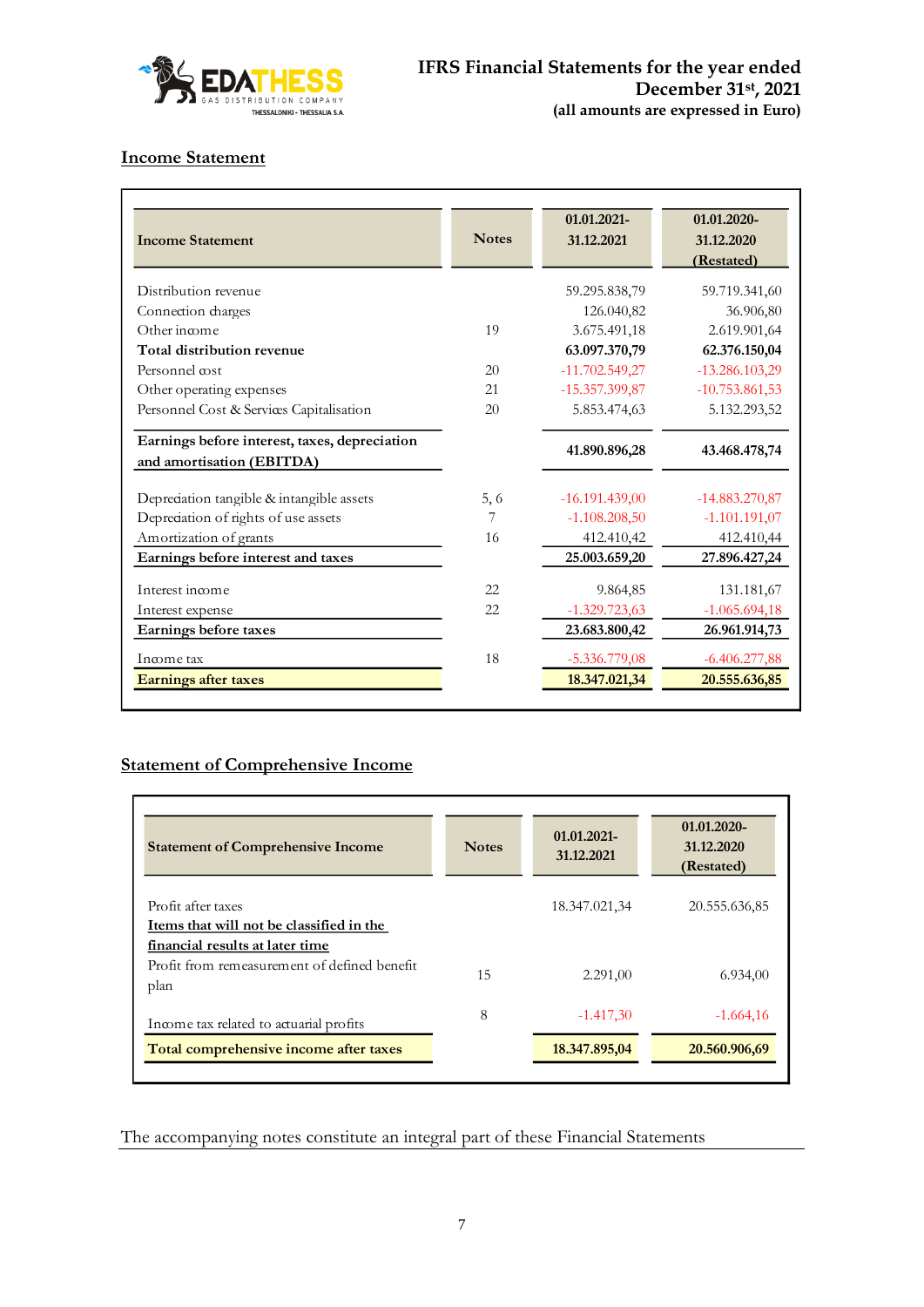

# **Income Statement**

| <b>Income Statement</b>                                                    | <b>Notes</b> | 01.01.2021-<br>31.12.2021 | 01.01.2020-<br>31.12.2020<br>(Restated) |
|----------------------------------------------------------------------------|--------------|---------------------------|-----------------------------------------|
| Distribution revenue                                                       |              | 59.295.838,79             | 59.719.341,60                           |
| Connection charges                                                         |              | 126.040,82                | 36.906,80                               |
| Other income                                                               | 19           | 3.675.491,18              | 2.619.901,64                            |
| Total distribution revenue                                                 |              | 63.097.370,79             | 62.376.150,04                           |
| Personnel cost                                                             | 20           | $-11.702.549,27$          | $-13.286.103,29$                        |
| Other operating expenses                                                   | 21           | $-15.357.399,87$          | $-10.753.861,53$                        |
| Personnel Cost & Services Capitalisation                                   | 20           | 5.853.474,63              | 5.132.293,52                            |
| Earnings before interest, taxes, depreciation<br>and amortisation (EBITDA) |              | 41.890.896,28             | 43.468.478,74                           |
| Depreciation tangible & intangible assets                                  | 5.6          | $-16.191.439,00$          | $-14.883.270.87$                        |
| Depredation of rights of use assets                                        | 7            | $-1.108.208,50$           | $-1.101.191,07$                         |
| Amortization of grants                                                     | 16           | 412.410,42                | 412.410,44                              |
| Earnings before interest and taxes                                         |              | 25.003.659,20             | 27.896.427,24                           |
| Interest income                                                            | 22           | 9.864,85                  | 131.181,67                              |
| Interest expense                                                           | 22           | $-1.329.723,63$           | $-1.065.694,18$                         |
| Earnings before taxes                                                      |              | 23.683.800,42             | 26.961.914,73                           |
| Income tax                                                                 | 18           | $-5.336.779,08$           | $-6.406.277,88$                         |
| <b>Earnings after taxes</b>                                                |              | 18.347.021,34             | 20.555.636,85                           |

# **Statement of Comprehensive Income**

| <b>Statement of Comprehensive Income</b>                                                | <b>Notes</b> | 01.01.2021-<br>31.12.2021 | 01.01.2020-<br>31.12.2020<br>(Restated) |
|-----------------------------------------------------------------------------------------|--------------|---------------------------|-----------------------------------------|
| Profit after taxes<br>Items that will not be classified in the                          |              | 18.347.021,34             | 20.555.636,85                           |
| financial results at later time<br>Profit from remeasurement of defined benefit<br>plan | 15           | 2.291,00                  | 6.934,00                                |
| Income tax related to actuarial profits                                                 | 8            | $-1.417,30$               | $-1.664,16$                             |
| Total comprehensive income after taxes                                                  |              | 18.347.895,04             | 20.560.906,69                           |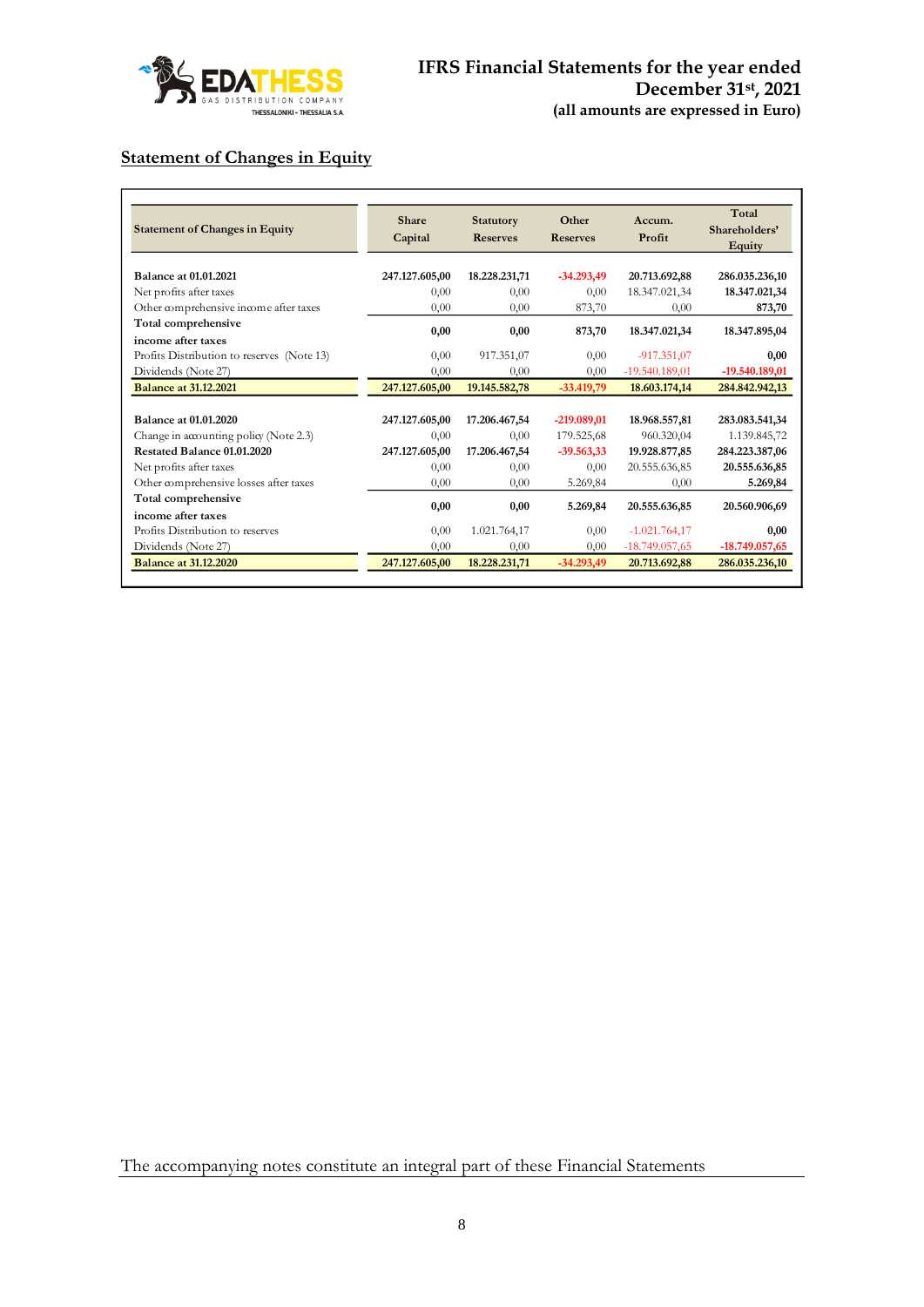

# **Statement of Changes in Equity**

| <b>Statement of Changes in Equity</b>      | <b>Share</b><br>Capital | <b>Statutory</b><br><b>Reserves</b> | Other<br><b>Reserves</b> | Accum.<br>Profit | Total<br>Shareholders'<br>Equity |
|--------------------------------------------|-------------------------|-------------------------------------|--------------------------|------------------|----------------------------------|
| <b>Balance at 01.01.2021</b>               | 247.127.605,00          | 18.228.231,71                       | $-34.293,49$             | 20.713.692,88    | 286.035.236,10                   |
| Net profits after taxes                    | 0.00                    | 0,00                                | 0,00                     | 18.347.021,34    | 18.347.021,34                    |
| Other comprehensive income after taxes     | 0.00                    | 0.00                                | 873,70                   | 0.00             | 873,70                           |
| Total comprehensive                        |                         |                                     |                          |                  |                                  |
| income after taxes                         | 0,00                    | 0.00                                | 873,70                   | 18.347.021,34    | 18.347.895,04                    |
| Profits Distribution to reserves (Note 13) | 0,00                    | 917.351,07                          | 0,00                     | $-917.351,07$    | 0.00                             |
| Dividends (Note 27)                        | 0,00                    | 0,00                                | 0,00                     | $-19.540.189,01$ | $-19.540.189,01$                 |
| <b>Balance at 31.12.2021</b>               | 247.127.605,00          | 19.145.582,78                       | $-33.419,79$             | 18.603.174.14    | 284.842.942,13                   |
|                                            |                         |                                     |                          |                  |                                  |
| Balance at 01.01.2020                      | 247.127.605,00          | 17.206.467,54                       | $-219.089,01$            | 18.968.557,81    | 283.083.541,34                   |
| Change in accounting policy (Note 2.3)     | 0,00                    | 0,00                                | 179.525,68               | 960.320,04       | 1.139.845,72                     |
| Restated Balance 01.01.2020                | 247.127.605.00          | 17.206.467.54                       | $-39.563,33$             | 19.928.877,85    | 284.223.387,06                   |
| Net profits after taxes                    | 0,00                    | 0,00                                | 0,00                     | 20.555.636,85    | 20.555.636,85                    |
| Other comprehensive losses after taxes     | 0,00                    | 0,00                                | 5.269,84                 | 0,00             | 5.269,84                         |
| Total comprehensive                        |                         |                                     |                          |                  |                                  |
| income after taxes                         | 0,00                    | 0,00                                | 5.269,84                 | 20.555.636,85    | 20.560.906,69                    |
| Profits Distribution to reserves           | 0,00                    | 1.021.764,17                        | 0,00                     | $-1.021.764,17$  | 0,00                             |
| Dividends (Note 27)                        | 0.00                    | 0.00                                | 0.00                     | $-18.749.057,65$ | $-18.749.057,65$                 |
| <b>Balance at 31.12.2020</b>               | 247.127.605,00          | 18.228.231,71                       | $-34.293.49$             | 20.713.692,88    | 286.035.236,10                   |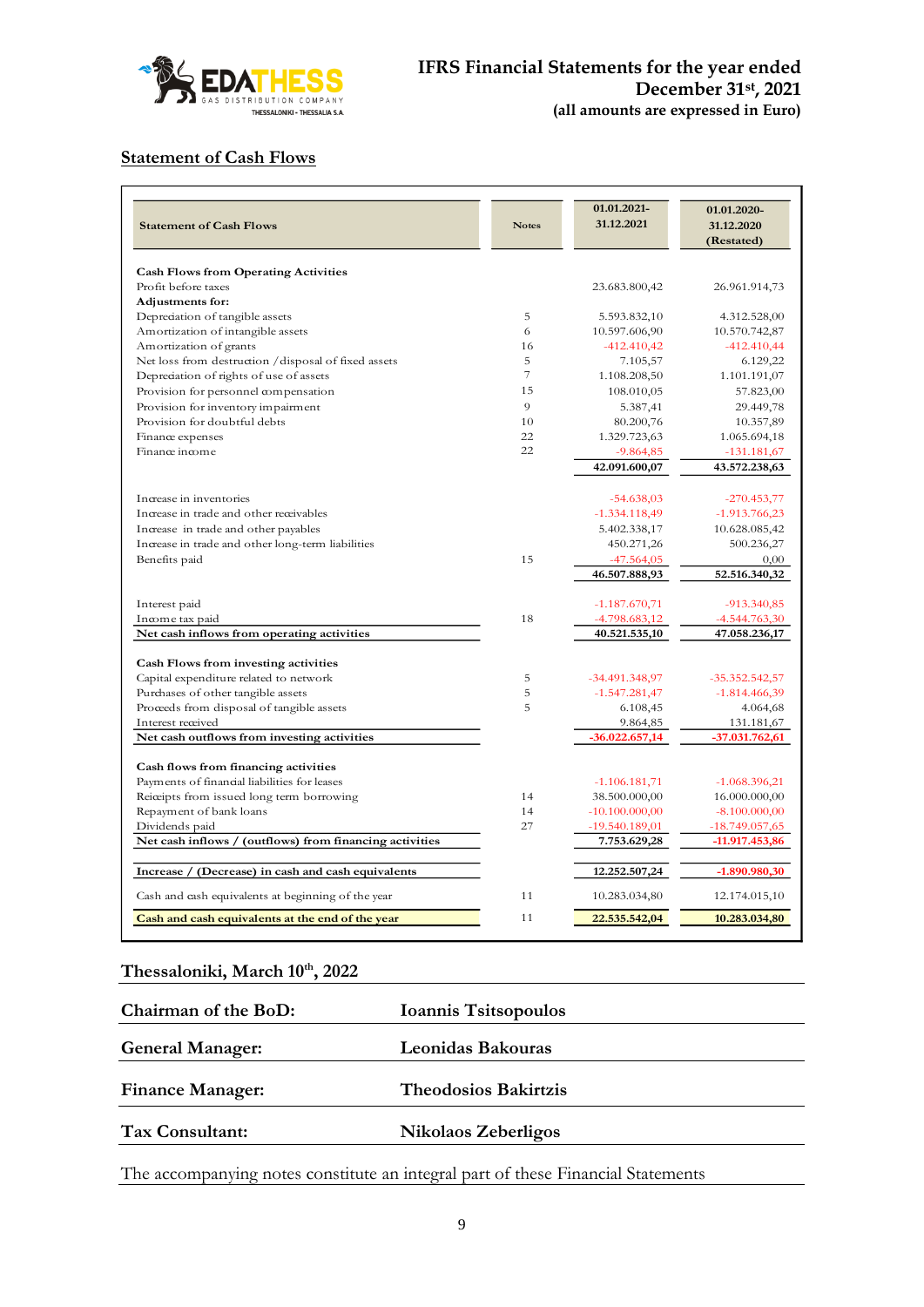

# **Statement of Cash Flows**

| <b>Statement of Cash Flows</b>                          | <b>Notes</b> | 01.01.2021-<br>31.12.2021            | 01.01.2020-<br>31.12.2020<br>(Restated) |
|---------------------------------------------------------|--------------|--------------------------------------|-----------------------------------------|
| <b>Cash Flows from Operating Activities</b>             |              |                                      |                                         |
| Profit before taxes                                     |              | 23.683.800,42                        | 26.961.914,73                           |
| Adjustments for:                                        |              |                                      |                                         |
| Depredation of tangible assets                          | 5            | 5.593.832,10                         | 4.312.528,00                            |
| Amortization of intangible assets                       | 6            | 10.597.606,90                        | 10.570.742,87                           |
| Amortization of grants                                  | 16           | $-412.410,42$                        | $-412.410,44$                           |
| Net loss from destruction / disposal of fixed assets    | 5            | 7.105,57                             | 6.129,22                                |
| Depreciation of rights of use of assets                 | 7            | 1.108.208,50                         | 1.101.191,07                            |
| Provision for personnel compensation                    | 15           | 108.010,05                           | 57.823,00                               |
| Provision for inventory impairment                      | 9            | 5.387,41                             | 29.449,78                               |
| Provision for doubtful debts                            | 10           | 80.200,76                            | 10.357,89                               |
| Finance expenses                                        | 22           | 1.329.723,63                         | 1.065.694,18                            |
| Finance income                                          | 22           | $-9.864,85$                          | $-131.181,67$                           |
|                                                         |              | 42.091.600,07                        | 43.572.238,63                           |
|                                                         |              |                                      |                                         |
| Increase in inventories                                 |              | $-54.638,03$                         | $-270.453,77$                           |
| Increase in trade and other receivables                 |              | $-1.334.118,49$                      | $-1.913.766,23$                         |
| Increase in trade and other payables                    |              | 5.402.338,17                         | 10.628.085,42                           |
| Increase in trade and other long-term liabilities       |              | 450.271,26                           | 500.236,27                              |
| Benefits paid                                           | 15           | $-47.564,05$                         | 0,00                                    |
|                                                         |              | 46.507.888,93                        | 52.516.340,32                           |
| Interest paid                                           |              | $-1.187.670,71$                      | $-913.340.85$                           |
| Income tax paid                                         | 18           | $-4.798.683,12$                      | $-4.544.763,30$                         |
| Net cash inflows from operating activities              |              | 40.521.535,10                        | 47.058.236,17                           |
| Cash Flows from investing activities                    |              |                                      |                                         |
| Capital expenditure related to network                  | 5            | $-34.491.348.97$                     | $-35.352.542,57$                        |
| Purchases of other tangible assets                      | 5            | $-1.547.281,47$                      | $-1.814.466,39$                         |
| Proceeds from disposal of tangible assets               | 5            | 6.108,45                             | 4.064,68                                |
| Interest received                                       |              | 9.864,85                             | 131.181,67                              |
| Net cash outflows from investing activities             |              | $-36.022.657,14$                     | $-37.031.762,61$                        |
|                                                         |              |                                      |                                         |
| Cash flows from financing activities                    |              |                                      |                                         |
| Payments of financial liabilities for leases            |              | $-1.106.181,71$                      | $-1.068.396,21$                         |
| Reiceipts from issued long term borrowing               | 14<br>14     | 38.500.000,00                        | 16.000.000,00                           |
| Repayment of bank loans                                 | 27           | $-10.100.000,00$<br>$-19.540.189,01$ | $-8.100.000,00$<br>$-18.749.057,65$     |
| Dividends paid                                          |              |                                      |                                         |
| Net cash inflows / (outflows) from financing activities |              | 7.753.629,28                         | $-11.917.453,86$                        |
| Increase /<br>(Decrease) in cash and cash equivalents   |              | 12.252.507,24                        | $-1.890.980,30$                         |
| Cash and cash equivalents at beginning of the year      | 11           | 10.283.034,80                        | 12.174.015,10                           |
| Cash and cash equivalents at the end of the year        | 11           | 22.535.542,04                        | 10.283.034,80                           |

# **Thessaloniki, March 10th , 2022**

| Chairman of the BoD:    | Ioannis Tsitsopoulos        |  |
|-------------------------|-----------------------------|--|
| <b>General Manager:</b> | Leonidas Bakouras           |  |
| <b>Finance Manager:</b> | <b>Theodosios Bakirtzis</b> |  |
| Tax Consultant:         | Nikolaos Zeberligos         |  |
|                         |                             |  |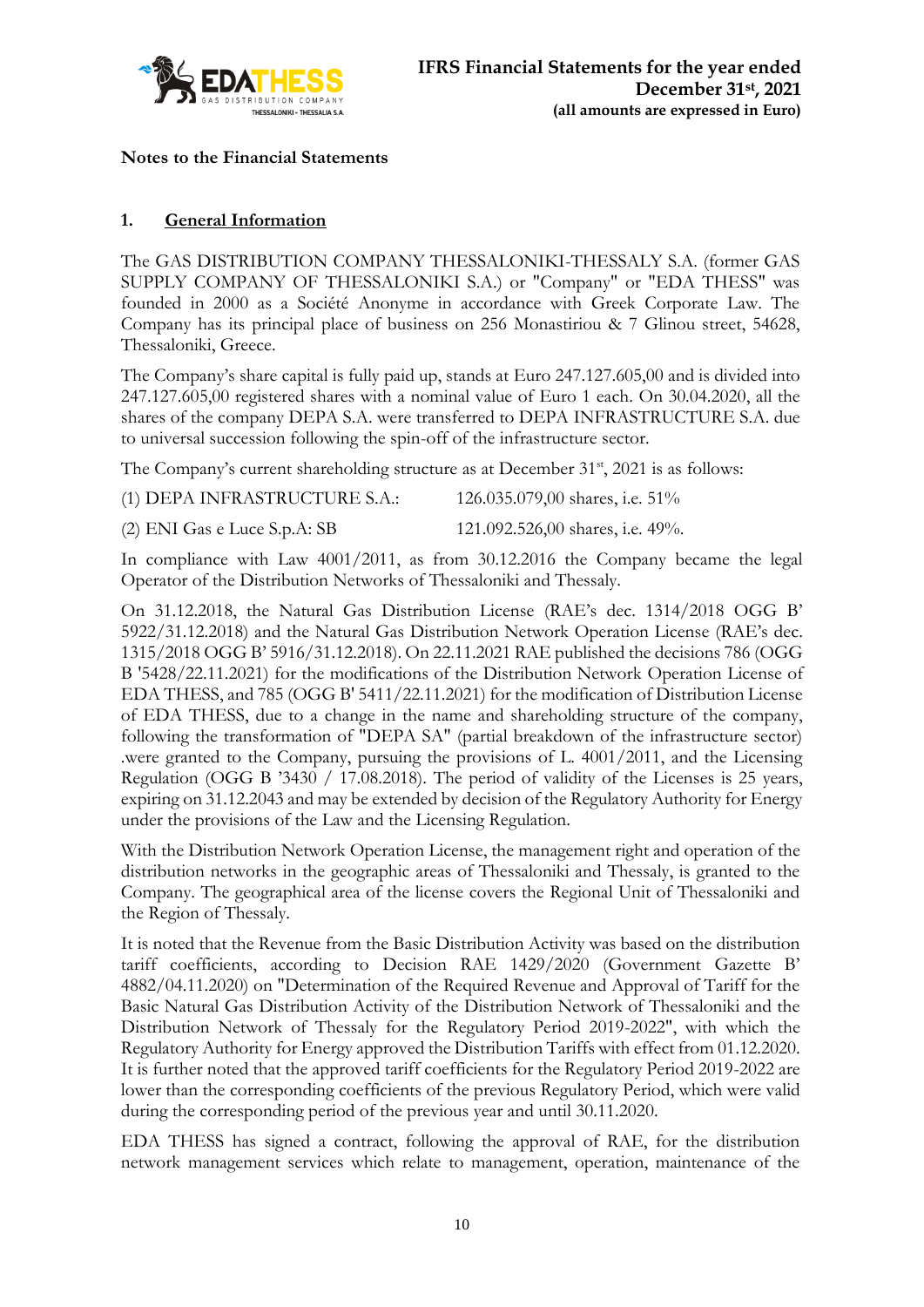

**Notes to the Financial Statements**

# **1. General Information**

The GAS DISTRIBUTION COMPANY THESSALONIKI-THESSALY S.A. (former GAS SUPPLY COMPANY OF THESSALONIKI S.A.) or "Company" or "EDA THESS" was founded in 2000 as a Société Anonyme in accordance with Greek Corporate Law. The Company has its principal place of business on 256 Monastiriou & 7 Glinou street, 54628, Thessaloniki, Greece.

The Company's share capital is fully paid up, stands at Euro 247.127.605,00 and is divided into 247.127.605,00 registered shares with a nominal value of Euro 1 each. On 30.04.2020, all the shares of the company DEPA S.A. were transferred to DEPA INFRASTRUCTURE S.A. due to universal succession following the spin-off of the infrastructure sector.

The Company's current shareholding structure as at December  $31<sup>st</sup>$ , 2021 is as follows:

(2) ENI Gas e Luce S.p.A: SB 121.092.526,00 shares, i.e. 49%.

In compliance with Law 4001/2011, as from 30.12.2016 the Company became the legal Operator of the Distribution Networks of Thessaloniki and Thessaly.

On 31.12.2018, the Natural Gas Distribution License (RAE's dec. 1314/2018 OGG B' 5922/31.12.2018) and the Natural Gas Distribution Network Operation License (RAE's dec. 1315/2018 OGG B' 5916/31.12.2018). On 22.11.2021 RAE published the decisions 786 (OGG B '5428/22.11.2021) for the modifications of the Distribution Network Operation License of EDA THESS, and 785 (OGG B' 5411/22.11.2021) for the modification of Distribution License of EDA THESS, due to a change in the name and shareholding structure of the company, following the transformation of "DEPA SA" (partial breakdown of the infrastructure sector) .were granted to the Company, pursuing the provisions of L. 4001/2011, and the Licensing Regulation (OGG B '3430 / 17.08.2018). The period of validity of the Licenses is 25 years, expiring on 31.12.2043 and may be extended by decision of the Regulatory Authority for Energy under the provisions of the Law and the Licensing Regulation.

With the Distribution Network Operation License, the management right and operation of the distribution networks in the geographic areas of Thessaloniki and Thessaly, is granted to the Company. The geographical area of the license covers the Regional Unit of Thessaloniki and the Region of Thessaly.

It is noted that the Revenue from the Basic Distribution Activity was based on the distribution tariff coefficients, according to Decision RAE 1429/2020 (Government Gazette B' 4882/04.11.2020) on "Determination of the Required Revenue and Approval of Tariff for the Basic Natural Gas Distribution Activity of the Distribution Network of Thessaloniki and the Distribution Network of Thessaly for the Regulatory Period 2019-2022", with which the Regulatory Authority for Energy approved the Distribution Tariffs with effect from 01.12.2020. It is further noted that the approved tariff coefficients for the Regulatory Period 2019-2022 are lower than the corresponding coefficients of the previous Regulatory Period, which were valid during the corresponding period of the previous year and until 30.11.2020.

EDA THESS has signed a contract, following the approval of RAE, for the distribution network management services which relate to management, operation, maintenance of the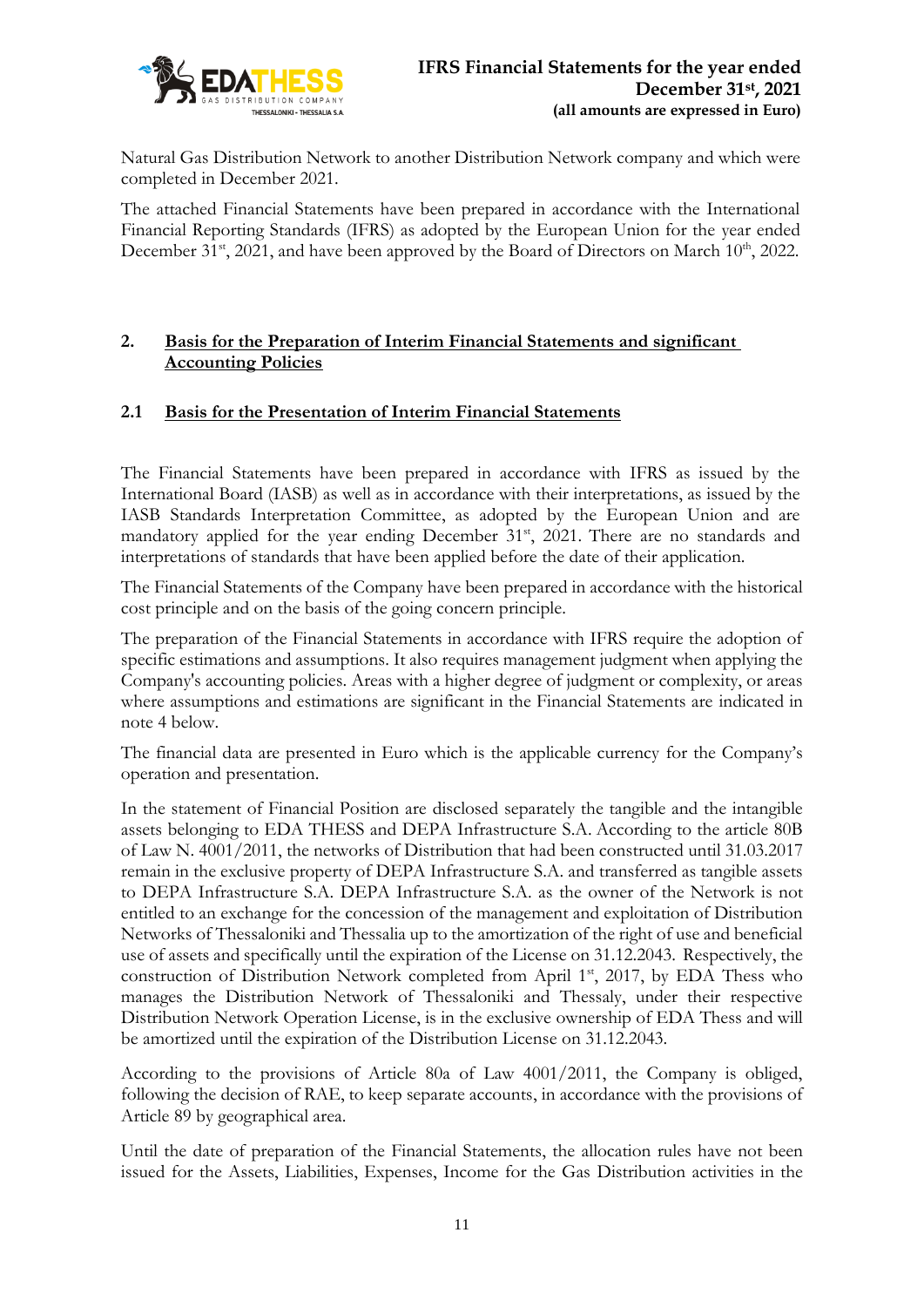

Natural Gas Distribution Network to another Distribution Network company and which were completed in December 2021.

The attached Financial Statements have been prepared in accordance with the International Financial Reporting Standards (IFRS) as adopted by the European Union for the year ended December 31<sup>st</sup>, 2021, and have been approved by the Board of Directors on March  $10^{\text{th}}$ , 2022.

### **2. Basis for the Preparation of Interim Financial Statements and significant Accounting Policies**

# **2.1 Basis for the Presentation of Interim Financial Statements**

The Financial Statements have been prepared in accordance with IFRS as issued by the International Board (IASB) as well as in accordance with their interpretations, as issued by the IASB Standards Interpretation Committee, as adopted by the European Union and are mandatory applied for the year ending December 31<sup>st</sup>, 2021. There are no standards and interpretations of standards that have been applied before the date of their application.

The Financial Statements of the Company have been prepared in accordance with the historical cost principle and on the basis of the going concern principle.

The preparation of the Financial Statements in accordance with IFRS require the adoption of specific estimations and assumptions. It also requires management judgment when applying the Company's accounting policies. Areas with a higher degree of judgment or complexity, or areas where assumptions and estimations are significant in the Financial Statements are indicated in note 4 below.

The financial data are presented in Euro which is the applicable currency for the Company's operation and presentation.

In the statement of Financial Position are disclosed separately the tangible and the intangible assets belonging to EDA THESS and DEPA Infrastructure S.A. According to the article 80B of Law N. 4001/2011, the networks of Distribution that had been constructed until 31.03.2017 remain in the exclusive property of DEPA Infrastructure S.A. and transferred as tangible assets to DEPA Infrastructure S.A. DEPA Infrastructure S.A. as the owner of the Network is not entitled to an exchange for the concession of the management and exploitation of Distribution Networks of Thessaloniki and Thessalia up to the amortization of the right of use and beneficial use of assets and specifically until the expiration of the License on 31.12.2043. Respectively, the construction of Distribution Network completed from April  $1<sup>st</sup>$ , 2017, by EDA Thess who manages the Distribution Network of Thessaloniki and Thessaly, under their respective Distribution Network Operation License, is in the exclusive ownership of EDA Thess and will be amortized until the expiration of the Distribution License on 31.12.2043.

According to the provisions of Article 80a of Law 4001/2011, the Company is obliged, following the decision of RAE, to keep separate accounts, in accordance with the provisions of Article 89 by geographical area.

Until the date of preparation of the Financial Statements, the allocation rules have not been issued for the Assets, Liabilities, Expenses, Income for the Gas Distribution activities in the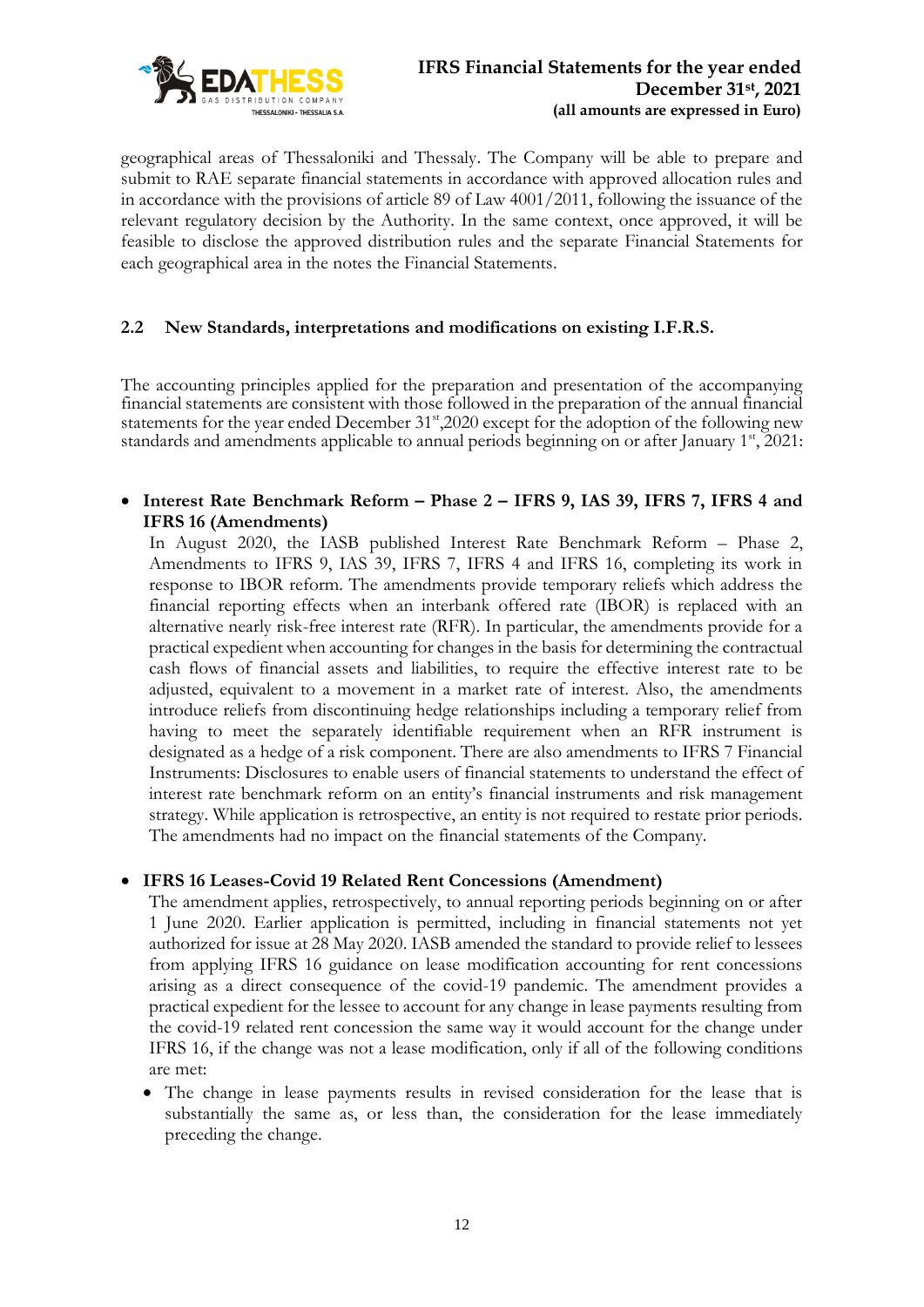

geographical areas of Thessaloniki and Thessaly. The Company will be able to prepare and submit to RAE separate financial statements in accordance with approved allocation rules and in accordance with the provisions of article 89 of Law 4001/2011, following the issuance of the relevant regulatory decision by the Authority. In the same context, once approved, it will be feasible to disclose the approved distribution rules and the separate Financial Statements for each geographical area in the notes the Financial Statements.

# **2.2 New Standards, interpretations and modifications on existing I.F.R.S.**

The accounting principles applied for the preparation and presentation of the accompanying financial statements are consistent with those followed in the preparation of the annual financial statements for the year ended December 31<sup>st</sup>,2020 except for the adoption of the following new standards and amendments applicable to annual periods beginning on or after January 1<sup>st</sup>, 2021:

• **Interest Rate Benchmark Reform – Phase 2 – IFRS 9, IAS 39, IFRS 7, IFRS 4 and IFRS 16 (Amendments)**

In August 2020, the IASB published Interest Rate Benchmark Reform – Phase 2, Amendments to IFRS 9, IAS 39, IFRS 7, IFRS 4 and IFRS 16, completing its work in response to IBOR reform. The amendments provide temporary reliefs which address the financial reporting effects when an interbank offered rate (IBOR) is replaced with an alternative nearly risk-free interest rate (RFR). In particular, the amendments provide for a practical expedient when accounting for changes in the basis for determining the contractual cash flows of financial assets and liabilities, to require the effective interest rate to be adjusted, equivalent to a movement in a market rate of interest. Also, the amendments introduce reliefs from discontinuing hedge relationships including a temporary relief from having to meet the separately identifiable requirement when an RFR instrument is designated as a hedge of a risk component. There are also amendments to IFRS 7 Financial Instruments: Disclosures to enable users of financial statements to understand the effect of interest rate benchmark reform on an entity's financial instruments and risk management strategy. While application is retrospective, an entity is not required to restate prior periods. The amendments had no impact on the financial statements of the Company.

### • **IFRS 16 Leases-Cοvid 19 Related Rent Concessions (Amendment)**

The amendment applies, retrospectively, to annual reporting periods beginning on or after 1 June 2020. Earlier application is permitted, including in financial statements not yet authorized for issue at 28 May 2020. IASB amended the standard to provide relief to lessees from applying IFRS 16 guidance on lease modification accounting for rent concessions arising as a direct consequence of the covid-19 pandemic. The amendment provides a practical expedient for the lessee to account for any change in lease payments resulting from the covid-19 related rent concession the same way it would account for the change under IFRS 16, if the change was not a lease modification, only if all of the following conditions are met:

• The change in lease payments results in revised consideration for the lease that is substantially the same as, or less than, the consideration for the lease immediately preceding the change.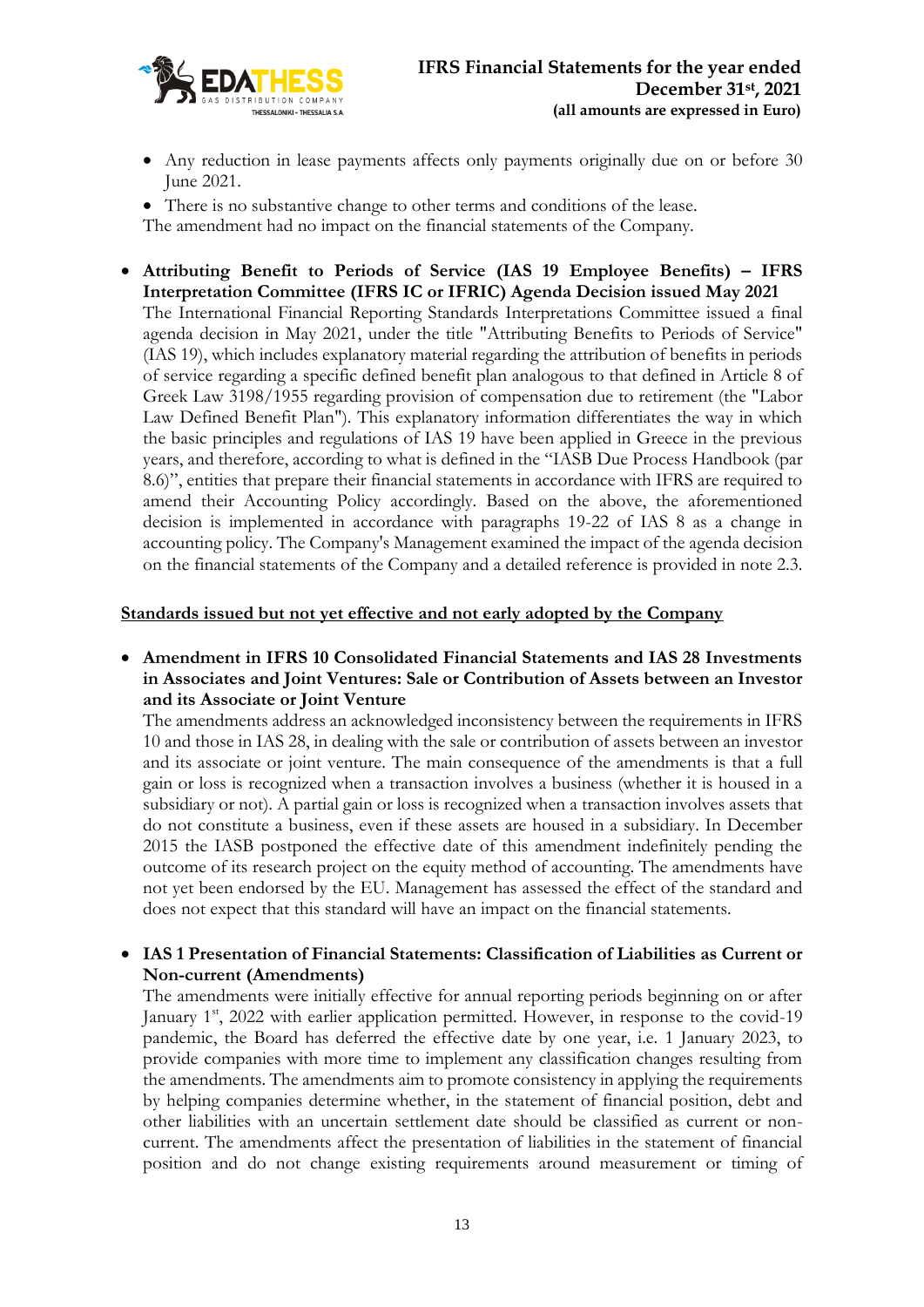

- Any reduction in lease payments affects only payments originally due on or before 30 June 2021.
- There is no substantive change to other terms and conditions of the lease. The amendment had no impact on the financial statements of the Company.
- **Attributing Benefit to Periods of Service (IAS 19 Employee Benefits) – IFRS Interpretation Committee (IFRS IC or IFRIC) Agenda Decision issued May 2021** The International Financial Reporting Standards Interpretations Committee issued a final agenda decision in May 2021, under the title "Attributing Benefits to Periods of Service" (IAS 19), which includes explanatory material regarding the attribution of benefits in periods of service regarding a specific defined benefit plan analogous to that defined in Article 8 of Greek Law 3198/1955 regarding provision of compensation due to retirement (the "Labor Law Defined Benefit Plan"). This explanatory information differentiates the way in which the basic principles and regulations of IAS 19 have been applied in Greece in the previous years, and therefore, according to what is defined in the "IASB Due Process Handbook (par 8.6)", entities that prepare their financial statements in accordance with IFRS are required to amend their Accounting Policy accordingly. Based on the above, the aforementioned decision is implemented in accordance with paragraphs 19-22 of IAS 8 as a change in accounting policy. The Company's Management examined the impact of the agenda decision on the financial statements of the Company and a detailed reference is provided in note 2.3.

#### **Standards issued but not yet effective and not early adopted by the Company**

• **Amendment in IFRS 10 Consolidated Financial Statements and IAS 28 Investments in Associates and Joint Ventures: Sale or Contribution of Assets between an Investor and its Associate or Joint Venture**

The amendments address an acknowledged inconsistency between the requirements in IFRS 10 and those in IAS 28, in dealing with the sale or contribution of assets between an investor and its associate or joint venture. The main consequence of the amendments is that a full gain or loss is recognized when a transaction involves a business (whether it is housed in a subsidiary or not). A partial gain or loss is recognized when a transaction involves assets that do not constitute a business, even if these assets are housed in a subsidiary. In December 2015 the IASB postponed the effective date of this amendment indefinitely pending the outcome of its research project on the equity method of accounting. The amendments have not yet been endorsed by the EU. Management has assessed the effect of the standard and does not expect that this standard will have an impact on the financial statements.

### • **IAS 1 Presentation of Financial Statements: Classification of Liabilities as Current or Non-current (Amendments)**

The amendments were initially effective for annual reporting periods beginning on or after January  $1<sup>st</sup>$ , 2022 with earlier application permitted. However, in response to the covid-19 pandemic, the Board has deferred the effective date by one year, i.e. 1 January 2023, to provide companies with more time to implement any classification changes resulting from the amendments. The amendments aim to promote consistency in applying the requirements by helping companies determine whether, in the statement of financial position, debt and other liabilities with an uncertain settlement date should be classified as current or noncurrent. The amendments affect the presentation of liabilities in the statement of financial position and do not change existing requirements around measurement or timing of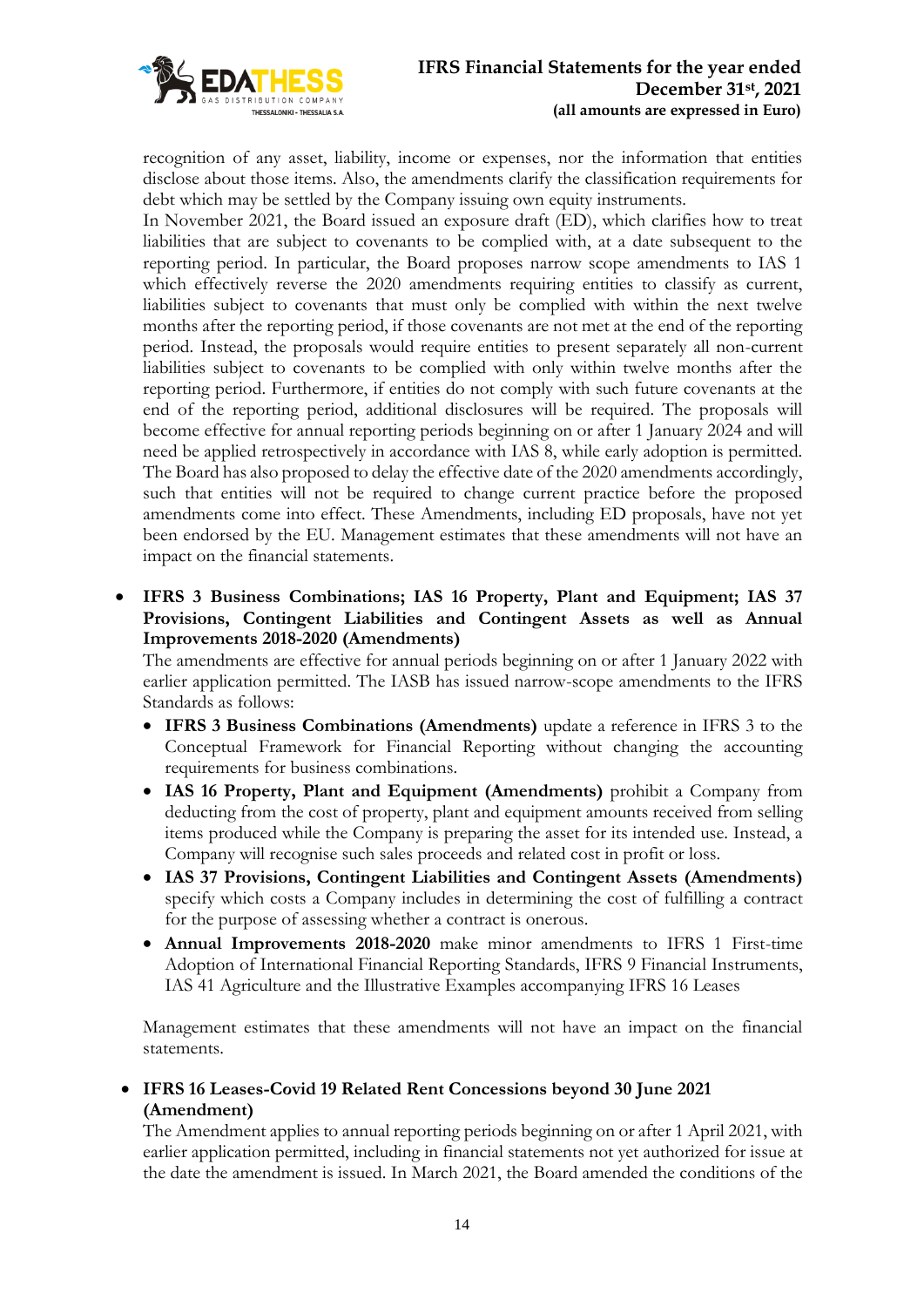

recognition of any asset, liability, income or expenses, nor the information that entities disclose about those items. Also, the amendments clarify the classification requirements for debt which may be settled by the Company issuing own equity instruments.

In November 2021, the Board issued an exposure draft (ED), which clarifies how to treat liabilities that are subject to covenants to be complied with, at a date subsequent to the reporting period. In particular, the Board proposes narrow scope amendments to IAS 1 which effectively reverse the 2020 amendments requiring entities to classify as current, liabilities subject to covenants that must only be complied with within the next twelve months after the reporting period, if those covenants are not met at the end of the reporting period. Instead, the proposals would require entities to present separately all non-current liabilities subject to covenants to be complied with only within twelve months after the reporting period. Furthermore, if entities do not comply with such future covenants at the end of the reporting period, additional disclosures will be required. The proposals will become effective for annual reporting periods beginning on or after 1 January 2024 and will need be applied retrospectively in accordance with IAS 8, while early adoption is permitted. The Board has also proposed to delay the effective date of the 2020 amendments accordingly, such that entities will not be required to change current practice before the proposed amendments come into effect. These Amendments, including ED proposals, have not yet been endorsed by the EU. Management estimates that these amendments will not have an impact on the financial statements.

• **IFRS 3 Business Combinations; IAS 16 Property, Plant and Equipment; IAS 37 Provisions, Contingent Liabilities and Contingent Assets as well as Annual Improvements 2018-2020 (Amendments)**

The amendments are effective for annual periods beginning on or after 1 January 2022 with earlier application permitted. The IASB has issued narrow-scope amendments to the IFRS Standards as follows:

- **IFRS 3 Business Combinations (Amendments)** update a reference in IFRS 3 to the Conceptual Framework for Financial Reporting without changing the accounting requirements for business combinations.
- **IAS 16 Property, Plant and Equipment (Amendments)** prohibit a Company from deducting from the cost of property, plant and equipment amounts received from selling items produced while the Company is preparing the asset for its intended use. Instead, a Company will recognise such sales proceeds and related cost in profit or loss.
- **IAS 37 Provisions, Contingent Liabilities and Contingent Assets (Amendments)** specify which costs a Company includes in determining the cost of fulfilling a contract for the purpose of assessing whether a contract is onerous.
- **Annual Improvements 2018-2020** make minor amendments to IFRS 1 First-time Adoption of International Financial Reporting Standards, IFRS 9 Financial Instruments, IAS 41 Agriculture and the Illustrative Examples accompanying IFRS 16 Leases

Management estimates that these amendments will not have an impact on the financial statements.

• **IFRS 16 Leases-Cοvid 19 Related Rent Concessions beyond 30 June 2021 (Amendment)**

The Amendment applies to annual reporting periods beginning on or after 1 April 2021, with earlier application permitted, including in financial statements not yet authorized for issue at the date the amendment is issued. In March 2021, the Board amended the conditions of the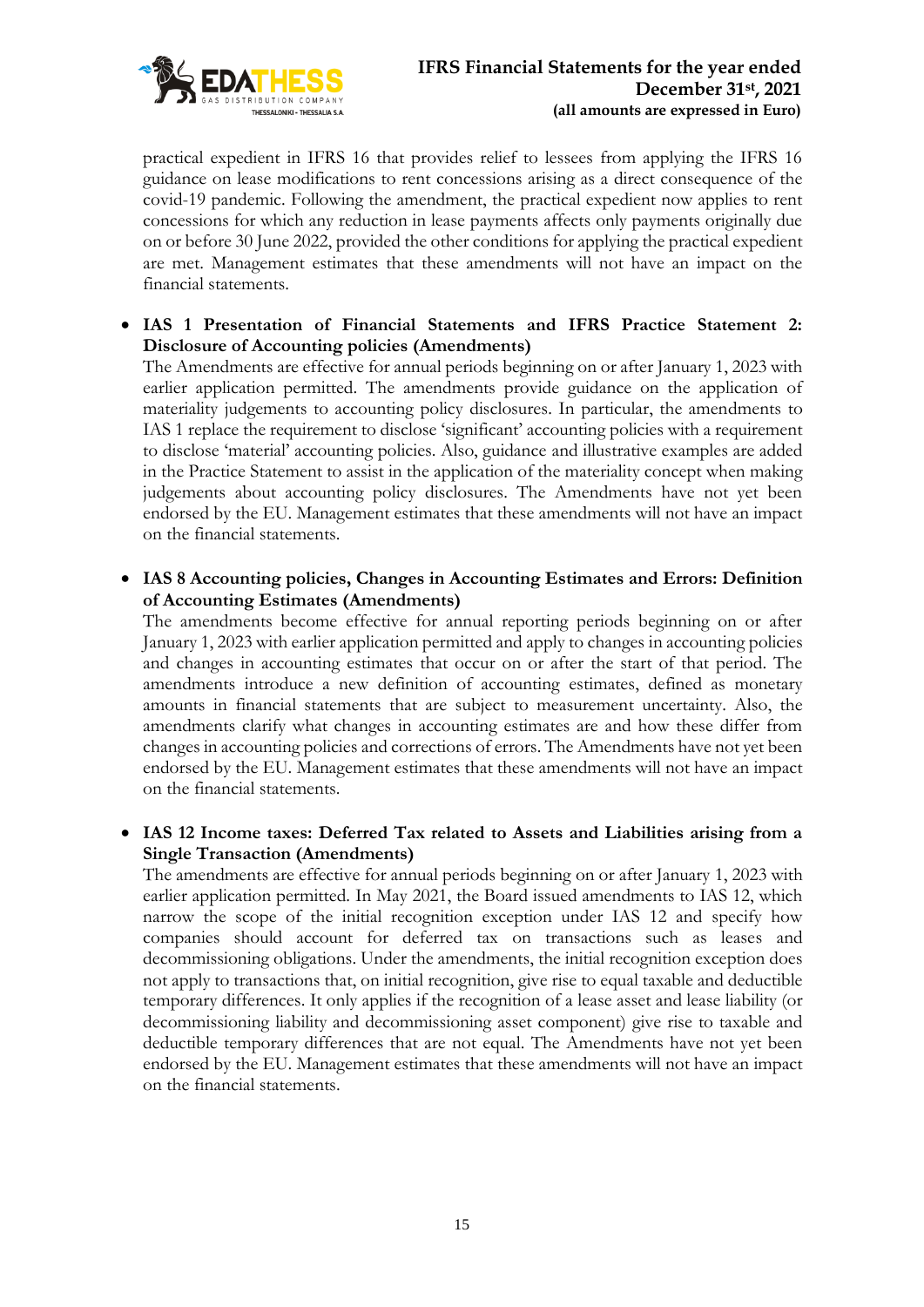

practical expedient in IFRS 16 that provides relief to lessees from applying the IFRS 16 guidance on lease modifications to rent concessions arising as a direct consequence of the covid-19 pandemic. Following the amendment, the practical expedient now applies to rent concessions for which any reduction in lease payments affects only payments originally due on or before 30 June 2022, provided the other conditions for applying the practical expedient are met. Management estimates that these amendments will not have an impact on the financial statements.

• **IAS 1 Presentation of Financial Statements and IFRS Practice Statement 2: Disclosure of Accounting policies (Amendments)**

The Amendments are effective for annual periods beginning on or after January 1, 2023 with earlier application permitted. The amendments provide guidance on the application of materiality judgements to accounting policy disclosures. In particular, the amendments to IAS 1 replace the requirement to disclose 'significant' accounting policies with a requirement to disclose 'material' accounting policies. Also, guidance and illustrative examples are added in the Practice Statement to assist in the application of the materiality concept when making judgements about accounting policy disclosures. The Amendments have not yet been endorsed by the EU. Management estimates that these amendments will not have an impact on the financial statements.

• **IAS 8 Accounting policies, Changes in Accounting Estimates and Errors: Definition of Accounting Estimates (Amendments)**

The amendments become effective for annual reporting periods beginning on or after January 1, 2023 with earlier application permitted and apply to changes in accounting policies and changes in accounting estimates that occur on or after the start of that period. The amendments introduce a new definition of accounting estimates, defined as monetary amounts in financial statements that are subject to measurement uncertainty. Also, the amendments clarify what changes in accounting estimates are and how these differ from changes in accounting policies and corrections of errors. The Amendments have not yet been endorsed by the EU. Management estimates that these amendments will not have an impact on the financial statements.

• **IAS 12 Income taxes: Deferred Tax related to Assets and Liabilities arising from a Single Transaction (Amendments)**

The amendments are effective for annual periods beginning on or after January 1, 2023 with earlier application permitted. In May 2021, the Board issued amendments to IAS 12, which narrow the scope of the initial recognition exception under IAS 12 and specify how companies should account for deferred tax on transactions such as leases and decommissioning obligations. Under the amendments, the initial recognition exception does not apply to transactions that, on initial recognition, give rise to equal taxable and deductible temporary differences. It only applies if the recognition of a lease asset and lease liability (or decommissioning liability and decommissioning asset component) give rise to taxable and deductible temporary differences that are not equal. The Amendments have not yet been endorsed by the EU. Management estimates that these amendments will not have an impact on the financial statements.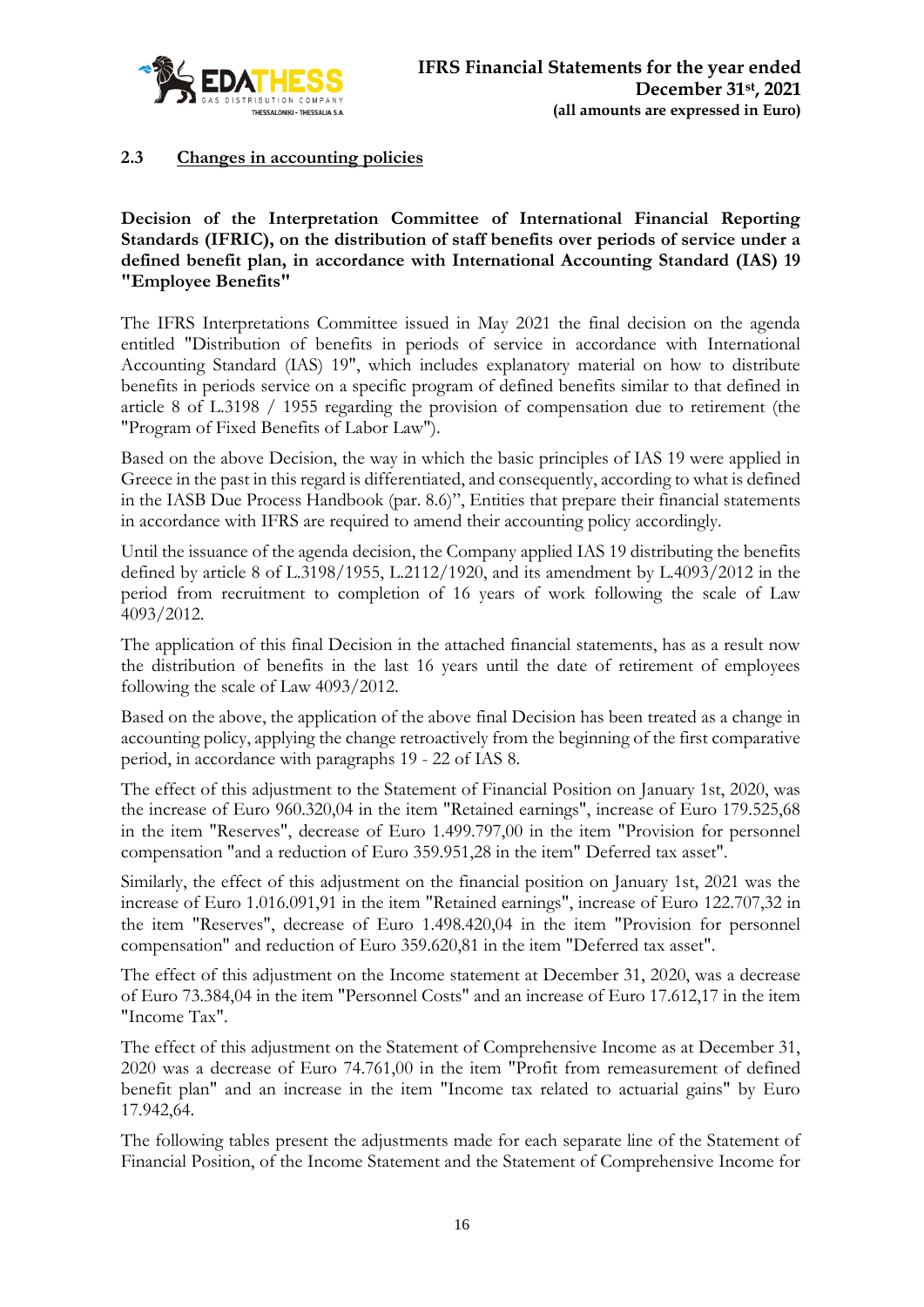

# **2.3 Changes in accounting policies**

**Decision of the Interpretation Committee of International Financial Reporting Standards (IFRIC), on the distribution of staff benefits over periods of service under a defined benefit plan, in accordance with International Accounting Standard (IAS) 19 "Employee Benefits"**

The IFRS Interpretations Committee issued in May 2021 the final decision on the agenda entitled "Distribution of benefits in periods of service in accordance with International Accounting Standard (IAS) 19", which includes explanatory material on how to distribute benefits in periods service on a specific program of defined benefits similar to that defined in article 8 of L.3198 / 1955 regarding the provision of compensation due to retirement (the "Program of Fixed Benefits of Labor Law").

Based on the above Decision, the way in which the basic principles of IAS 19 were applied in Greece in the past in this regard is differentiated, and consequently, according to what is defined in the IASB Due Process Handbook (par. 8.6)", Entities that prepare their financial statements in accordance with IFRS are required to amend their accounting policy accordingly.

Until the issuance of the agenda decision, the Company applied IAS 19 distributing the benefits defined by article 8 of L.3198/1955, L.2112/1920, and its amendment by L.4093/2012 in the period from recruitment to completion of 16 years of work following the scale of Law 4093/2012.

The application of this final Decision in the attached financial statements, has as a result now the distribution of benefits in the last 16 years until the date of retirement of employees following the scale of Law 4093/2012.

Based on the above, the application of the above final Decision has been treated as a change in accounting policy, applying the change retroactively from the beginning of the first comparative period, in accordance with paragraphs 19 - 22 of IAS 8.

The effect of this adjustment to the Statement of Financial Position on January 1st, 2020, was the increase of Euro 960.320,04 in the item "Retained earnings", increase of Euro 179.525,68 in the item "Reserves", decrease of Euro 1.499.797,00 in the item "Provision for personnel compensation "and a reduction of Euro 359.951,28 in the item" Deferred tax asset".

Similarly, the effect of this adjustment on the financial position on January 1st, 2021 was the increase of Euro 1.016.091,91 in the item "Retained earnings", increase of Euro 122.707,32 in the item "Reserves", decrease of Euro 1.498.420,04 in the item "Provision for personnel compensation" and reduction of Euro 359.620,81 in the item "Deferred tax asset".

The effect of this adjustment on the Income statement at December 31, 2020, was a decrease of Euro 73.384,04 in the item "Personnel Costs" and an increase of Euro 17.612,17 in the item "Income Tax".

The effect of this adjustment on the Statement of Comprehensive Income as at December 31, 2020 was a decrease of Euro 74.761,00 in the item "Profit from remeasurement of defined benefit plan" and an increase in the item "Income tax related to actuarial gains" by Euro 17.942,64.

The following tables present the adjustments made for each separate line of the Statement of Financial Position, of the Income Statement and the Statement of Comprehensive Income for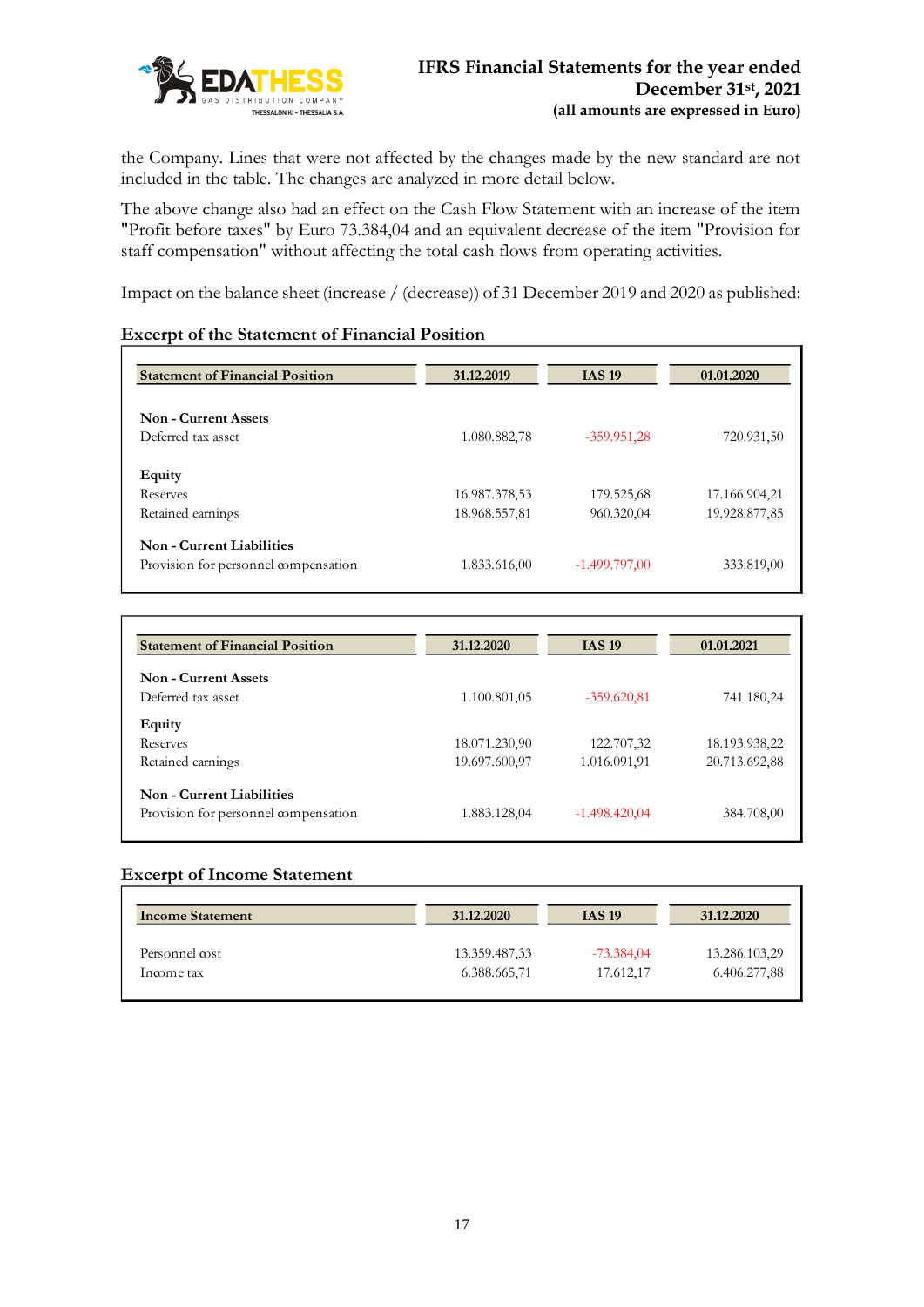

the Company. Lines that were not affected by the changes made by the new standard are not included in the table. The changes are analyzed in more detail below.

The above change also had an effect on the Cash Flow Statement with an increase of the item "Profit before taxes" by Euro 73.384,04 and an equivalent decrease of the item "Provision for staff compensation" without affecting the total cash flows from operating activities.

Impact on the balance sheet (increase / (decrease)) of 31 December 2019 and 2020 as published:

### **Excerpt of the Statement of Financial Position**

| <b>Statement of Financial Position</b> | 31.12.2019    | <b>IAS 19</b>   | 01.01.2020    |
|----------------------------------------|---------------|-----------------|---------------|
| <b>Non - Current Assets</b>            |               |                 |               |
| Deferred tax asset                     | 1.080.882,78  | $-359.951,28$   | 720.931,50    |
| Equity                                 |               |                 |               |
| Reserves                               | 16.987.378,53 | 179.525,68      | 17.166.904,21 |
| Retained earnings                      | 18.968.557,81 | 960.320,04      | 19.928.877,85 |
| Non - Current Liabilities              |               |                 |               |
| Provision for personnel compensation   | 1.833.616,00  | $-1.499.797,00$ | 333.819,00    |

| <b>Statement of Financial Position</b> | 31.12.2020    | <b>IAS 19</b>   | 01.01.2021    |
|----------------------------------------|---------------|-----------------|---------------|
| <b>Non - Current Assets</b>            |               |                 |               |
| Deferred tax asset                     | 1.100.801,05  | $-359.620,81$   | 741.180,24    |
| Equity                                 |               |                 |               |
| Reserves                               | 18.071.230,90 | 122.707,32      | 18.193.938,22 |
| Retained earnings                      | 19.697.600,97 | 1.016.091,91    | 20.713.692,88 |
| Non - Current Liabilities              |               |                 |               |
| Provision for personnel compensation   | 1.883.128,04  | $-1.498.420,04$ | 384.708,00    |

### **Excerpt of Income Statement**

| <b>Income Statement</b> | 31.12.2020    | <b>IAS 19</b> | 31.12.2020    |
|-------------------------|---------------|---------------|---------------|
| Personnel cost          | 13.359.487,33 | $-73.384.04$  | 13.286.103,29 |
| Income tax              | 6.388.665,71  | 17.612,17     | 6.406.277,88  |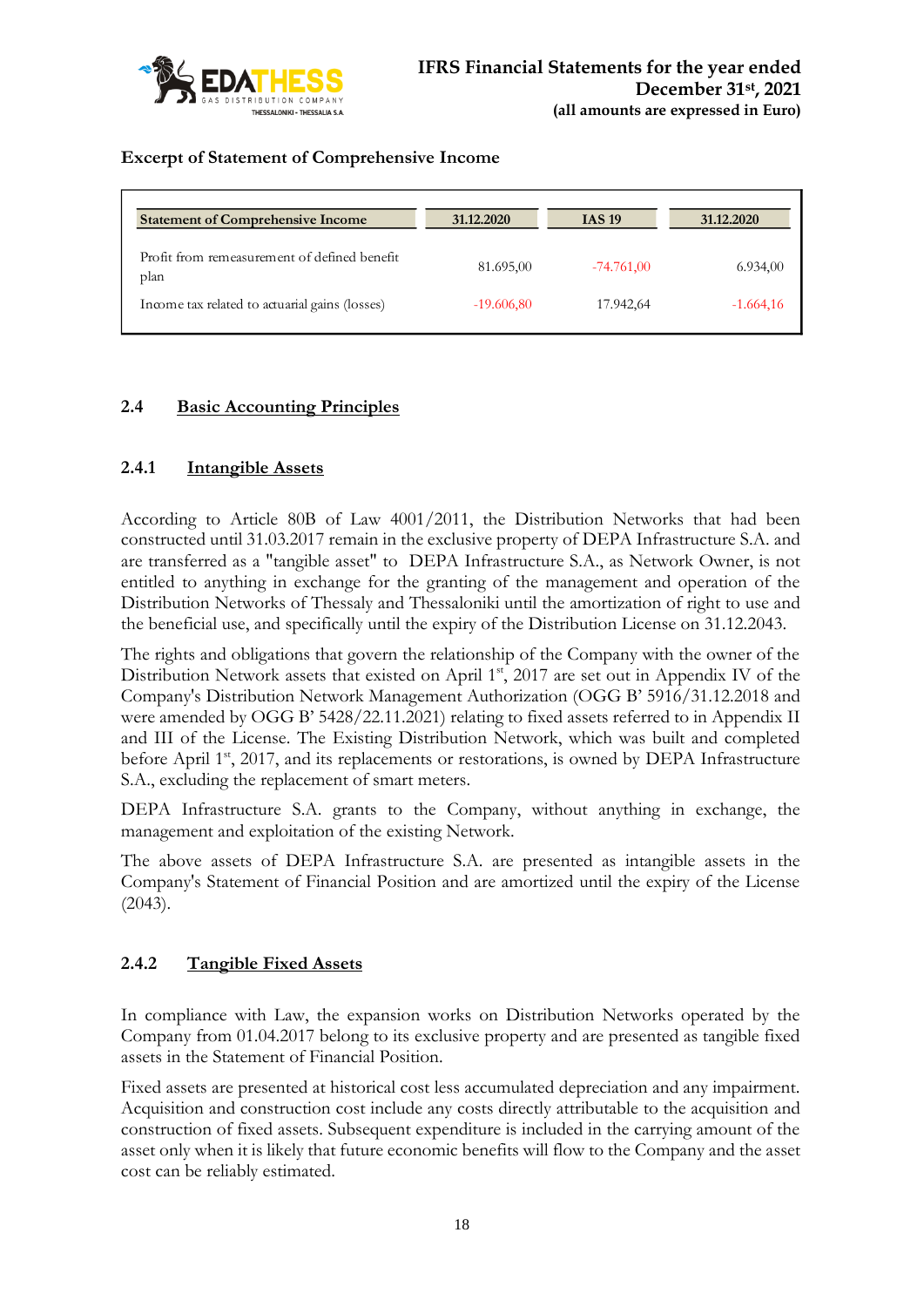

# **Excerpt of Statement of Comprehensive Income**

| <b>Statement of Comprehensive Income</b>             | 31.12.2020   | <b>IAS 19</b> | 31.12.2020  |
|------------------------------------------------------|--------------|---------------|-------------|
| Profit from remeasurement of defined benefit<br>plan | 81.695,00    | $-74.761,00$  | 6.934,00    |
| Income tax related to actuarial gains (losses)       | $-19.606,80$ | 17.942,64     | $-1.664,16$ |

# **2.4 Basic Accounting Principles**

# **2.4.1 Intangible Assets**

According to Article 80B of Law 4001/2011, the Distribution Networks that had been constructed until 31.03.2017 remain in the exclusive property of DEPA Infrastructure S.A. and are transferred as a "tangible asset" to DEPA Infrastructure S.A., as Network Owner, is not entitled to anything in exchange for the granting of the management and operation of the Distribution Networks of Thessaly and Thessaloniki until the amortization of right to use and the beneficial use, and specifically until the expiry of the Distribution License on 31.12.2043.

The rights and obligations that govern the relationship of the Company with the owner of the Distribution Network assets that existed on April 1<sup>st</sup>, 2017 are set out in Appendix IV of the Company's Distribution Network Management Authorization (OGG Β' 5916/31.12.2018 and were amended by OGG B' 5428/22.11.2021) relating to fixed assets referred to in Appendix II and III of the License. The Existing Distribution Network, which was built and completed before April  $1<sup>st</sup>$ , 2017, and its replacements or restorations, is owned by DEPA Infrastructure S.A., excluding the replacement of smart meters.

DEPA Infrastructure S.A. grants to the Company, without anything in exchange, the management and exploitation of the existing Network.

The above assets of DEPA Infrastructure S.A. are presented as intangible assets in the Company's Statement of Financial Position and are amortized until the expiry of the License (2043).

# **2.4.2 Tangible Fixed Assets**

In compliance with Law, the expansion works on Distribution Networks operated by the Company from 01.04.2017 belong to its exclusive property and are presented as tangible fixed assets in the Statement of Financial Position.

Fixed assets are presented at historical cost less accumulated depreciation and any impairment. Acquisition and construction cost include any costs directly attributable to the acquisition and construction of fixed assets. Subsequent expenditure is included in the carrying amount of the asset only when it is likely that future economic benefits will flow to the Company and the asset cost can be reliably estimated.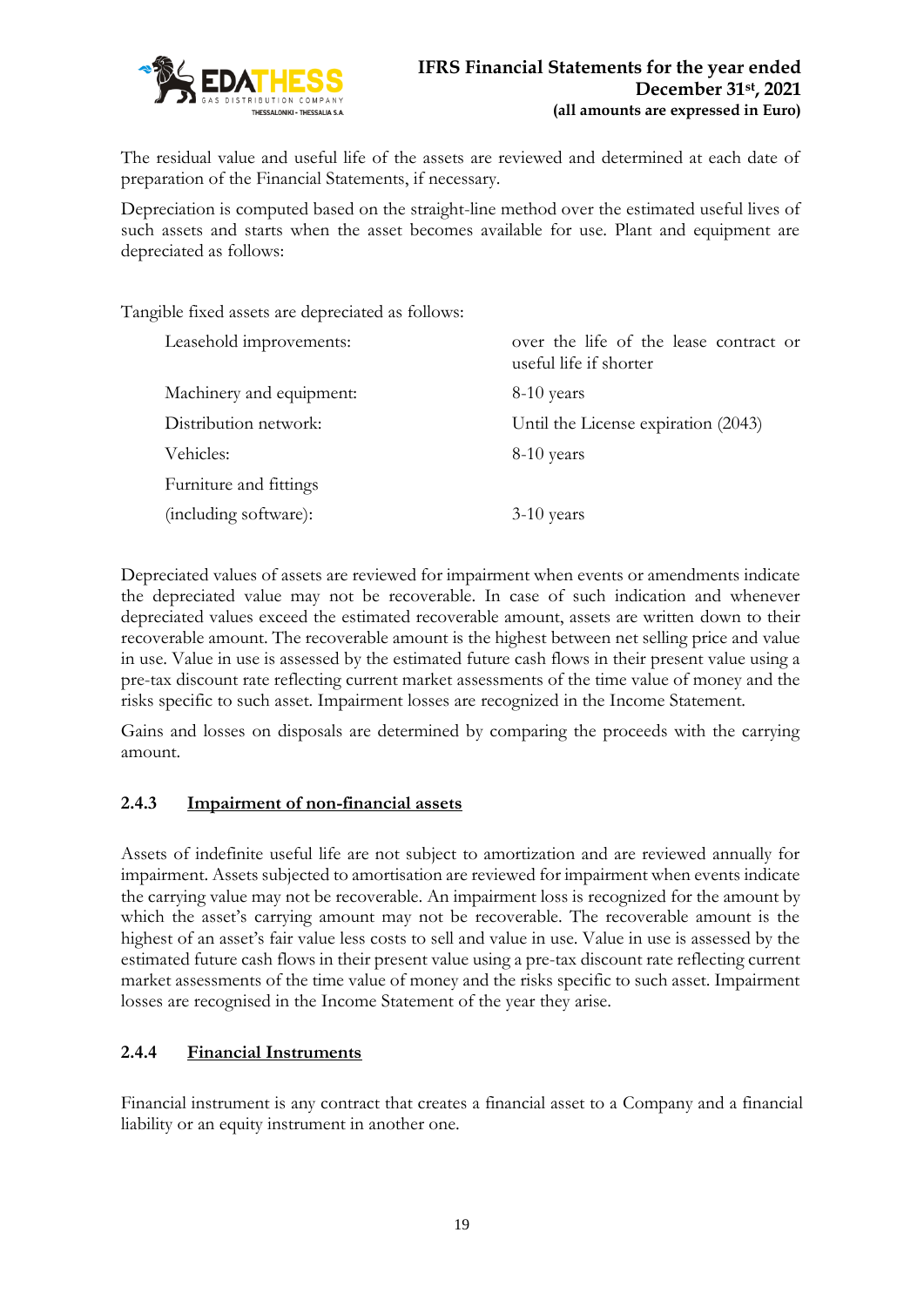

The residual value and useful life of the assets are reviewed and determined at each date of preparation of the Financial Statements, if necessary.

Depreciation is computed based on the straight-line method over the estimated useful lives of such assets and starts when the asset becomes available for use. Plant and equipment are depreciated as follows:

Tangible fixed assets are depreciated as follows:

| Leasehold improvements:  | over the life of the lease contract or<br>useful life if shorter |
|--------------------------|------------------------------------------------------------------|
| Machinery and equipment: | 8-10 years                                                       |
| Distribution network:    | Until the License expiration (2043)                              |
| Vehicles:                | 8-10 years                                                       |
| Furniture and fittings   |                                                                  |
| (including software):    | $3-10$ years                                                     |

Depreciated values of assets are reviewed for impairment when events or amendments indicate the depreciated value may not be recoverable. In case of such indication and whenever depreciated values exceed the estimated recoverable amount, assets are written down to their recoverable amount. The recoverable amount is the highest between net selling price and value in use. Value in use is assessed by the estimated future cash flows in their present value using a pre-tax discount rate reflecting current market assessments of the time value of money and the risks specific to such asset. Impairment losses are recognized in the Income Statement.

Gains and losses on disposals are determined by comparing the proceeds with the carrying amount.

### **2.4.3 Impairment of non-financial assets**

Assets of indefinite useful life are not subject to amortization and are reviewed annually for impairment. Assets subjected to amortisation are reviewed for impairment when events indicate the carrying value may not be recoverable. An impairment loss is recognized for the amount by which the asset's carrying amount may not be recoverable. The recoverable amount is the highest of an asset's fair value less costs to sell and value in use. Value in use is assessed by the estimated future cash flows in their present value using a pre-tax discount rate reflecting current market assessments of the time value of money and the risks specific to such asset. Impairment losses are recognised in the Income Statement of the year they arise.

# **2.4.4 Financial Instruments**

Financial instrument is any contract that creates a financial asset to a Company and a financial liability or an equity instrument in another one.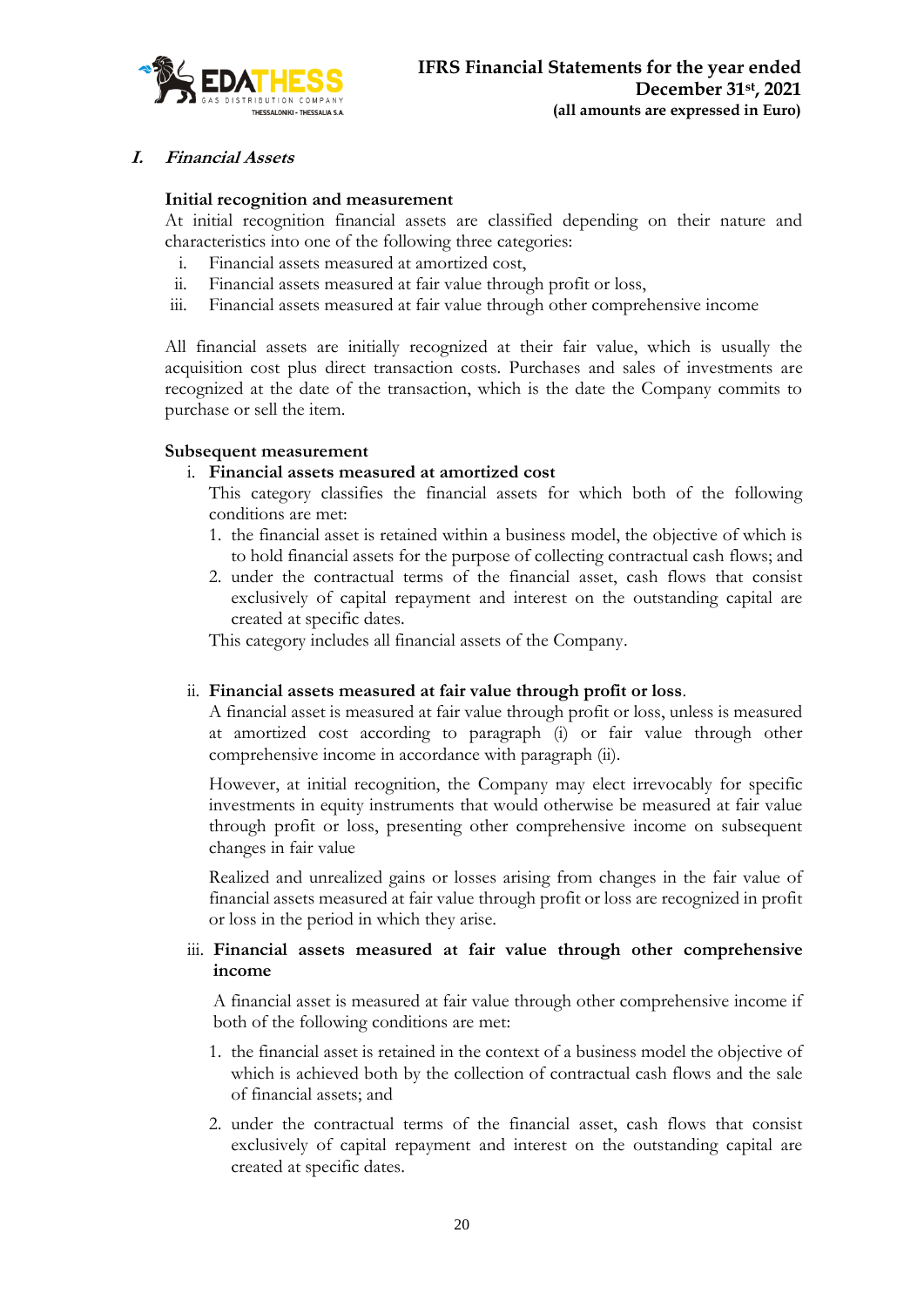

### **I. Financial Assets**

#### **Initial recognition and measurement**

At initial recognition financial assets are classified depending on their nature and characteristics into one of the following three categories:

- i. Financial assets measured at amortized cost,
- ii. Financial assets measured at fair value through profit or loss,
- iii. Financial assets measured at fair value through other comprehensive income

All financial assets are initially recognized at their fair value, which is usually the acquisition cost plus direct transaction costs. Purchases and sales of investments are recognized at the date of the transaction, which is the date the Company commits to purchase or sell the item.

#### **Subsequent measurement**

#### i. **Financial assets measured at amortized cost**

- This category classifies the financial assets for which both of the following conditions are met:
- 1. the financial asset is retained within a business model, the objective of which is to hold financial assets for the purpose of collecting contractual cash flows; and
- 2. under the contractual terms of the financial asset, cash flows that consist exclusively of capital repayment and interest on the outstanding capital are created at specific dates.

This category includes all financial assets of the Company.

#### ii. **Financial assets measured at fair value through profit or loss**.

A financial asset is measured at fair value through profit or loss, unless is measured at amortized cost according to paragraph (i) or fair value through other comprehensive income in accordance with paragraph (ii).

However, at initial recognition, the Company may elect irrevocably for specific investments in equity instruments that would otherwise be measured at fair value through profit or loss, presenting other comprehensive income on subsequent changes in fair value

Realized and unrealized gains or losses arising from changes in the fair value of financial assets measured at fair value through profit or loss are recognized in profit or loss in the period in which they arise.

#### iii. **Financial assets measured at fair value through other comprehensive income**

A financial asset is measured at fair value through other comprehensive income if both of the following conditions are met:

- 1. the financial asset is retained in the context of a business model the objective of which is achieved both by the collection of contractual cash flows and the sale of financial assets; and
- 2. under the contractual terms of the financial asset, cash flows that consist exclusively of capital repayment and interest on the outstanding capital are created at specific dates.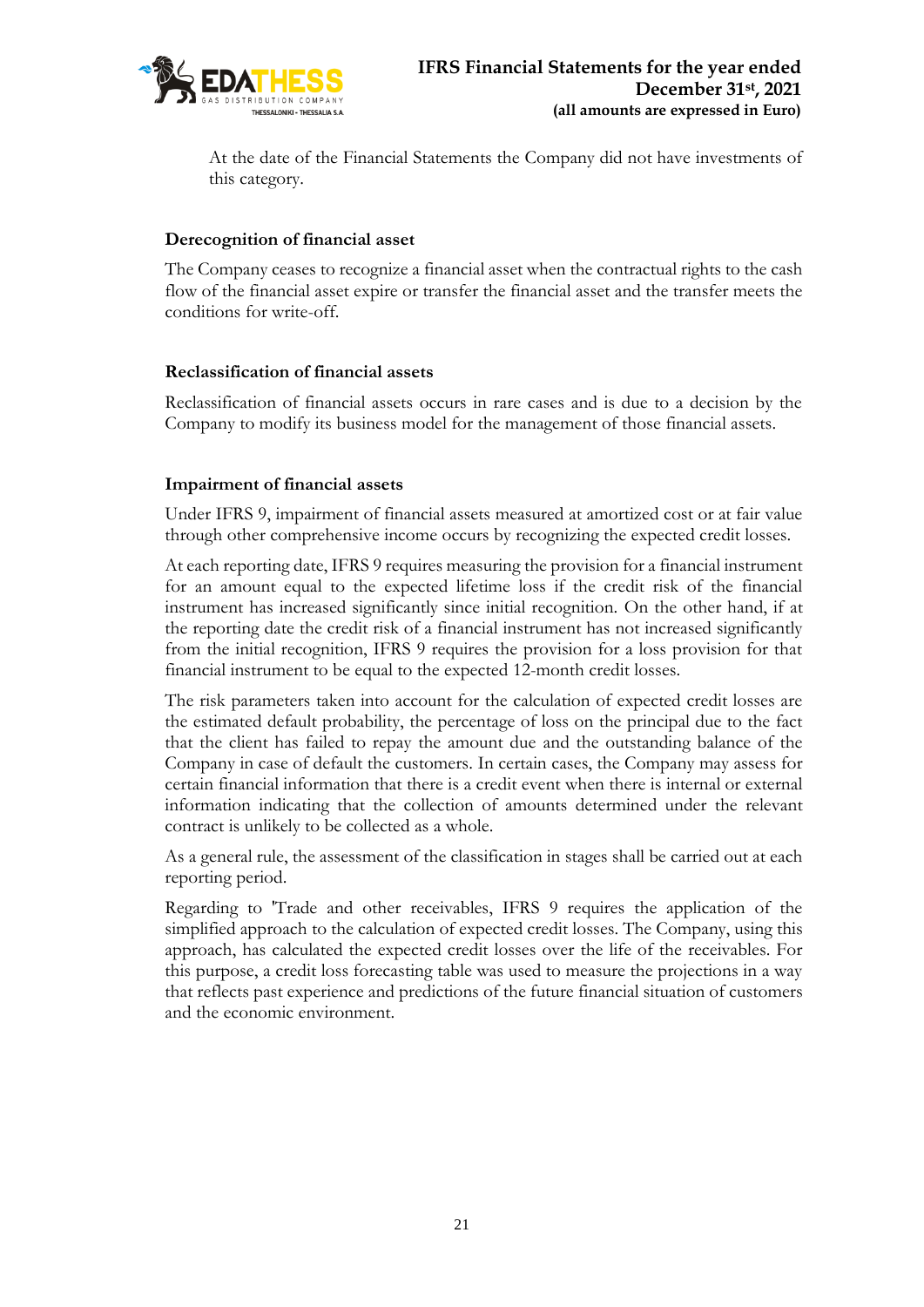

At the date of the Financial Statements the Company did not have investments of this category.

### **Derecognition of financial asset**

The Company ceases to recognize a financial asset when the contractual rights to the cash flow of the financial asset expire or transfer the financial asset and the transfer meets the conditions for write-off.

# **Reclassification of financial assets**

Reclassification of financial assets occurs in rare cases and is due to a decision by the Company to modify its business model for the management of those financial assets.

# **Impairment of financial assets**

Under IFRS 9, impairment of financial assets measured at amortized cost or at fair value through other comprehensive income occurs by recognizing the expected credit losses.

At each reporting date, IFRS 9 requires measuring the provision for a financial instrument for an amount equal to the expected lifetime loss if the credit risk of the financial instrument has increased significantly since initial recognition. On the other hand, if at the reporting date the credit risk of a financial instrument has not increased significantly from the initial recognition, IFRS 9 requires the provision for a loss provision for that financial instrument to be equal to the expected 12-month credit losses.

The risk parameters taken into account for the calculation of expected credit losses are the estimated default probability, the percentage of loss on the principal due to the fact that the client has failed to repay the amount due and the outstanding balance of the Company in case of default the customers. In certain cases, the Company may assess for certain financial information that there is a credit event when there is internal or external information indicating that the collection of amounts determined under the relevant contract is unlikely to be collected as a whole.

As a general rule, the assessment of the classification in stages shall be carried out at each reporting period.

Regarding to 'Trade and other receivables, IFRS 9 requires the application of the simplified approach to the calculation of expected credit losses. The Company, using this approach, has calculated the expected credit losses over the life of the receivables. For this purpose, a credit loss forecasting table was used to measure the projections in a way that reflects past experience and predictions of the future financial situation of customers and the economic environment.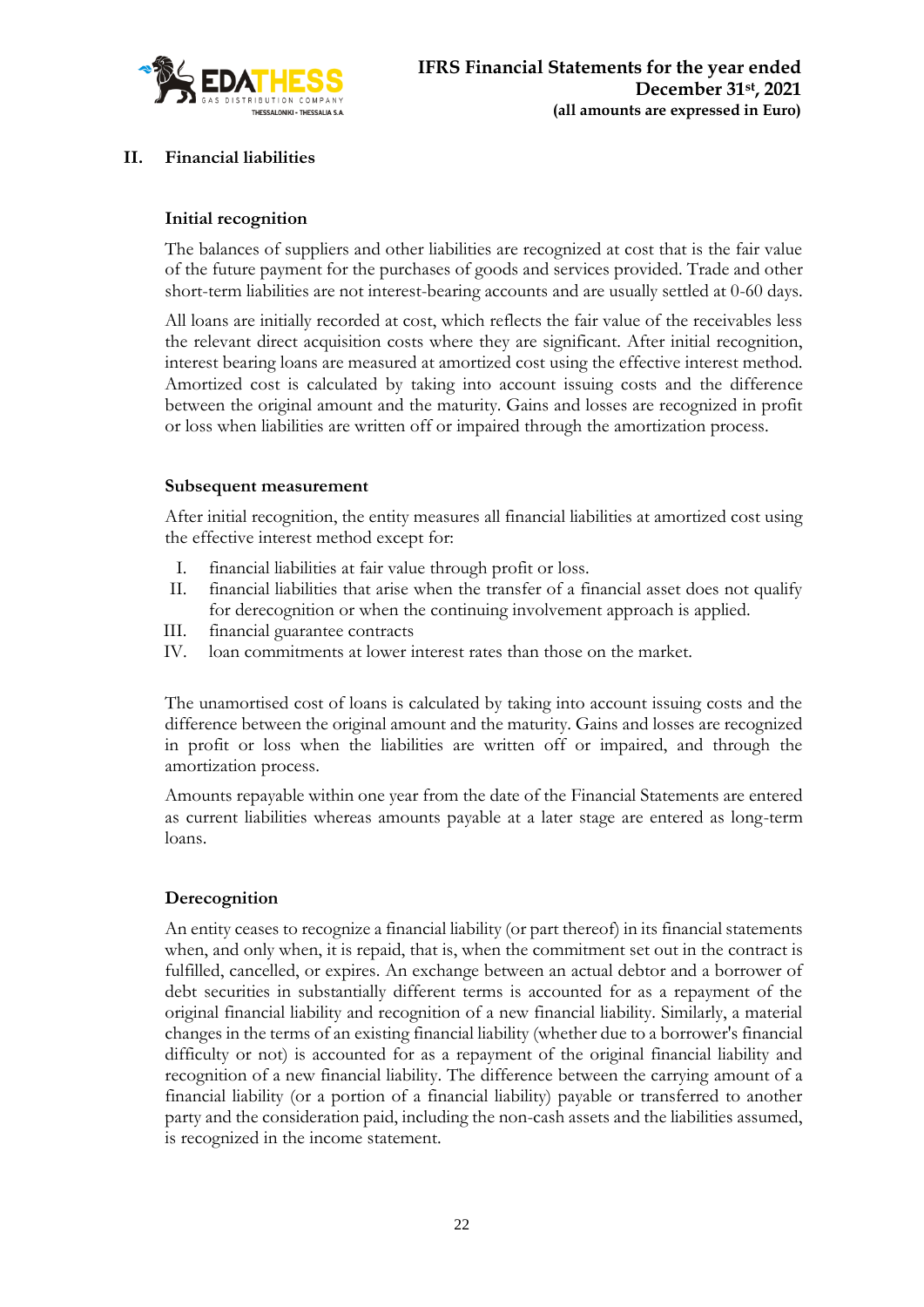

# **II. Financial liabilities**

### **Initial recognition**

The balances of suppliers and other liabilities are recognized at cost that is the fair value of the future payment for the purchases of goods and services provided. Trade and other short-term liabilities are not interest-bearing accounts and are usually settled at 0-60 days.

All loans are initially recorded at cost, which reflects the fair value of the receivables less the relevant direct acquisition costs where they are significant. After initial recognition, interest bearing loans are measured at amortized cost using the effective interest method. Amortized cost is calculated by taking into account issuing costs and the difference between the original amount and the maturity. Gains and losses are recognized in profit or loss when liabilities are written off or impaired through the amortization process.

#### **Subsequent measurement**

After initial recognition, the entity measures all financial liabilities at amortized cost using the effective interest method except for:

- I. financial liabilities at fair value through profit or loss.
- II. financial liabilities that arise when the transfer of a financial asset does not qualify for derecognition or when the continuing involvement approach is applied.
- III. financial guarantee contracts
- IV. loan commitments at lower interest rates than those on the market.

The unamortised cost of loans is calculated by taking into account issuing costs and the difference between the original amount and the maturity. Gains and losses are recognized in profit or loss when the liabilities are written off or impaired, and through the amortization process.

Amounts repayable within one year from the date of the Financial Statements are entered as current liabilities whereas amounts payable at a later stage are entered as long-term loans.

### **Derecognition**

An entity ceases to recognize a financial liability (or part thereof) in its financial statements when, and only when, it is repaid, that is, when the commitment set out in the contract is fulfilled, cancelled, or expires. An exchange between an actual debtor and a borrower of debt securities in substantially different terms is accounted for as a repayment of the original financial liability and recognition of a new financial liability. Similarly, a material changes in the terms of an existing financial liability (whether due to a borrower's financial difficulty or not) is accounted for as a repayment of the original financial liability and recognition of a new financial liability. The difference between the carrying amount of a financial liability (or a portion of a financial liability) payable or transferred to another party and the consideration paid, including the non-cash assets and the liabilities assumed, is recognized in the income statement.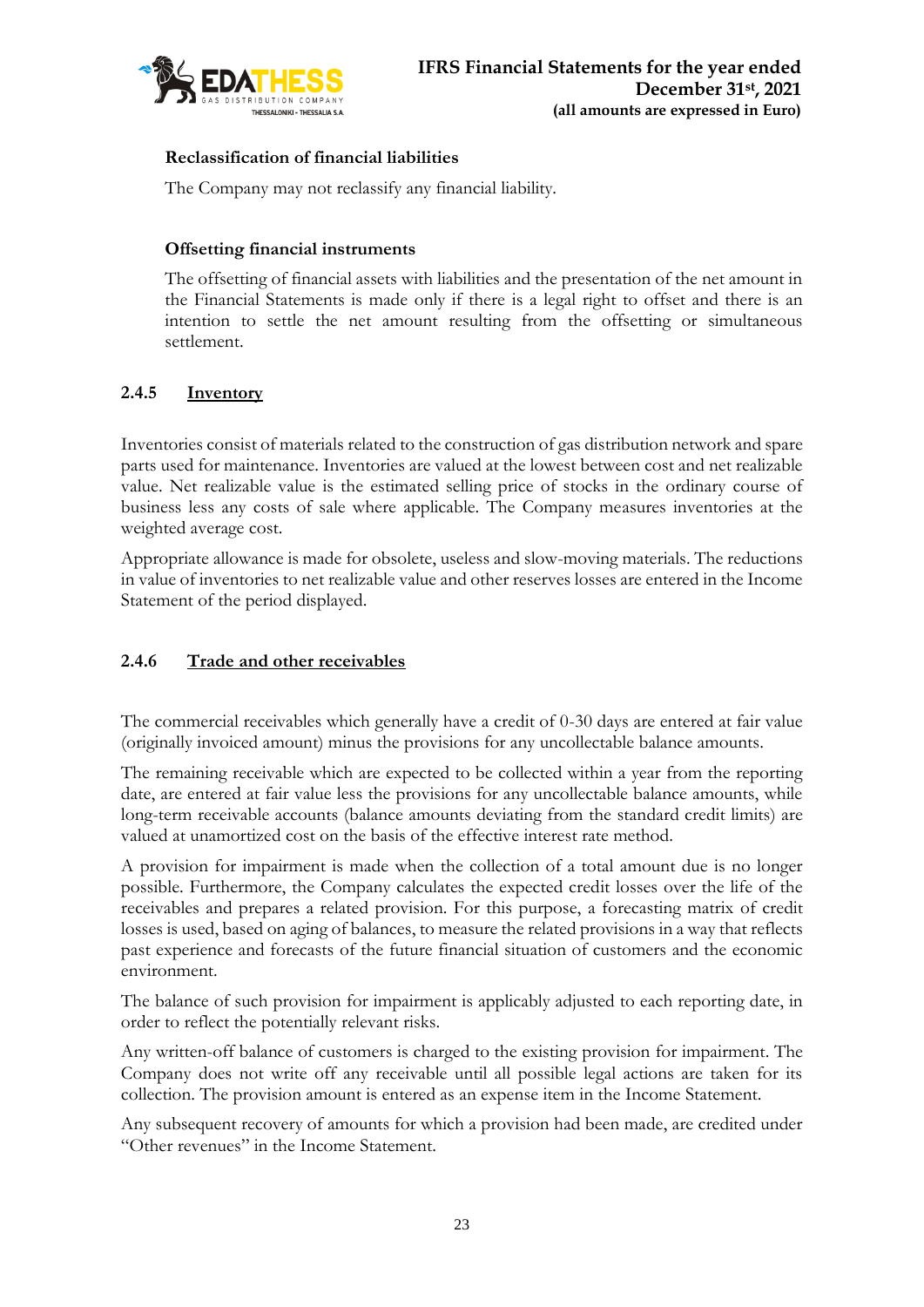

# **Reclassification of financial liabilities**

The Company may not reclassify any financial liability.

# **Offsetting financial instruments**

The offsetting of financial assets with liabilities and the presentation of the net amount in the Financial Statements is made only if there is a legal right to offset and there is an intention to settle the net amount resulting from the offsetting or simultaneous settlement.

# **2.4.5 Inventory**

Inventories consist of materials related to the construction of gas distribution network and spare parts used for maintenance. Inventories are valued at the lowest between cost and net realizable value. Net realizable value is the estimated selling price of stocks in the ordinary course of business less any costs of sale where applicable. The Company measures inventories at the weighted average cost.

Appropriate allowance is made for obsolete, useless and slow-moving materials. The reductions in value of inventories to net realizable value and other reserves losses are entered in the Income Statement of the period displayed.

# **2.4.6 Trade and other receivables**

The commercial receivables which generally have a credit of 0-30 days are entered at fair value (originally invoiced amount) minus the provisions for any uncollectable balance amounts.

The remaining receivable which are expected to be collected within a year from the reporting date, are entered at fair value less the provisions for any uncollectable balance amounts, while long-term receivable accounts (balance amounts deviating from the standard credit limits) are valued at unamortized cost on the basis of the effective interest rate method.

A provision for impairment is made when the collection of a total amount due is no longer possible. Furthermore, the Company calculates the expected credit losses over the life of the receivables and prepares a related provision. For this purpose, a forecasting matrix of credit losses is used, based on aging of balances, to measure the related provisions in a way that reflects past experience and forecasts of the future financial situation of customers and the economic environment.

The balance of such provision for impairment is applicably adjusted to each reporting date, in order to reflect the potentially relevant risks.

Any written-off balance of customers is charged to the existing provision for impairment. The Company does not write off any receivable until all possible legal actions are taken for its collection. The provision amount is entered as an expense item in the Income Statement.

Any subsequent recovery of amounts for which a provision had been made, are credited under "Other revenues" in the Income Statement.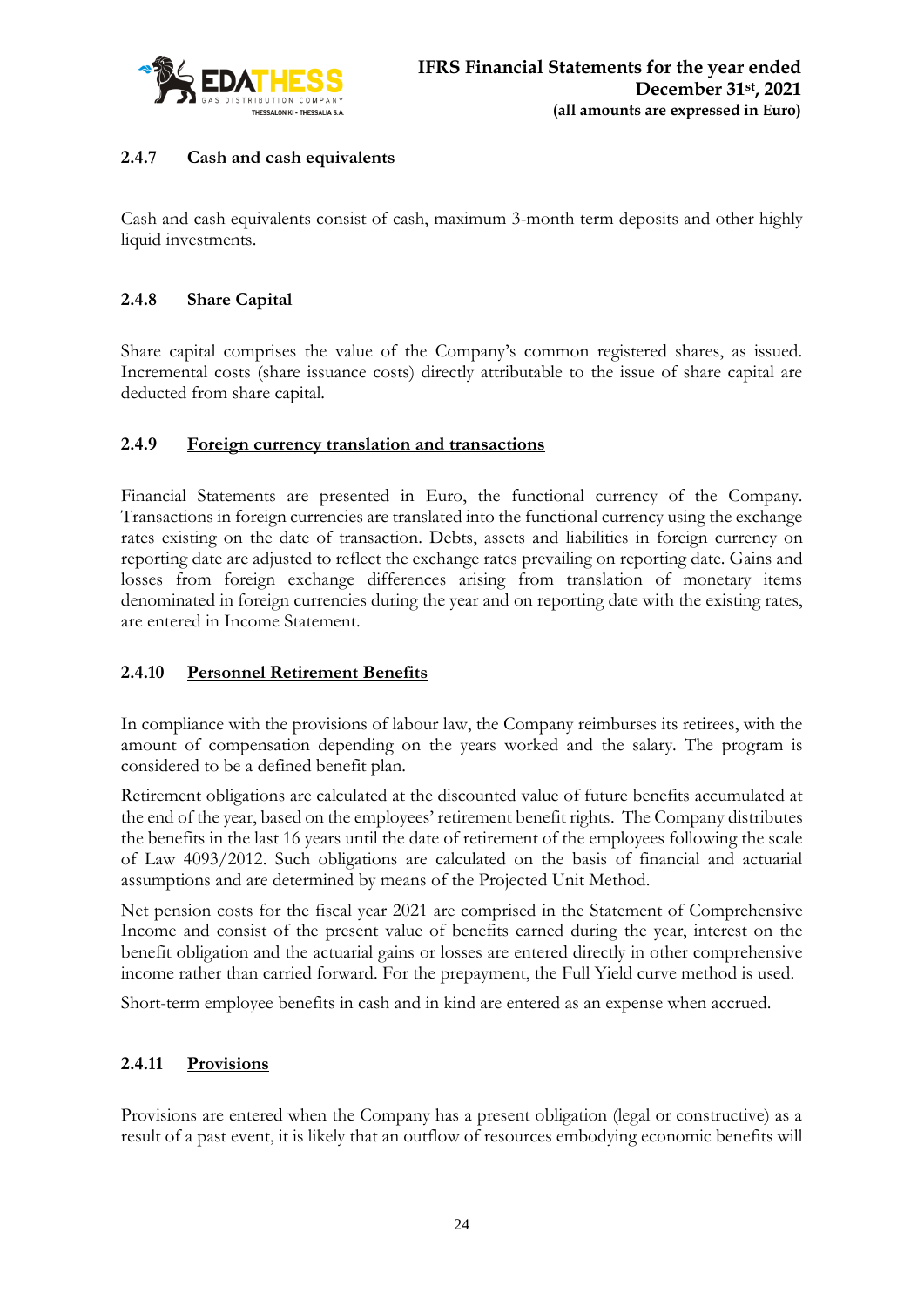

# **2.4.7 Cash and cash equivalents**

Cash and cash equivalents consist of cash, maximum 3-month term deposits and other highly liquid investments.

# **2.4.8 Share Capital**

Share capital comprises the value of the Company's common registered shares, as issued. Incremental costs (share issuance costs) directly attributable to the issue of share capital are deducted from share capital.

# **2.4.9 Foreign currency translation and transactions**

Financial Statements are presented in Euro, the functional currency of the Company. Transactions in foreign currencies are translated into the functional currency using the exchange rates existing on the date of transaction. Debts, assets and liabilities in foreign currency on reporting date are adjusted to reflect the exchange rates prevailing on reporting date. Gains and losses from foreign exchange differences arising from translation of monetary items denominated in foreign currencies during the year and on reporting date with the existing rates, are entered in Income Statement.

# **2.4.10 Personnel Retirement Benefits**

In compliance with the provisions of labour law, the Company reimburses its retirees, with the amount of compensation depending on the years worked and the salary. The program is considered to be a defined benefit plan.

Retirement obligations are calculated at the discounted value of future benefits accumulated at the end of the year, based on the employees' retirement benefit rights. The Company distributes the benefits in the last 16 years until the date of retirement of the employees following the scale of Law 4093/2012. Such obligations are calculated on the basis of financial and actuarial assumptions and are determined by means of the Projected Unit Method.

Net pension costs for the fiscal year 2021 are comprised in the Statement of Comprehensive Income and consist of the present value of benefits earned during the year, interest on the benefit obligation and the actuarial gains or losses are entered directly in other comprehensive income rather than carried forward. For the prepayment, the Full Yield curve method is used.

Short-term employee benefits in cash and in kind are entered as an expense when accrued.

# **2.4.11 Provisions**

Provisions are entered when the Company has a present obligation (legal or constructive) as a result of a past event, it is likely that an outflow of resources embodying economic benefits will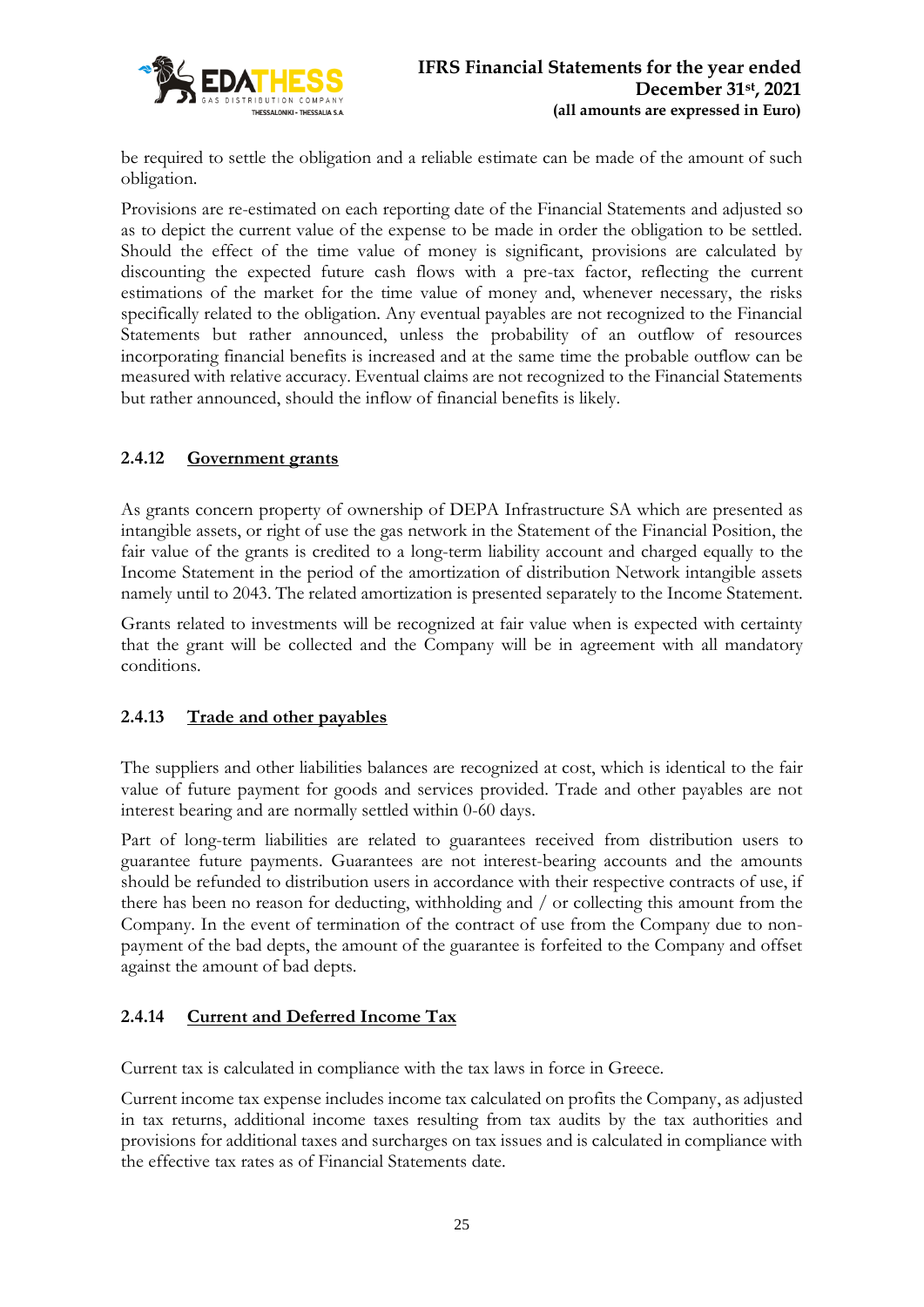

be required to settle the obligation and a reliable estimate can be made of the amount of such obligation.

Provisions are re-estimated on each reporting date of the Financial Statements and adjusted so as to depict the current value of the expense to be made in order the obligation to be settled. Should the effect of the time value of money is significant, provisions are calculated by discounting the expected future cash flows with a pre-tax factor, reflecting the current estimations of the market for the time value of money and, whenever necessary, the risks specifically related to the obligation. Any eventual payables are not recognized to the Financial Statements but rather announced, unless the probability of an outflow of resources incorporating financial benefits is increased and at the same time the probable outflow can be measured with relative accuracy. Eventual claims are not recognized to the Financial Statements but rather announced, should the inflow of financial benefits is likely.

# **2.4.12 Government grants**

As grants concern property of ownership of DEPA Infrastructure SA which are presented as intangible assets, or right of use the gas network in the Statement of the Financial Position, the fair value of the grants is credited to a long-term liability account and charged equally to the Income Statement in the period of the amortization of distribution Network intangible assets namely until to 2043. The related amortization is presented separately to the Income Statement.

Grants related to investments will be recognized at fair value when is expected with certainty that the grant will be collected and the Company will be in agreement with all mandatory conditions.

# **2.4.13 Trade and other payables**

The suppliers and other liabilities balances are recognized at cost, which is identical to the fair value of future payment for goods and services provided. Trade and other payables are not interest bearing and are normally settled within 0-60 days.

Part of long-term liabilities are related to guarantees received from distribution users to guarantee future payments. Guarantees are not interest-bearing accounts and the amounts should be refunded to distribution users in accordance with their respective contracts of use, if there has been no reason for deducting, withholding and / or collecting this amount from the Company. In the event of termination of the contract of use from the Company due to nonpayment of the bad depts, the amount of the guarantee is forfeited to the Company and offset against the amount of bad depts.

# **2.4.14 Current and Deferred Income Tax**

Current tax is calculated in compliance with the tax laws in force in Greece.

Current income tax expense includes income tax calculated on profits the Company, as adjusted in tax returns, additional income taxes resulting from tax audits by the tax authorities and provisions for additional taxes and surcharges on tax issues and is calculated in compliance with the effective tax rates as of Financial Statements date.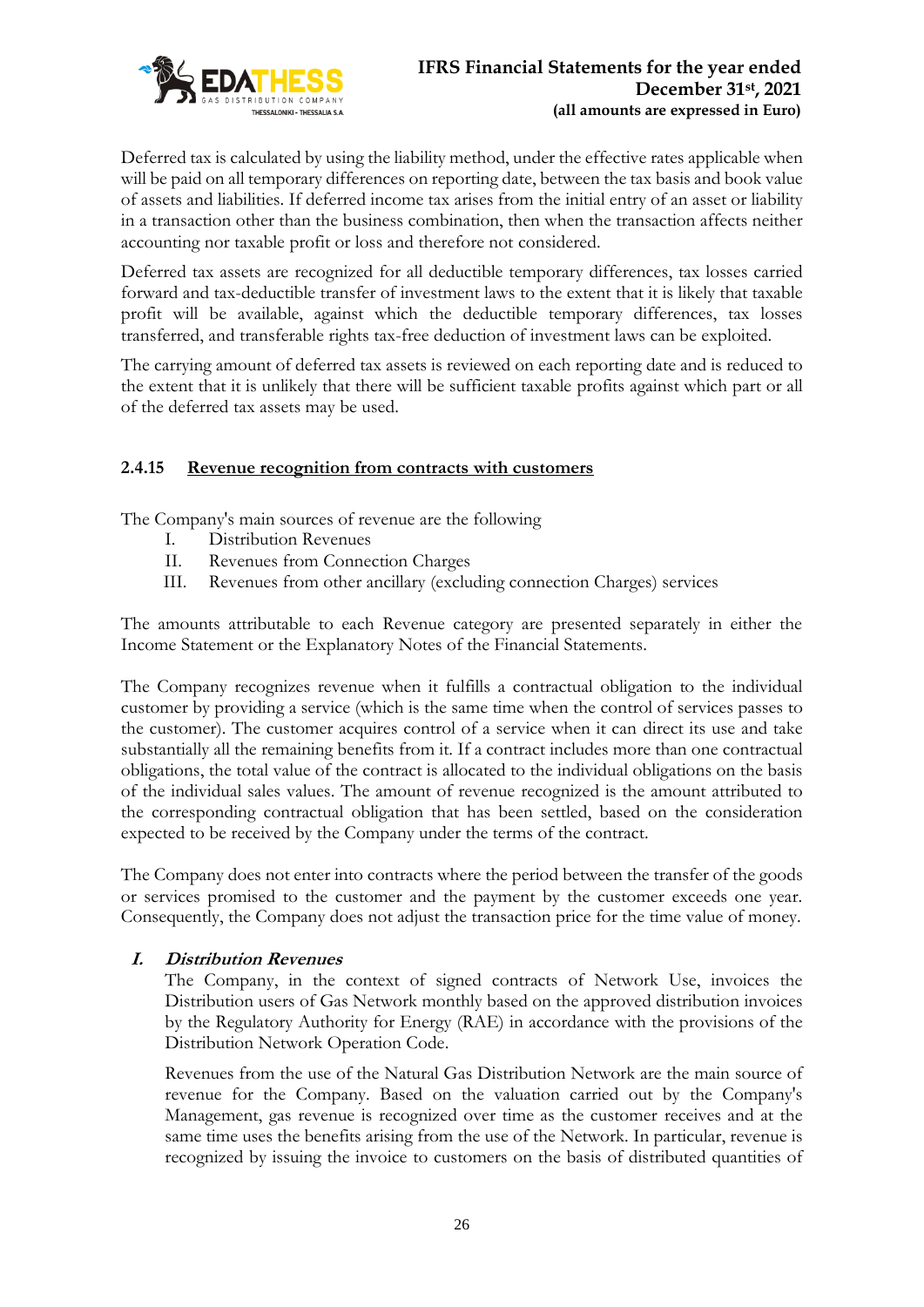

Deferred tax is calculated by using the liability method, under the effective rates applicable when will be paid on all temporary differences on reporting date, between the tax basis and book value of assets and liabilities. If deferred income tax arises from the initial entry of an asset or liability in a transaction other than the business combination, then when the transaction affects neither accounting nor taxable profit or loss and therefore not considered.

Deferred tax assets are recognized for all deductible temporary differences, tax losses carried forward and tax-deductible transfer of investment laws to the extent that it is likely that taxable profit will be available, against which the deductible temporary differences, tax losses transferred, and transferable rights tax-free deduction of investment laws can be exploited.

The carrying amount of deferred tax assets is reviewed on each reporting date and is reduced to the extent that it is unlikely that there will be sufficient taxable profits against which part or all of the deferred tax assets may be used.

# **2.4.15 Revenue recognition from contracts with customers**

The Company's main sources of revenue are the following

- I. Distribution Revenues
- II. Revenues from Connection Charges
- III. Revenues from other ancillary (excluding connection Charges) services

The amounts attributable to each Revenue category are presented separately in either the Income Statement or the Explanatory Notes of the Financial Statements.

The Company recognizes revenue when it fulfills a contractual obligation to the individual customer by providing a service (which is the same time when the control of services passes to the customer). The customer acquires control of a service when it can direct its use and take substantially all the remaining benefits from it. If a contract includes more than one contractual obligations, the total value of the contract is allocated to the individual obligations on the basis of the individual sales values. The amount of revenue recognized is the amount attributed to the corresponding contractual obligation that has been settled, based on the consideration expected to be received by the Company under the terms of the contract.

The Company does not enter into contracts where the period between the transfer of the goods or services promised to the customer and the payment by the customer exceeds one year. Consequently, the Company does not adjust the transaction price for the time value of money.

### **I. Distribution Revenues**

The Company, in the context of signed contracts of Network Use, invoices the Distribution users of Gas Network monthly based on the approved distribution invoices by the Regulatory Authority for Energy (RAE) in accordance with the provisions of the Distribution Network Operation Code.

Revenues from the use of the Natural Gas Distribution Network are the main source of revenue for the Company. Based on the valuation carried out by the Company's Management, gas revenue is recognized over time as the customer receives and at the same time uses the benefits arising from the use of the Network. In particular, revenue is recognized by issuing the invoice to customers on the basis of distributed quantities of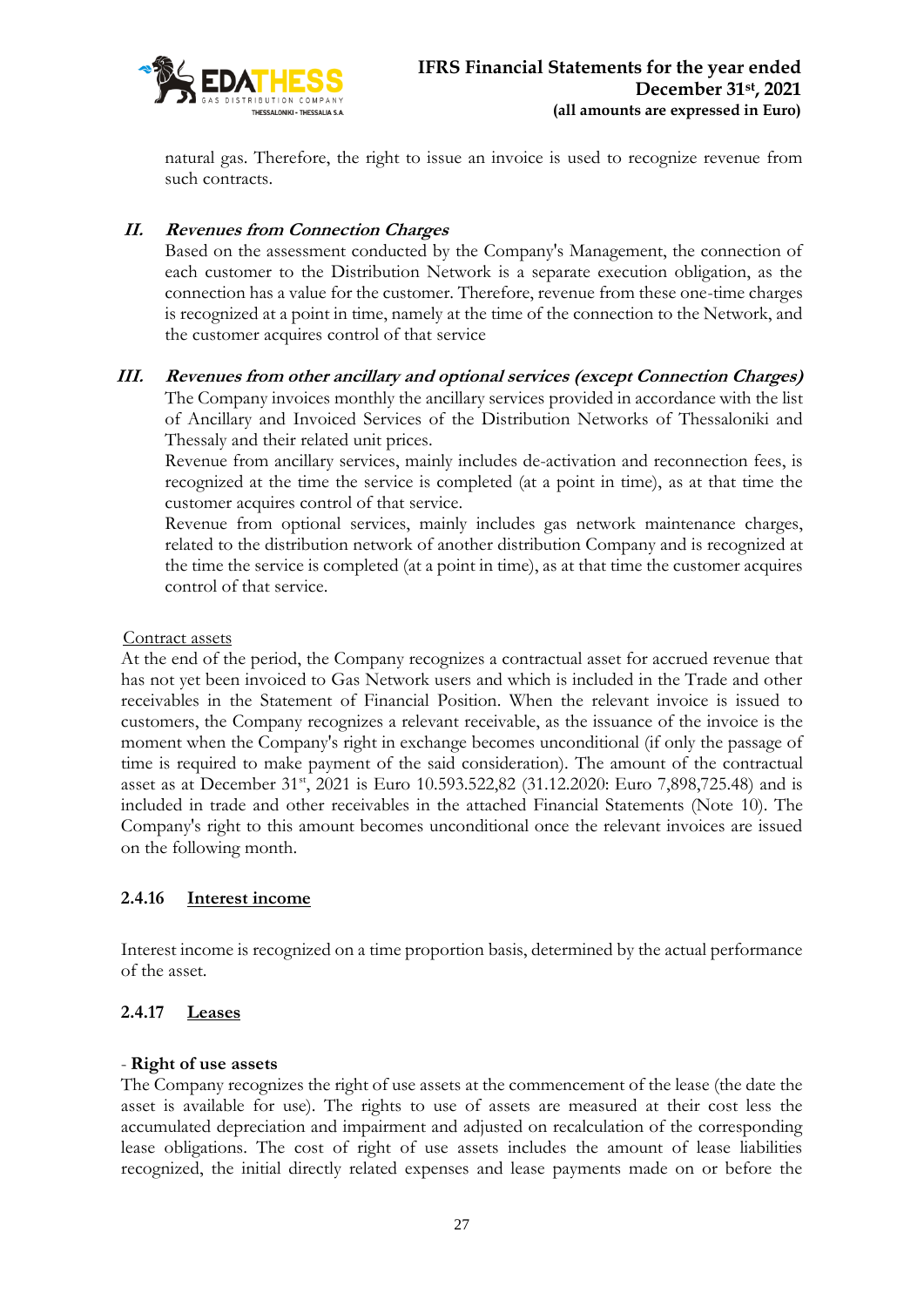

natural gas. Therefore, the right to issue an invoice is used to recognize revenue from such contracts.

# **II. Revenues from Connection Charges**

Based on the assessment conducted by the Company's Management, the connection of each customer to the Distribution Network is a separate execution obligation, as the connection has a value for the customer. Therefore, revenue from these one-time charges is recognized at a point in time, namely at the time of the connection to the Network, and the customer acquires control of that service

# **III. Revenues from other ancillary and optional services (except Connection Charges)**

The Company invoices monthly the ancillary services provided in accordance with the list of Ancillary and Invoiced Services of the Distribution Networks of Thessaloniki and Thessaly and their related unit prices.

Revenue from ancillary services, mainly includes de-activation and reconnection fees, is recognized at the time the service is completed (at a point in time), as at that time the customer acquires control of that service.

Revenue from optional services, mainly includes gas network maintenance charges, related to the distribution network of another distribution Company and is recognized at the time the service is completed (at a point in time), as at that time the customer acquires control of that service.

Contract assets

At the end of the period, the Company recognizes a contractual asset for accrued revenue that has not yet been invoiced to Gas Network users and which is included in the Trade and other receivables in the Statement of Financial Position. When the relevant invoice is issued to customers, the Company recognizes a relevant receivable, as the issuance of the invoice is the moment when the Company's right in exchange becomes unconditional (if only the passage of time is required to make payment of the said consideration). The amount of the contractual asset as at December 31<sup>st</sup>, 2021 is Euro 10.593.522,82 (31.12.2020: Euro 7,898,725.48) and is included in trade and other receivables in the attached Financial Statements (Note 10). The Company's right to this amount becomes unconditional once the relevant invoices are issued on the following month.

### **2.4.16 Interest income**

Interest income is recognized on a time proportion basis, determined by the actual performance of the asset.

### **2.4.17 Leases**

#### - **Right of use assets**

The Company recognizes the right of use assets at the commencement of the lease (the date the asset is available for use). The rights to use of assets are measured at their cost less the accumulated depreciation and impairment and adjusted on recalculation of the corresponding lease obligations. The cost of right of use assets includes the amount of lease liabilities recognized, the initial directly related expenses and lease payments made on or before the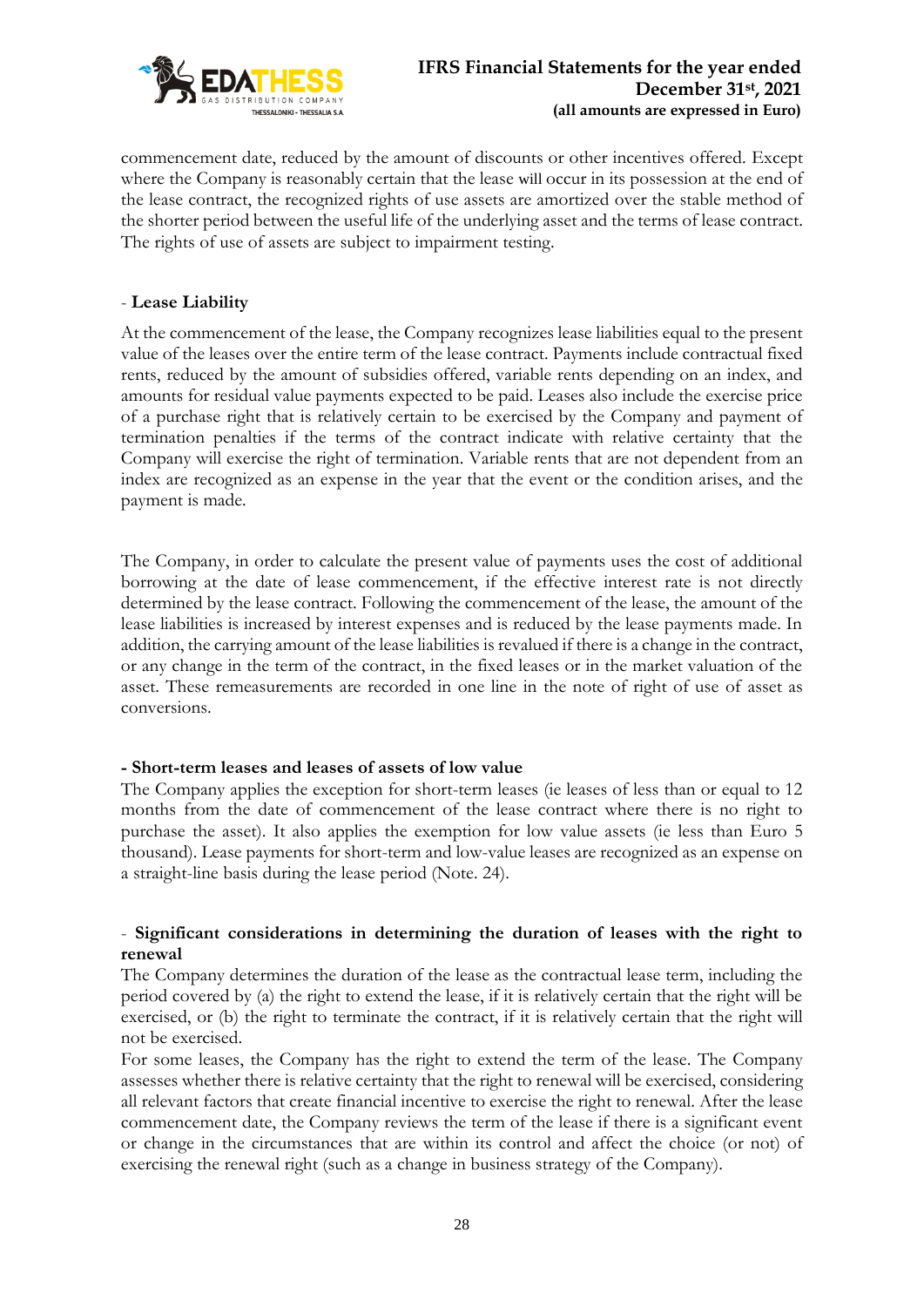

commencement date, reduced by the amount of discounts or other incentives offered. Except where the Company is reasonably certain that the lease will occur in its possession at the end of the lease contract, the recognized rights of use assets are amortized over the stable method of the shorter period between the useful life of the underlying asset and the terms of lease contract. The rights of use of assets are subject to impairment testing.

## - **Lease Liability**

At the commencement of the lease, the Company recognizes lease liabilities equal to the present value of the leases over the entire term of the lease contract. Payments include contractual fixed rents, reduced by the amount of subsidies offered, variable rents depending on an index, and amounts for residual value payments expected to be paid. Leases also include the exercise price of a purchase right that is relatively certain to be exercised by the Company and payment of termination penalties if the terms of the contract indicate with relative certainty that the Company will exercise the right of termination. Variable rents that are not dependent from an index are recognized as an expense in the year that the event or the condition arises, and the payment is made.

The Company, in order to calculate the present value of payments uses the cost of additional borrowing at the date of lease commencement, if the effective interest rate is not directly determined by the lease contract. Following the commencement of the lease, the amount of the lease liabilities is increased by interest expenses and is reduced by the lease payments made. In addition, the carrying amount of the lease liabilities is revalued if there is a change in the contract, or any change in the term of the contract, in the fixed leases or in the market valuation of the asset. These remeasurements are recorded in one line in the note of right of use of asset as conversions.

### **- Short-term leases and leases of assets of low value**

The Company applies the exception for short-term leases (ie leases of less than or equal to 12 months from the date of commencement of the lease contract where there is no right to purchase the asset). It also applies the exemption for low value assets (ie less than Euro 5 thousand). Lease payments for short-term and low-value leases are recognized as an expense on a straight-line basis during the lease period (Note. 24).

# - **Significant considerations in determining the duration of leases with the right to renewal**

The Company determines the duration of the lease as the contractual lease term, including the period covered by (a) the right to extend the lease, if it is relatively certain that the right will be exercised, or (b) the right to terminate the contract, if it is relatively certain that the right will not be exercised.

For some leases, the Company has the right to extend the term of the lease. The Company assesses whether there is relative certainty that the right to renewal will be exercised, considering all relevant factors that create financial incentive to exercise the right to renewal. After the lease commencement date, the Company reviews the term of the lease if there is a significant event or change in the circumstances that are within its control and affect the choice (or not) of exercising the renewal right (such as a change in business strategy of the Company).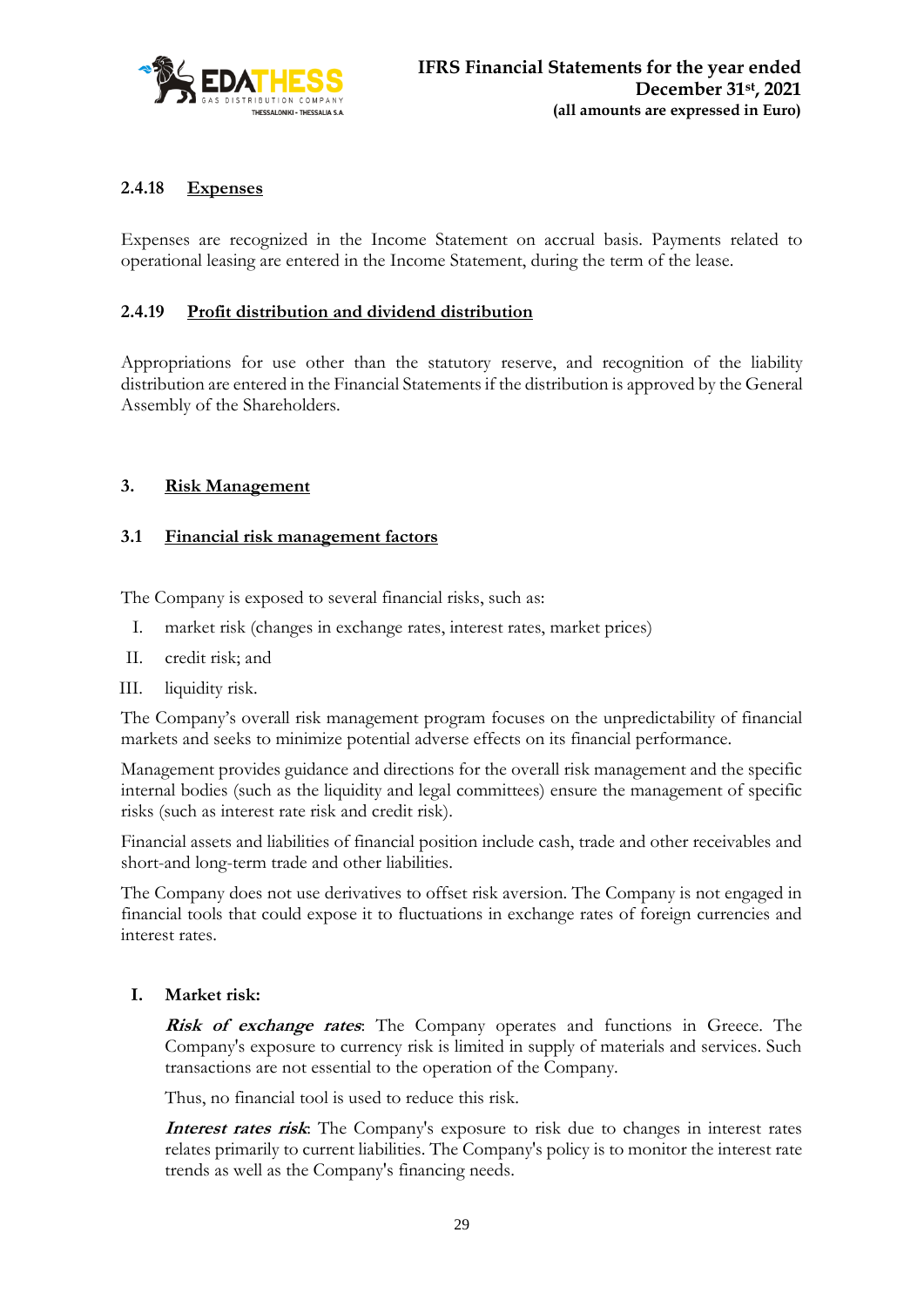

# **2.4.18 Expenses**

Expenses are recognized in the Income Statement on accrual basis. Payments related to operational leasing are entered in the Income Statement, during the term of the lease.

## **2.4.19 Profit distribution and dividend distribution**

Appropriations for use other than the statutory reserve, and recognition of the liability distribution are entered in the Financial Statements if the distribution is approved by the General Assembly of the Shareholders.

# **3. Risk Management**

### **3.1 Financial risk management factors**

The Company is exposed to several financial risks, such as:

- I. market risk (changes in exchange rates, interest rates, market prices)
- II. credit risk; and
- III. liquidity risk.

The Company's overall risk management program focuses on the unpredictability of financial markets and seeks to minimize potential adverse effects on its financial performance.

Management provides guidance and directions for the overall risk management and the specific internal bodies (such as the liquidity and legal committees) ensure the management of specific risks (such as interest rate risk and credit risk).

Financial assets and liabilities of financial position include cash, trade and other receivables and short-and long-term trade and other liabilities.

The Company does not use derivatives to offset risk aversion. The Company is not engaged in financial tools that could expose it to fluctuations in exchange rates of foreign currencies and interest rates.

### **I. Market risk:**

**Risk of exchange rates**: The Company operates and functions in Greece. The Company's exposure to currency risk is limited in supply of materials and services. Such transactions are not essential to the operation of the Company.

Thus, no financial tool is used to reduce this risk.

**Interest rates risk**: The Company's exposure to risk due to changes in interest rates relates primarily to current liabilities. The Company's policy is to monitor the interest rate trends as well as the Company's financing needs.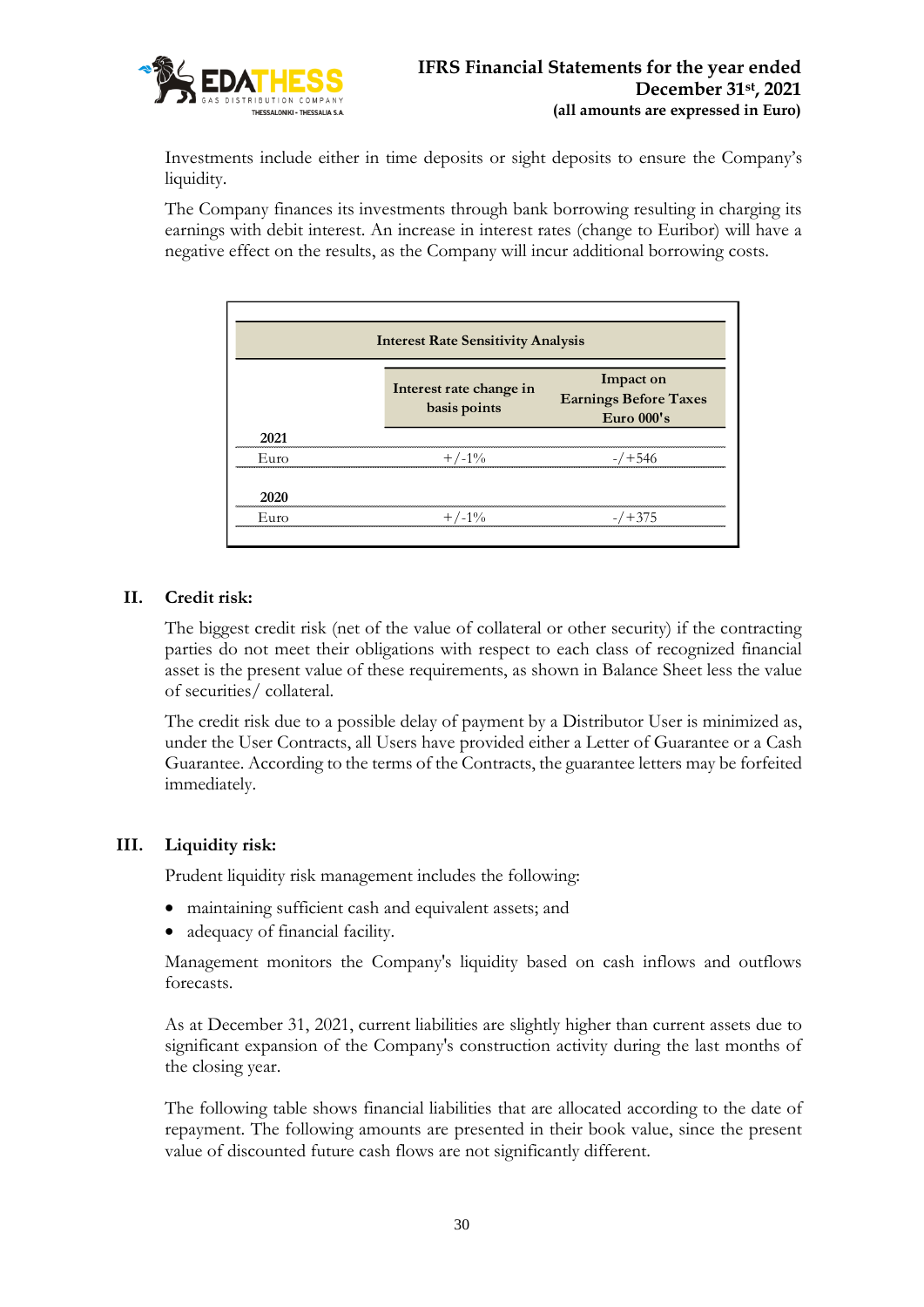

Investments include either in time deposits or sight deposits to ensure the Company's liquidity.

The Company finances its investments through bank borrowing resulting in charging its earnings with debit interest. An increase in interest rates (change to Euribor) will have a negative effect on the results, as the Company will incur additional borrowing costs.

| <b>Interest Rate Sensitivity Analysis</b> |                                         |                                                           |  |  |  |  |
|-------------------------------------------|-----------------------------------------|-----------------------------------------------------------|--|--|--|--|
|                                           | Interest rate change in<br>basis points | Impact on<br><b>Earnings Before Taxes</b><br>Euro $000's$ |  |  |  |  |
| 2021                                      |                                         |                                                           |  |  |  |  |
| Euro                                      | $+/-1\%$                                | $-7 + 546$                                                |  |  |  |  |
| 2020                                      |                                         |                                                           |  |  |  |  |
| Euro                                      | $+/-1\%$                                | $-7 + 375$                                                |  |  |  |  |

# **II. Credit risk:**

The biggest credit risk (net of the value of collateral or other security) if the contracting parties do not meet their obligations with respect to each class of recognized financial asset is the present value of these requirements, as shown in Balance Sheet less the value of securities/ collateral.

The credit risk due to a possible delay of payment by a Distributor User is minimized as, under the User Contracts, all Users have provided either a Letter of Guarantee or a Cash Guarantee. According to the terms of the Contracts, the guarantee letters may be forfeited immediately.

### **III. Liquidity risk:**

Prudent liquidity risk management includes the following:

- maintaining sufficient cash and equivalent assets; and
- adequacy of financial facility.

Management monitors the Company's liquidity based on cash inflows and outflows forecasts.

As at December 31, 2021, current liabilities are slightly higher than current assets due to significant expansion of the Company's construction activity during the last months of the closing year.

The following table shows financial liabilities that are allocated according to the date of repayment. The following amounts are presented in their book value, since the present value of discounted future cash flows are not significantly different.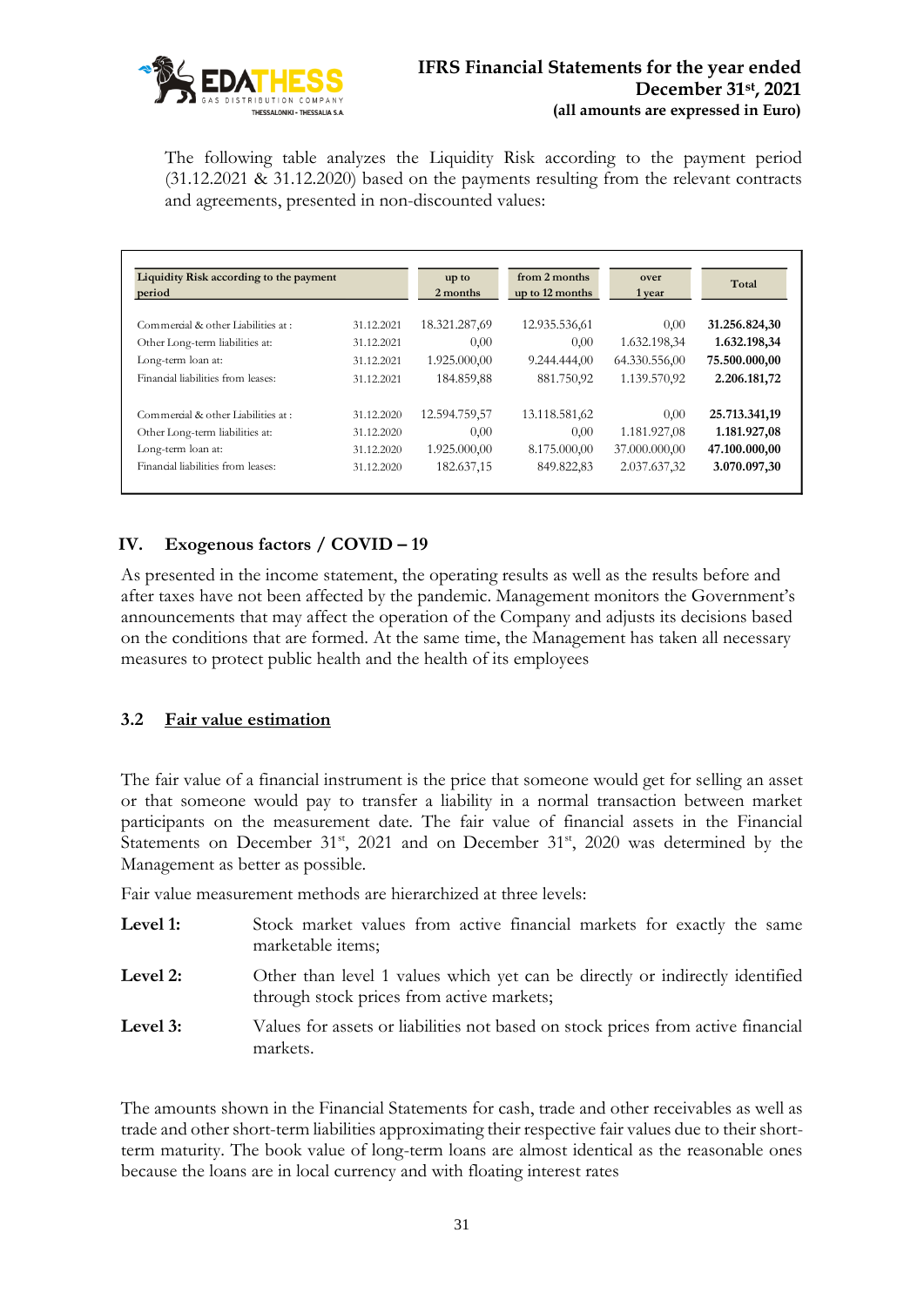

The following table analyzes the Liquidity Risk according to the payment period (31.12.2021 & 31.12.2020) based on the payments resulting from the relevant contracts and agreements, presented in non-discounted values:

| Liquidity Risk according to the payment<br>period |            | up to<br>2 months | from 2 months<br>up to 12 months | over<br>1 year | Total         |
|---------------------------------------------------|------------|-------------------|----------------------------------|----------------|---------------|
| Commercial & other Liabilities at :               | 31.12.2021 | 18.321.287,69     | 12.935.536,61                    | 0,00           | 31.256.824,30 |
| Other Long-term liabilities at:                   | 31.12.2021 | 0,00              | 0,00                             | 1.632.198,34   | 1.632.198,34  |
| Long-term loan at:                                | 31.12.2021 | 1.925.000.00      | 9.244.444,00                     | 64.330.556,00  | 75.500.000,00 |
| Financial liabilities from leases:                | 31.12.2021 | 184.859,88        | 881.750,92                       | 1.139.570,92   | 2.206.181,72  |
| Commercial & other Liabilities at:                | 31.12.2020 | 12.594.759.57     | 13.118.581,62                    | 0.00           | 25.713.341,19 |
| Other Long-term liabilities at:                   | 31.12.2020 | 0,00              | 0,00                             | 1.181.927,08   | 1.181.927,08  |
| Long-term loan at:                                | 31.12.2020 | 1.925.000,00      | 8.175.000,00                     | 37.000.000,00  | 47.100.000,00 |
| Financial liabilities from leases:                | 31.12.2020 | 182.637,15        | 849.822,83                       | 2.037.637,32   | 3.070.097,30  |

# **IV. Exogenous factors / COVID – 19**

As presented in the income statement, the operating results as well as the results before and after taxes have not been affected by the pandemic. Management monitors the Government's announcements that may affect the operation of the Company and adjusts its decisions based on the conditions that are formed. At the same time, the Management has taken all necessary measures to protect public health and the health of its employees

### **3.2 Fair value estimation**

The fair value of a financial instrument is the price that someone would get for selling an asset or that someone would pay to transfer a liability in a normal transaction between market participants on the measurement date. The fair value of financial assets in the Financial Statements on December 31<sup>st</sup>, 2021 and on December 31<sup>st</sup>, 2020 was determined by the Management as better as possible.

Fair value measurement methods are hierarchized at three levels:

- Level 1: Stock market values from active financial markets for exactly the same marketable items;
- Level 2: Other than level 1 values which yet can be directly or indirectly identified through stock prices from active markets;
- Level 3: Values for assets or liabilities not based on stock prices from active financial markets.

The amounts shown in the Financial Statements for cash, trade and other receivables as well as trade and other short-term liabilities approximating their respective fair values due to their shortterm maturity. The book value of long-term loans are almost identical as the reasonable ones because the loans are in local currency and with floating interest rates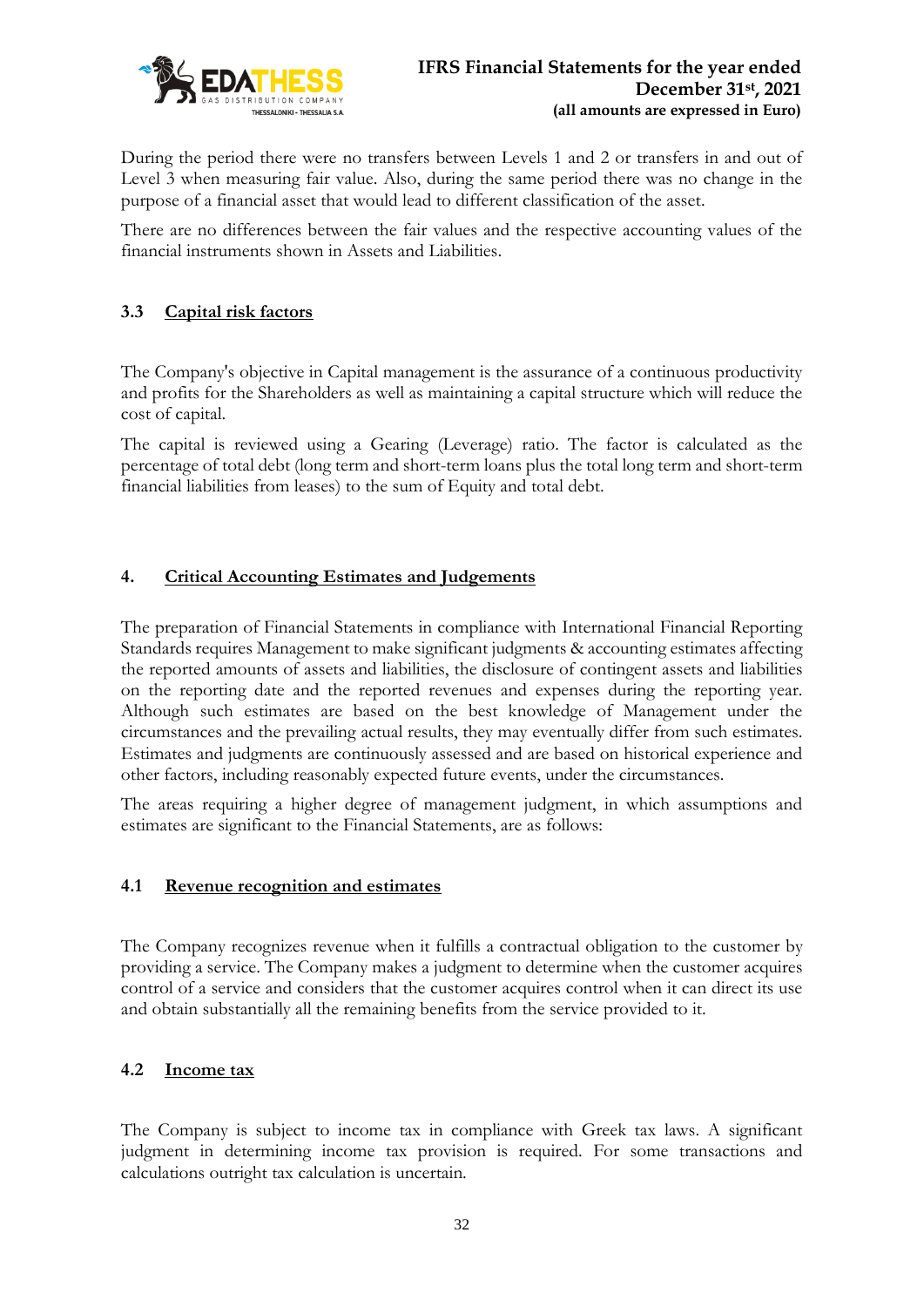

During the period there were no transfers between Levels 1 and 2 or transfers in and out of Level 3 when measuring fair value. Also, during the same period there was no change in the purpose of a financial asset that would lead to different classification of the asset.

There are no differences between the fair values and the respective accounting values of the financial instruments shown in Assets and Liabilities.

# **3.3 Capital risk factors**

The Company's objective in Capital management is the assurance of a continuous productivity and profits for the Shareholders as well as maintaining a capital structure which will reduce the cost of capital.

The capital is reviewed using a Gearing (Leverage) ratio. The factor is calculated as the percentage of total debt (long term and short-term loans plus the total long term and short-term financial liabilities from leases) to the sum of Equity and total debt.

# **4. Critical Accounting Estimates and Judgements**

The preparation of Financial Statements in compliance with International Financial Reporting Standards requires Management to make significant judgments & accounting estimates affecting the reported amounts of assets and liabilities, the disclosure of contingent assets and liabilities on the reporting date and the reported revenues and expenses during the reporting year. Although such estimates are based on the best knowledge of Management under the circumstances and the prevailing actual results, they may eventually differ from such estimates. Estimates and judgments are continuously assessed and are based on historical experience and other factors, including reasonably expected future events, under the circumstances.

The areas requiring a higher degree of management judgment, in which assumptions and estimates are significant to the Financial Statements, are as follows:

### **4.1 Revenue recognition and estimates**

The Company recognizes revenue when it fulfills a contractual obligation to the customer by providing a service. The Company makes a judgment to determine when the customer acquires control of a service and considers that the customer acquires control when it can direct its use and obtain substantially all the remaining benefits from the service provided to it.

### **4.2 Income tax**

The Company is subject to income tax in compliance with Greek tax laws. A significant judgment in determining income tax provision is required. For some transactions and calculations outright tax calculation is uncertain.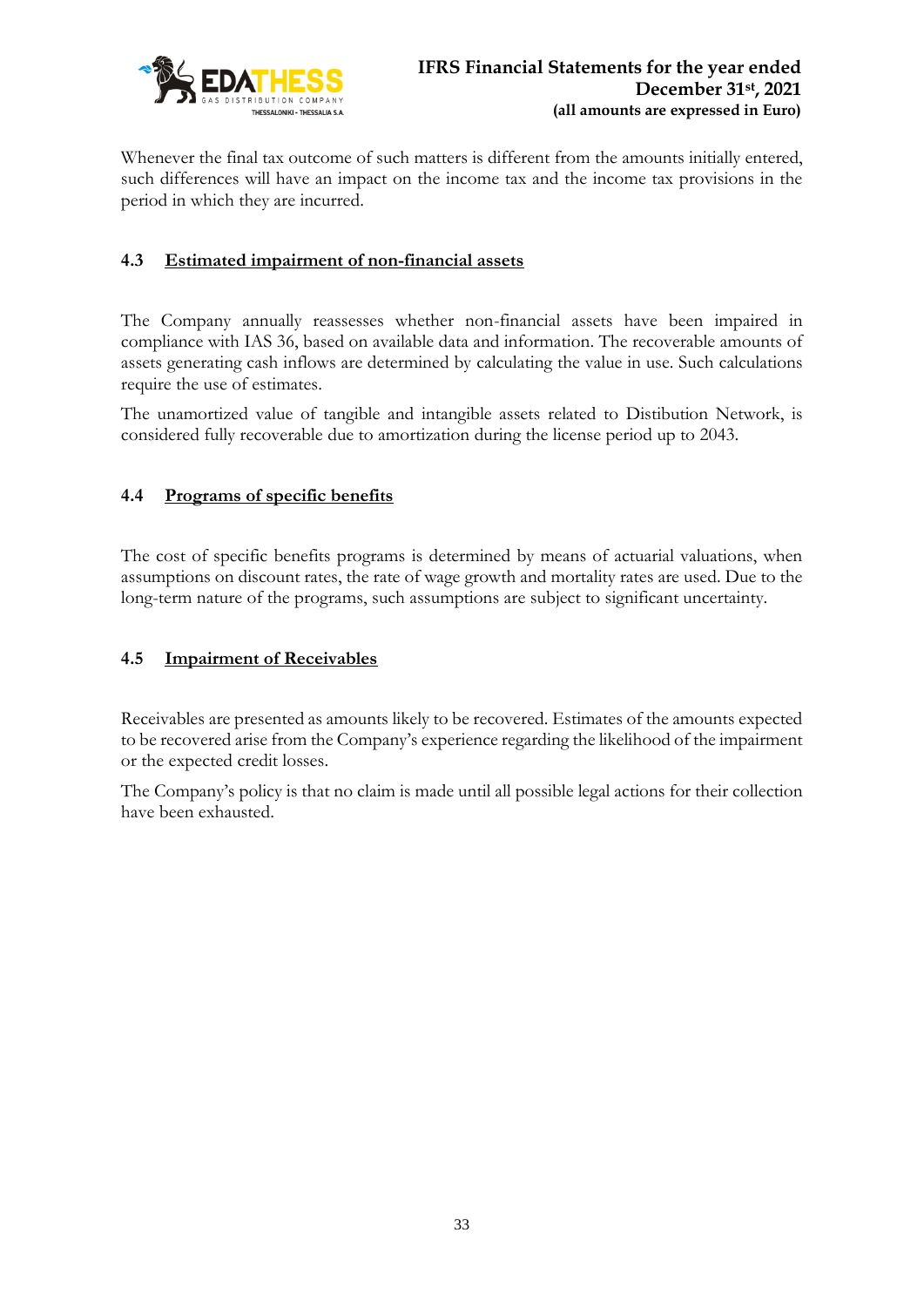

Whenever the final tax outcome of such matters is different from the amounts initially entered, such differences will have an impact on the income tax and the income tax provisions in the period in which they are incurred.

# **4.3 Estimated impairment of non-financial assets**

The Company annually reassesses whether non-financial assets have been impaired in compliance with IAS 36, based on available data and information. The recoverable amounts of assets generating cash inflows are determined by calculating the value in use. Such calculations require the use of estimates.

The unamortized value of tangible and intangible assets related to Distibution Network, is considered fully recoverable due to amortization during the license period up to 2043.

# **4.4 Programs of specific benefits**

The cost of specific benefits programs is determined by means of actuarial valuations, when assumptions on discount rates, the rate of wage growth and mortality rates are used. Due to the long-term nature of the programs, such assumptions are subject to significant uncertainty.

# **4.5 Impairment of Receivables**

Receivables are presented as amounts likely to be recovered. Estimates of the amounts expected to be recovered arise from the Company's experience regarding the likelihood of the impairment or the expected credit losses.

The Company's policy is that no claim is made until all possible legal actions for their collection have been exhausted.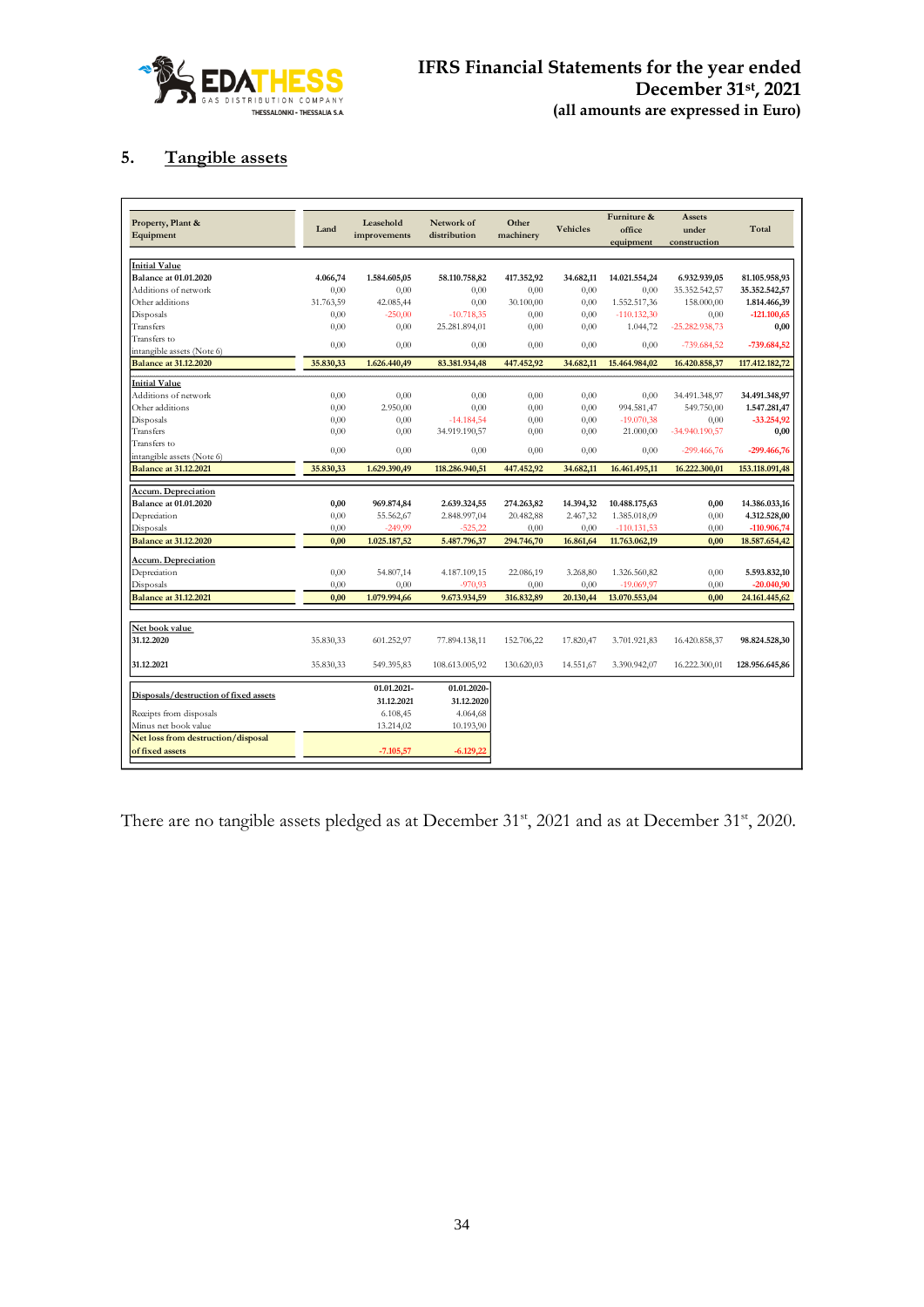

# **5. Tangible assets**

| Property, Plant &<br>Equipment                        | Land      | Leasehold<br>improvements | Network of<br>distribution | Other<br>machinery | <b>Vehicles</b> | Furniture &<br>office<br>equipment | Assets<br>under<br>construction | Total          |
|-------------------------------------------------------|-----------|---------------------------|----------------------------|--------------------|-----------------|------------------------------------|---------------------------------|----------------|
| <b>Initial Value</b>                                  |           |                           |                            |                    |                 |                                    |                                 |                |
| <b>Balance at 01.01.2020</b>                          | 4.066,74  | 1.584.605.05              | 58.110.758.82              | 417.352,92         | 34.682.11       | 14.021.554,24                      | 6.932.939,05                    | 81.105.958,93  |
| Additions of network                                  | 0,00      | 0.00                      | 0.00                       | 0,00               | 0.00            | 0.00                               | 35.352.542,57                   | 35.352.542,57  |
| Other additions                                       | 31.763,59 | 42.085,44                 | 0.00                       | 30.100,00          | 0.00            | 1.552.517.36                       | 158,000,00                      | 1.814.466,39   |
| Disposals                                             | 0,00      | $-250,00$                 | $-10.718,35$               | 0,00               | 0,00            | $-110.132,30$                      | 0,00                            | $-121.100,65$  |
| Transfers                                             | 0,00      | 0,00                      | 25.281.894,01              | 0,00               | 0,00            | 1.044,72                           | -25.282.938,73                  | 0,00           |
| Transfers to                                          | 0,00      | 0,00                      | 0,00                       | 0,00               | 0,00            | 0,00                               | $-739.684,52$                   | $-739.684,52$  |
| intangible assets (Note 6)                            |           |                           |                            |                    |                 |                                    |                                 |                |
| <b>Balance at 31.12.2020</b>                          | 35.830,33 | 1.626.440,49              | 83.381.934,48              | 447.452,92         | 34.682,11       | 15.464.984,02                      | 16.420.858,37                   | 117.412.182,72 |
| <b>Initial Value</b>                                  |           |                           |                            |                    |                 |                                    |                                 |                |
| Additions of network                                  | 0.00      | 0,00                      | 0.00                       | 0.00               | 0.00            | 0.00                               | 34.491.348,97                   | 34.491.348,97  |
| Other additions                                       | 0.00      | 2.950,00                  | 0.00                       | 0.00               | 0.00            | 994.581.47                         | 549.750,00                      | 1.547.281,47   |
| Disposals                                             | 0,00      | 0,00                      | $-14.184,54$               | 0,00               | 0,00            | $-19.070,38$                       | 0,00                            | $-33.254,92$   |
| Transfers                                             | 0.00      | 0,00                      | 34.919.190,57              | 0,00               | 0,00            | 21.000,00                          | -34.940.190,57                  | 0,00           |
| Transfers to                                          | 0.00      | 0.00                      | 0.00                       | 0.00               | 0.00            | 0.00                               | $-299.466,76$                   | -299.466,76    |
| intangible assets (Note 6)                            |           |                           |                            |                    |                 |                                    |                                 |                |
| <b>Balance at 31.12.2021</b>                          | 35.830,33 | 1.629.390,49              | 118.286.940,51             | 447.452,92         | 34.682,11       | 16.461.495,11                      | 16.222.300,01                   | 153.118.091,48 |
| <b>Accum. Depreciation</b>                            |           |                           |                            |                    |                 |                                    |                                 |                |
| <b>Balance at 01.01.2020</b>                          | 0,00      | 969.874,84                | 2.639.324,55               | 274.263,82         | 14.394,32       | 10.488.175,63                      | 0,00                            | 14.386.033,16  |
| Depreciation                                          | 0.00      | 55.562,67                 | 2.848.997,04               | 20.482,88          | 2.467,32        | 1.385.018,09                       | 0.00                            | 4.312.528,00   |
| Disposals                                             | 0.00      | $-249.99$                 | $-525,22$                  | 0,00               | 0.00            | $-110.131.53$                      | 0.00                            | -110.906,74    |
| <b>Balance at 31.12.2020</b>                          | 0.00      | 1.025.187,52              | 5.487.796,37               | 294.746,70         | 16.861,64       | 11.763.062,19                      | 0.00                            | 18.587.654,42  |
| <b>Accum.</b> Depreciation                            |           |                           |                            |                    |                 |                                    |                                 |                |
| Depreciation                                          | 0.00      | 54.807,14                 | 4.187.109,15               | 22.086,19          | 3.268,80        | 1.326.560,82                       | 0,00                            | 5.593.832,10   |
| Disposals                                             | 0.00      | 0,00                      | $-970,93$                  | 0,00               | 0,00            | $-19.069,97$                       | 0,00                            | $-20.040,90$   |
| <b>Balance at 31.12.2021</b>                          | 0.00      | 1.079.994,66              | 9.673.934,59               | 316.832,89         | 20.130,44       | 13.070.553,04                      | 0,00                            | 24.161.445,62  |
|                                                       |           |                           |                            |                    |                 |                                    |                                 |                |
| Net book value                                        |           |                           |                            |                    |                 |                                    |                                 |                |
| 31.12.2020                                            | 35.830,33 | 601.252,97                | 77.894.138,11              | 152.706,22         | 17.820,47       | 3.701.921,83                       | 16.420.858,37                   | 98.824.528,30  |
| 31.12.2021                                            | 35.830,33 | 549.395,83                | 108.613.005,92             | 130.620,03         | 14.551,67       | 3.390.942,07                       | 16.222.300,01                   | 128.956.645,86 |
| Disposals/destruction of fixed assets                 |           | 01.01.2021-<br>31.12.2021 | 01.01.2020-<br>31.12.2020  |                    |                 |                                    |                                 |                |
| Receipts from disposals                               |           | 6.108,45                  | 4.064,68                   |                    |                 |                                    |                                 |                |
| Minus net book value                                  |           | 13.214,02                 | 10.193,90                  |                    |                 |                                    |                                 |                |
| Net loss from destruction/disposal<br>of fixed assets |           | $-7.105,57$               | $-6.129.22$                |                    |                 |                                    |                                 |                |

There are no tangible assets pledged as at December 31<sup>st</sup>, 2021 and as at December 31<sup>st</sup>, 2020.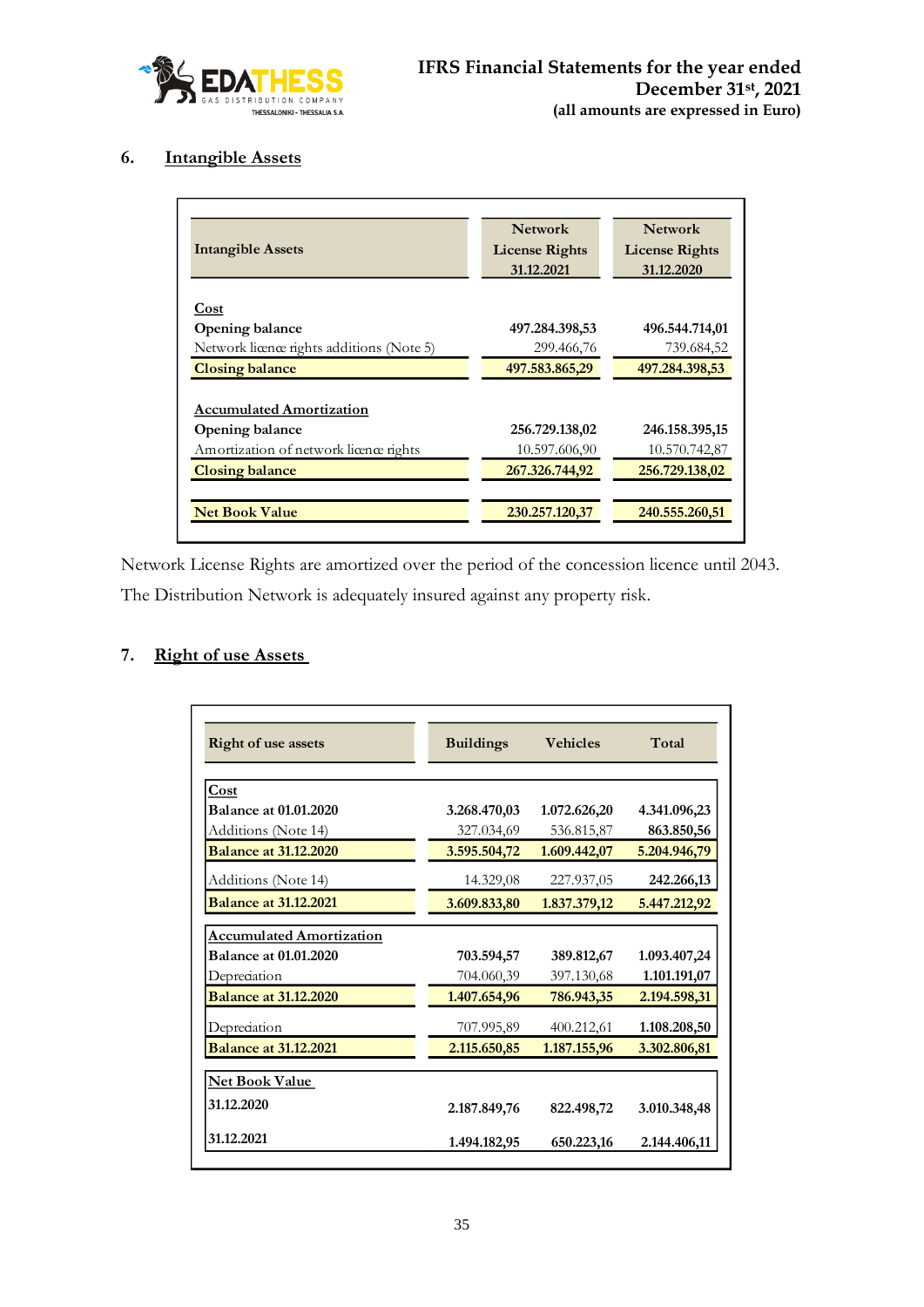

# **6. Intangible Assets**

|                                           | <b>Network</b>        | <b>Network</b>        |
|-------------------------------------------|-----------------------|-----------------------|
| <b>Intangible Assets</b>                  | <b>License Rights</b> | <b>License Rights</b> |
|                                           | 31.12.2021            | 31.12.2020            |
|                                           |                       |                       |
| Cost                                      |                       |                       |
| <b>Opening balance</b>                    | 497.284.398,53        | 496.544.714,01        |
| Network licence rights additions (Note 5) | 299.466,76            | 739.684,52            |
| <b>Closing balance</b>                    | 497.583.865,29        | 497.284.398,53        |
|                                           |                       |                       |
| <b>Accumulated Amortization</b>           |                       |                       |
| Opening balance                           | 256.729.138,02        | 246.158.395,15        |
| Amortization of network licence rights    | 10.597.606,90         | 10.570.742,87         |
| <b>Closing balance</b>                    | 267.326.744,92        | 256.729.138,02        |
| <b>Net Book Value</b>                     | 230.257.120,37        | 240.555.260,51        |

Network License Rights are amortized over the period of the concession licence until 2043. The Distribution Network is adequately insured against any property risk.

# **7. Right of use Assets**

|                                                                 |                  | <b>Vehicles</b> | Total        |
|-----------------------------------------------------------------|------------------|-----------------|--------------|
| <b>Right of use assets</b>                                      | <b>Buildings</b> |                 |              |
| Cost                                                            |                  |                 |              |
| <b>Balance at 01.01.2020</b>                                    | 3.268.470,03     | 1.072.626,20    | 4.341.096,23 |
| Additions (Note 14)                                             | 327.034,69       | 536.815,87      | 863.850,56   |
| <b>Balance at 31.12.2020</b>                                    | 3.595.504,72     | 1.609.442,07    | 5.204.946,79 |
| Additions (Note 14)                                             | 14.329,08        | 227.937,05      | 242.266,13   |
| <b>Balance at 31.12.2021</b>                                    | 3.609.833,80     | 1.837.379,12    | 5.447.212,92 |
|                                                                 |                  |                 |              |
| <b>Accumulated Amortization</b><br><b>Balance at 01.01.2020</b> | 703.594,57       | 389.812,67      | 1.093.407,24 |
| Depredation                                                     | 704.060,39       | 397.130,68      | 1.101.191,07 |
| <b>Balance at 31.12.2020</b>                                    | 1.407.654,96     | 786.943,35      | 2.194.598,31 |
| Depredation                                                     | 707.995,89       | 400.212,61      | 1.108.208,50 |
| <b>Balance at 31.12.2021</b>                                    | 2.115.650,85     | 1.187.155,96    | 3.302.806,81 |
| <b>Net Book Value</b>                                           |                  |                 |              |
| 31.12.2020                                                      | 2.187.849,76     | 822.498,72      | 3.010.348,48 |
| 31.12.2021                                                      | 1.494.182,95     | 650.223,16      | 2.144.406,11 |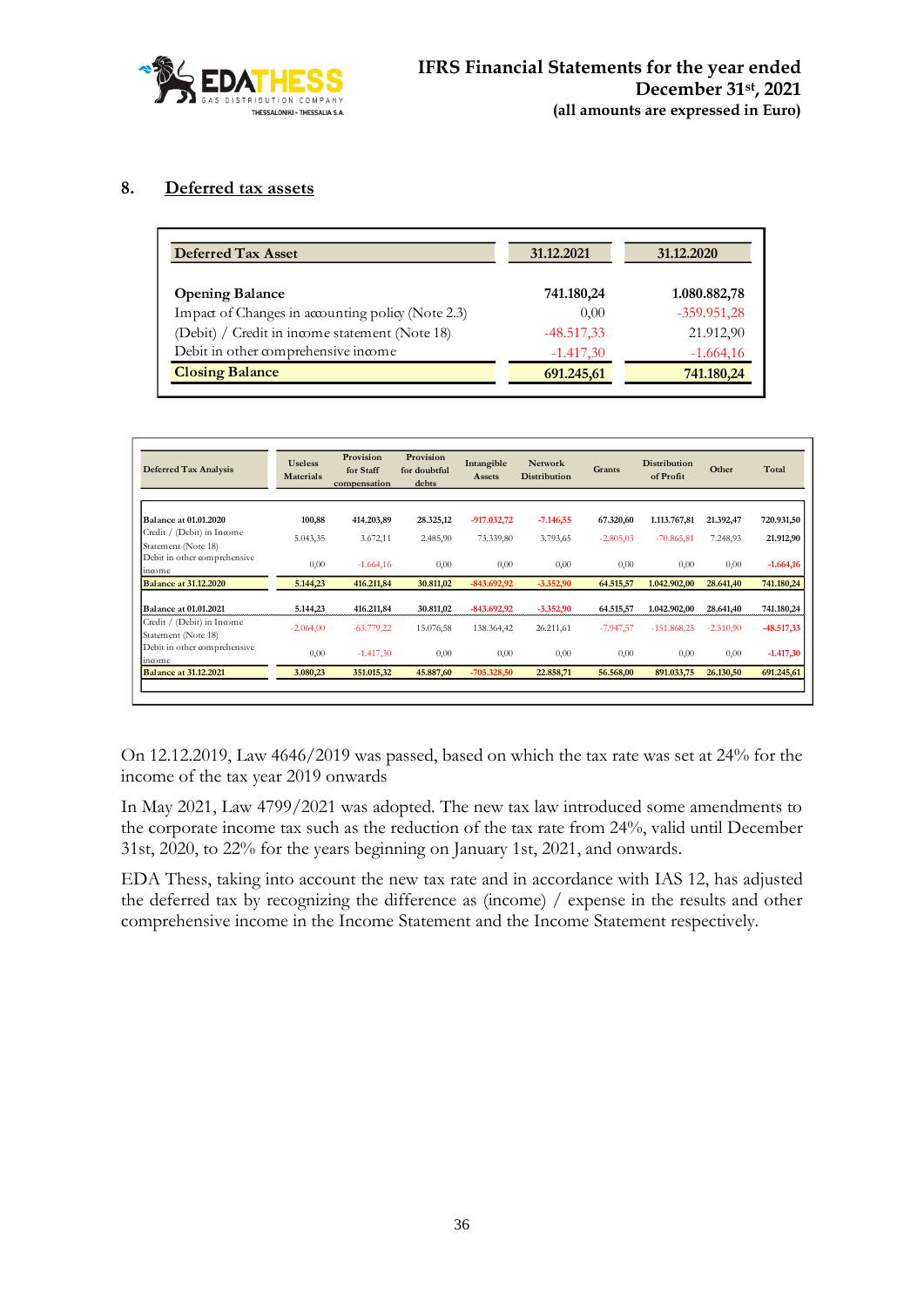

### **8. Deferred tax assets**

| <b>Deferred Tax Asset</b>                         | 31.12.2021   | 31.12.2020    |
|---------------------------------------------------|--------------|---------------|
| <b>Opening Balance</b>                            | 741.180,24   | 1.080.882,78  |
| Impact of Changes in accounting policy (Note 2.3) | 0.00         | $-359.951,28$ |
| (Debit) / Credit in income statement (Note 18)    | $-48.517,33$ | 21.912,90     |
| Debit in other comprehensive income               | $-1.417,30$  | $-1.664,16$   |
| <b>Closing Balance</b>                            | 691.245,61   | 741.180,24    |

| <b>Deferred Tax Analysis</b>                      | <b>Useless</b><br><b>Materials</b> | Provision<br>for Staff<br>compensation | Provision<br>for doubtful<br>debts | Intangible<br>Assets | <b>Network</b><br><b>Distribution</b> | Grants      | <b>Distribution</b><br>of Profit | Other       | Total        |
|---------------------------------------------------|------------------------------------|----------------------------------------|------------------------------------|----------------------|---------------------------------------|-------------|----------------------------------|-------------|--------------|
|                                                   |                                    |                                        |                                    |                      |                                       |             |                                  |             |              |
| <b>Balance at 01.01.2020</b>                      | 100,88                             | 414.203,89                             | 28.325,12                          | $-917.032,72$        | $-7.146,55$                           | 67.320,60   | 1,113,767,81                     | 21.392,47   | 720.931,50   |
| Credit / (Debit) in Income<br>Statement (Note 18) | 5.043,35                           | 3.672,11                               | 2.485,90                           | 73.339,80            | 3.793,65                              | $-2.805,03$ | $-70.865,81$                     | 7.248,93    | 21.912,90    |
| Debit in other comprehensive<br>income            | 0,00                               | $-1.664,16$                            | 0,00                               | 0,00                 | 0,00                                  | 0,00        | 0,00                             | 0,00        | $-1.664,16$  |
| <b>Balance at 31.12.2020</b>                      | 5.144,23                           | 416.211,84                             | 30.811,02                          | $-843.692,92$        | $-3.352,90$                           | 64.515,57   | 1.042.902.00                     | 28.641,40   | 741.180,24   |
| <b>Balance at 01.01.2021</b>                      | 5.144,23                           | 416.211,84                             | 30.811,02                          | $-843.692,92$        | $-3.352,90$                           | 64.515,57   | 1.042.902,00                     | 28.641,40   | 741.180,24   |
| Credit / (Debit) in Income<br>Statement (Note 18) | $-2.064,00$                        | $-63.779,22$                           | 15.076,58                          | 138.364,42           | 26.211,61                             | $-7.947,57$ | $-151.868,25$                    | $-2.510,90$ | $-48.517,33$ |
| Debit in other comprehensive<br>income            | 0,00                               | $-1.417,30$                            | 0,00                               | 0,00                 | 0,00                                  | 0,00        | 0,00                             | 0,00        | $-1.417,30$  |
| <b>Balance at 31.12.2021</b>                      | 3.080,23                           | 351.015,32                             | 45.887,60                          | $-705.328,50$        | 22.858,71                             | 56.568,00   | 891.033,75                       | 26.130,50   | 691.245,61   |

On 12.12.2019, Law 4646/2019 was passed, based on which the tax rate was set at 24% for the income of the tax year 2019 onwards

In May 2021, Law 4799/2021 was adopted. The new tax law introduced some amendments to the corporate income tax such as the reduction of the tax rate from 24%, valid until December 31st, 2020, to 22% for the years beginning on January 1st, 2021, and onwards.

EDA Thess, taking into account the new tax rate and in accordance with IAS 12, has adjusted the deferred tax by recognizing the difference as (income) / expense in the results and other comprehensive income in the Income Statement and the Income Statement respectively.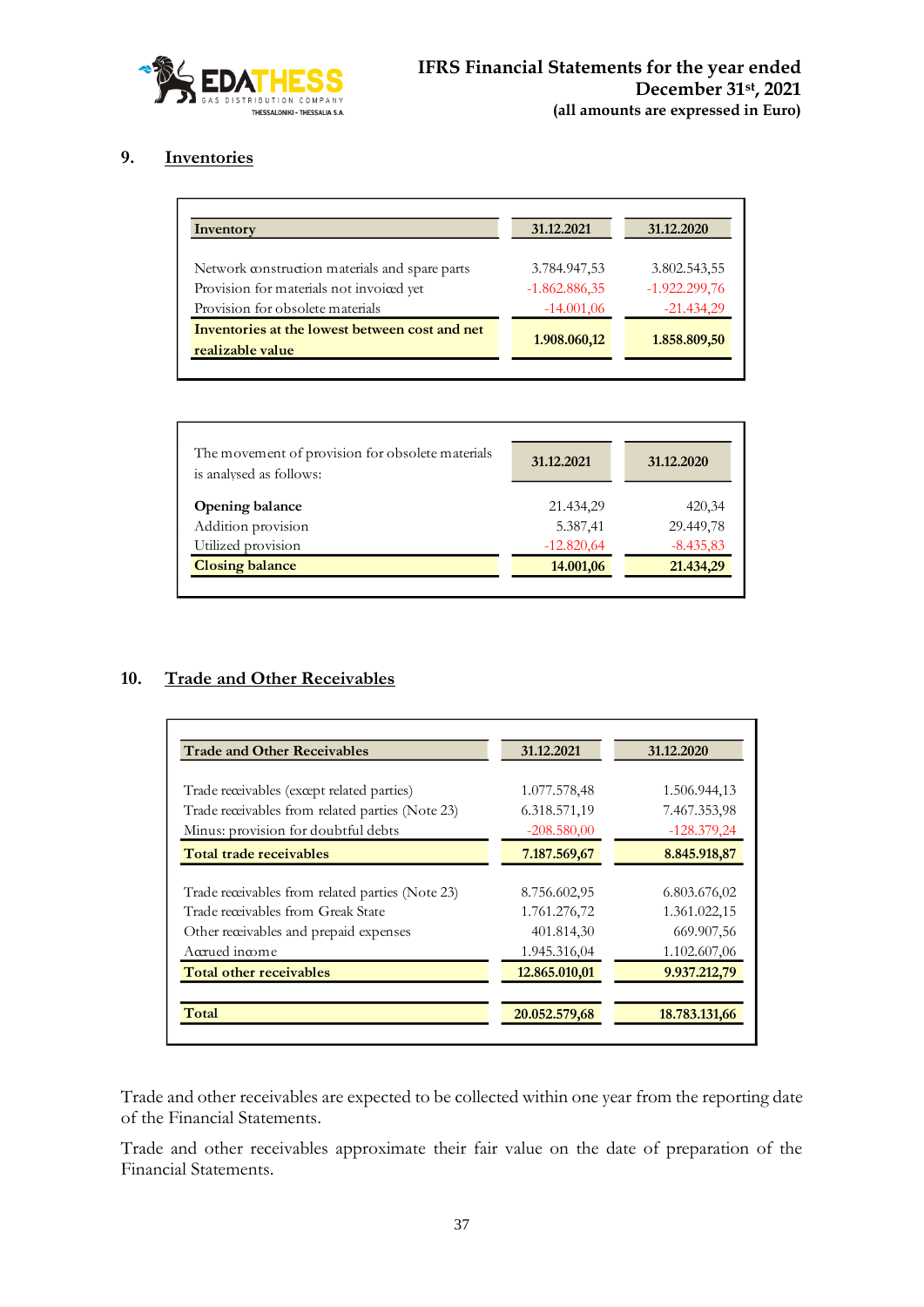

# **9. Inventories**

| 31.12.2021      | 31.12.2020      |
|-----------------|-----------------|
| 3.784.947,53    | 3.802.543,55    |
| $-1.862.886,35$ | $-1.922.299,76$ |
| $-14.001,06$    | $-21.434,29$    |
| 1.908.060,12    | 1.858.809,50    |
|                 |                 |

| The movement of provision for obsolete materials<br>is analysed as follows: | 31.12.2021   | 31.12.2020  |
|-----------------------------------------------------------------------------|--------------|-------------|
| Opening balance                                                             | 21.434,29    | 420,34      |
| Addition provision                                                          | 5.387,41     | 29.449,78   |
| Utilized provision                                                          | $-12.820,64$ | $-8.435,83$ |
| <b>Closing balance</b>                                                      | 14.001,06    | 21.434,29   |

# **10. Trade and Other Receivables**

| <b>Trade and Other Receivables</b>               | 31.12.2021    | 31.12.2020    |  |
|--------------------------------------------------|---------------|---------------|--|
|                                                  |               |               |  |
| Trade receivables (except related parties)       | 1.077.578,48  | 1.506.944,13  |  |
| Trade receivables from related parties (Note 23) | 6.318.571,19  | 7.467.353,98  |  |
| Minus: provision for doubtful debts              | $-208.580,00$ | $-128.379.24$ |  |
| Total trade receivables                          | 7.187.569,67  | 8.845.918,87  |  |
|                                                  |               |               |  |
| Trade receivables from related parties (Note 23) | 8.756.602,95  | 6.803.676,02  |  |
| Trade receivables from Greak State               | 1.761.276,72  | 1.361.022,15  |  |
| Other receivables and prepaid expenses           | 401.814,30    | 669.907,56    |  |
| Accrued income                                   | 1.945.316,04  | 1.102.607,06  |  |
| Total other receivables                          | 12.865.010,01 | 9.937.212,79  |  |
|                                                  |               | 18.783.131,66 |  |
|                                                  |               | 20.052.579,68 |  |

Trade and other receivables are expected to be collected within one year from the reporting date of the Financial Statements.

Trade and other receivables approximate their fair value on the date of preparation of the Financial Statements.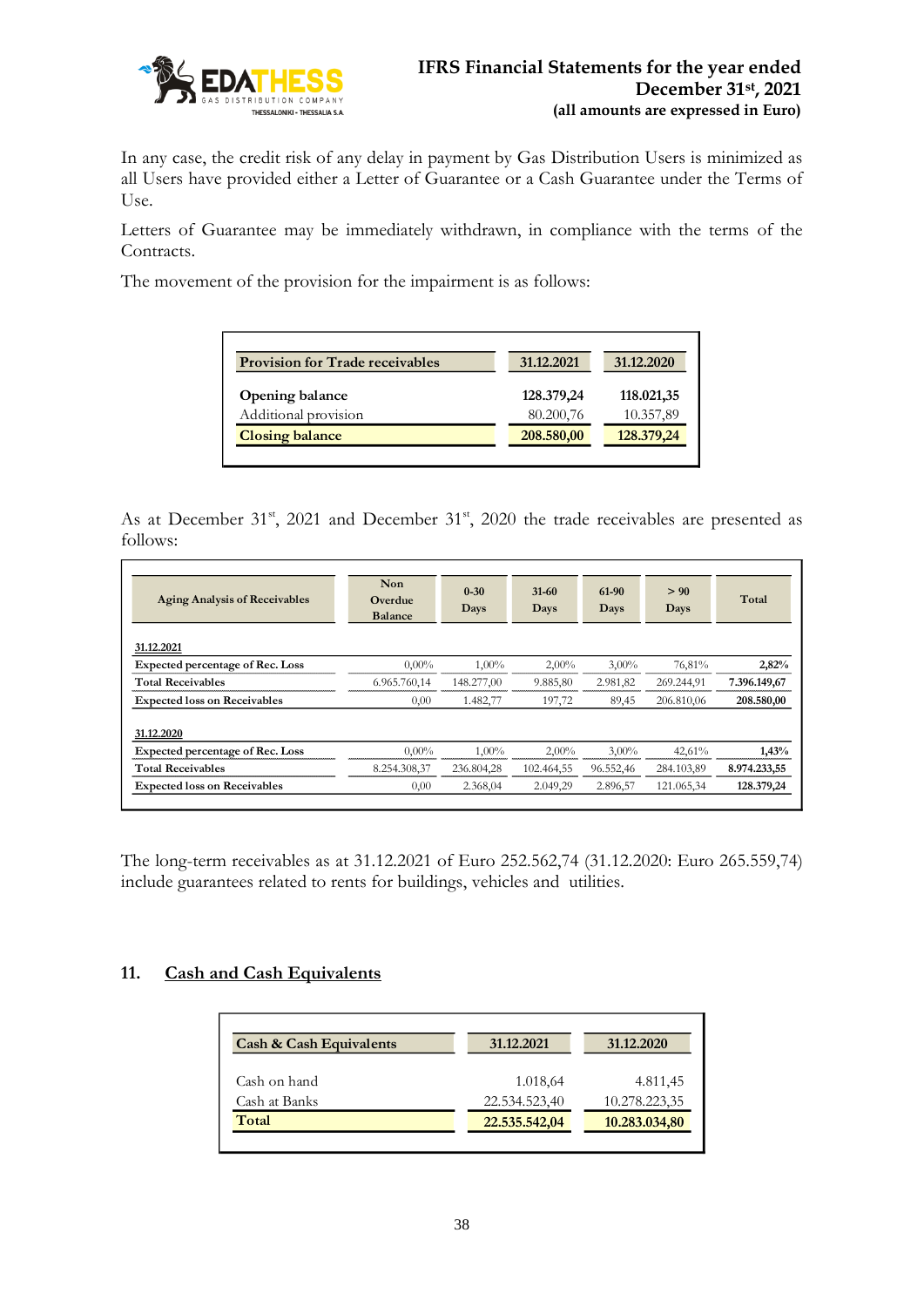

In any case, the credit risk of any delay in payment by Gas Distribution Users is minimized as all Users have provided either a Letter of Guarantee or a Cash Guarantee under the Terms of Use.

Letters of Guarantee may be immediately withdrawn, in compliance with the terms of the Contracts.

The movement of the provision for the impairment is as follows:

| <b>Provision for Trade receivables</b> | 31.12.2021 | 31.12.2020 |
|----------------------------------------|------------|------------|
| Opening balance                        | 128.379,24 | 118.021,35 |
| Additional provision                   | 80.200,76  | 10.357,89  |
| <b>Closing balance</b>                 | 208.580,00 | 128.379,24 |
|                                        |            |            |

As at December 31<sup>st</sup>, 2021 and December 31<sup>st</sup>, 2020 the trade receivables are presented as follows:

| <b>Aging Analysis of Receivables</b>    | Non<br>Overdue<br><b>Balance</b> | $0 - 30$<br>Days | $31-60$<br>Days | 61-90<br>Days | > 90<br>Days | Total        |
|-----------------------------------------|----------------------------------|------------------|-----------------|---------------|--------------|--------------|
| 31.12.2021                              |                                  |                  |                 |               |              |              |
| <b>Expected percentage of Rec. Loss</b> | $0.00\%$                         | $1,00\%$         | $2,00\%$        | $3,00\%$      | 76,81%       | 2,82%        |
| <b>Total Receivables</b>                | 6.965.760,14                     | 148.277,00       | 9.885,80        | 2.981,82      | 269.244,91   | 7.396.149,67 |
| <b>Expected loss on Receivables</b>     | 0,00                             | 1.482,77         | 197,72          | 89,45         | 206.810,06   | 208.580,00   |
| 31.12.2020                              |                                  |                  |                 |               |              |              |
| <b>Expected percentage of Rec. Loss</b> | $0.00\%$                         | $1.00\%$         | $2,00\%$        | $3,00\%$      | 42,61%       | 1,43%        |
| <b>Total Receivables</b>                | 8.254.308,37                     | 236.804,28       | 102.464,55      | 96.552,46     | 284.103,89   | 8.974.233,55 |
| <b>Expected loss on Receivables</b>     | 0,00                             | 2.368,04         | 2.049,29        | 2.896,57      | 121.065.34   | 128.379,24   |

The long-term receivables as at 31.12.2021 of Euro 252.562,74 (31.12.2020: Euro 265.559,74) include guarantees related to rents for buildings, vehicles and utilities.

### **11. Cash and Cash Equivalents**

| <b>Cash &amp; Cash Equivalents</b> | 31.12.2021    | 31.12.2020    |
|------------------------------------|---------------|---------------|
| Cash on hand                       | 1.018,64      | 4.811,45      |
| Cash at Banks                      | 22.534.523,40 | 10.278.223,35 |
| Total                              | 22.535.542,04 | 10.283.034,80 |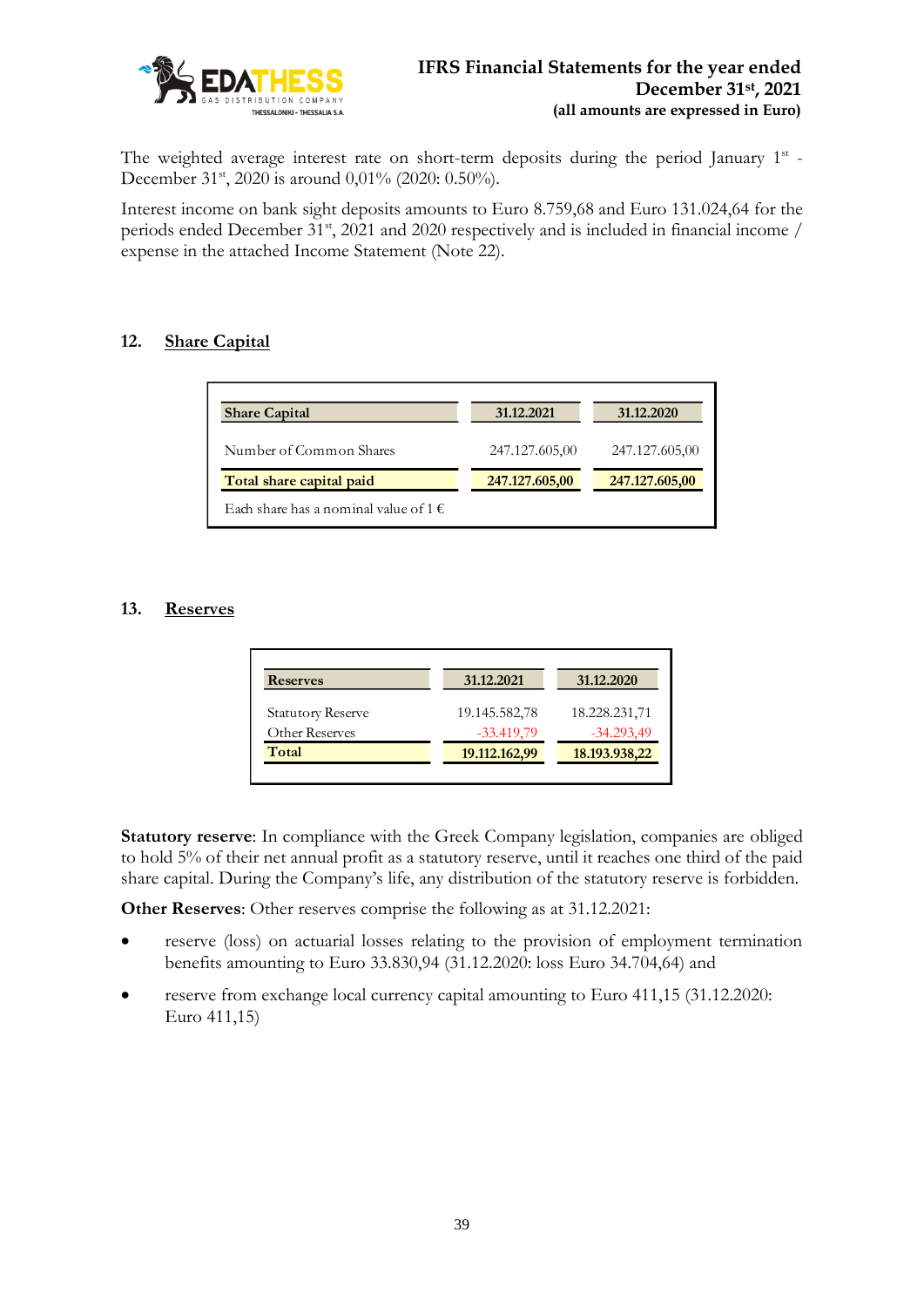

The weighted average interest rate on short-term deposits during the period January 1st -December 31<sup>st</sup>, 2020 is around 0,01% (2020: 0.50%).

Interest income on bank sight deposits amounts to Euro 8.759,68 and Euro 131.024,64 for the periods ended December 31<sup>st</sup>, 2021 and 2020 respectively and is included in financial income / expense in the attached Income Statement (Note 22).

# **12. Share Capital**

| <b>Share Capital</b>                           | 31.12.2021     | 31.12.2020     |
|------------------------------------------------|----------------|----------------|
| Number of Common Shares                        | 247.127.605,00 | 247.127.605,00 |
| Total share capital paid                       | 247.127.605,00 | 247.127.605,00 |
| Each share has a nominal value of 1 $\epsilon$ |                |                |

# **13. Reserves**

| <b>Reserves</b>          | 31.12.2021    | 31.12.2020    |
|--------------------------|---------------|---------------|
| <b>Statutory Reserve</b> | 19.145.582,78 | 18.228.231,71 |
| Other Reserves           | $-33.419,79$  | $-34.293,49$  |
| Total                    | 19.112.162,99 | 18.193.938,22 |

**Statutory reserve**: In compliance with the Greek Company legislation, companies are obliged to hold 5% of their net annual profit as a statutory reserve, until it reaches one third of the paid share capital. During the Company's life, any distribution of the statutory reserve is forbidden.

**Other Reserves**: Other reserves comprise the following as at 31.12.2021:

- reserve (loss) on actuarial losses relating to the provision of employment termination benefits amounting to Euro 33.830,94 (31.12.2020: loss Euro 34.704,64) and
- reserve from exchange local currency capital amounting to Euro 411,15 (31.12.2020: Euro 411,15)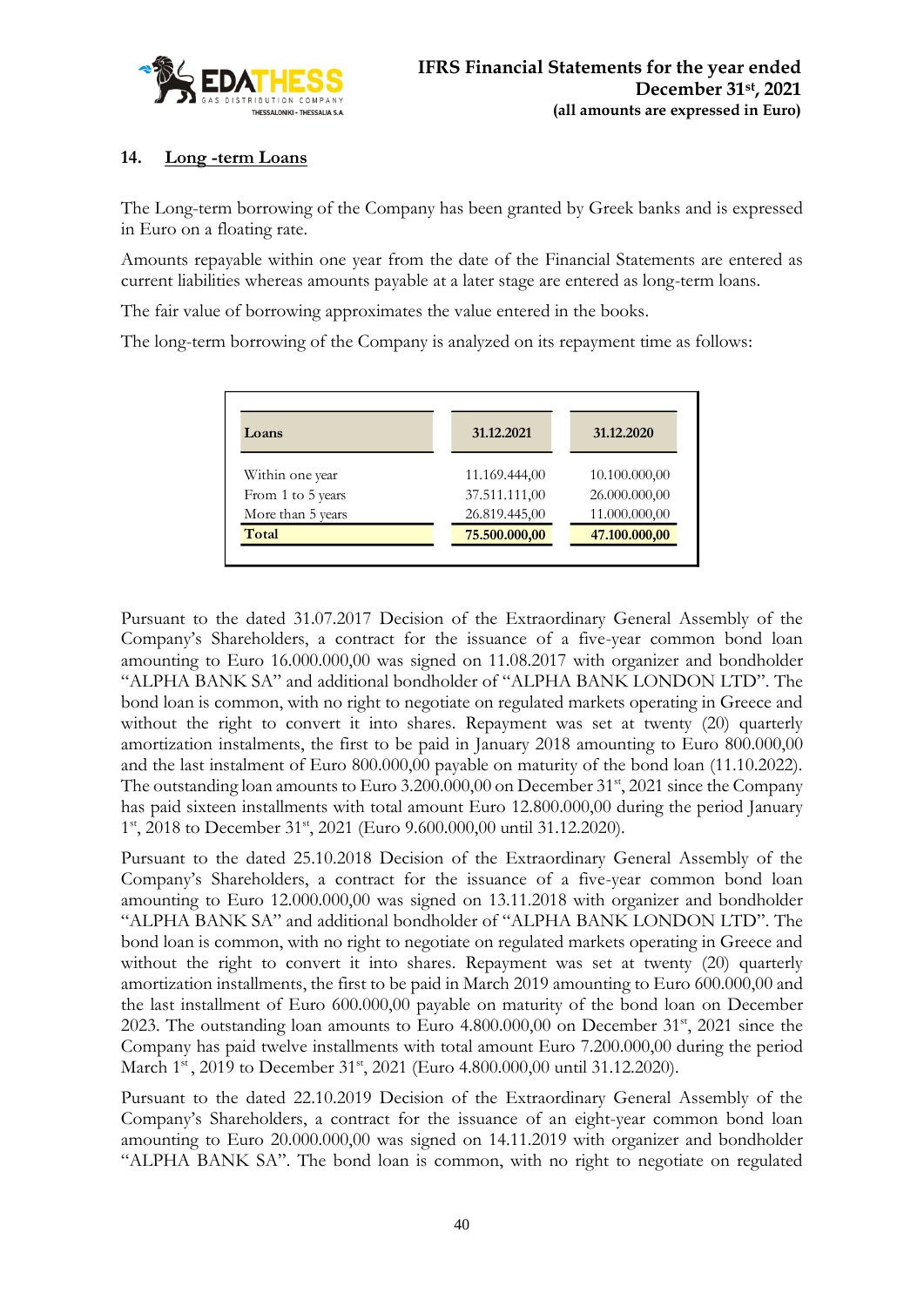

# **14. Long -term Loans**

The Long-term borrowing of the Company has been granted by Greek banks and is expressed in Euro on a floating rate.

Amounts repayable within one year from the date of the Financial Statements are entered as current liabilities whereas amounts payable at a later stage are entered as long-term loans.

The fair value of borrowing approximates the value entered in the books.

The long-term borrowing of the Company is analyzed on its repayment time as follows:

| Loans             | 31.12.2021    | 31.12.2020    |
|-------------------|---------------|---------------|
| Within one year   | 11.169.444,00 | 10.100.000,00 |
| From 1 to 5 years | 37.511.111,00 | 26.000.000,00 |
| More than 5 years | 26.819.445,00 | 11.000.000,00 |
| Total             | 75.500.000,00 | 47.100.000,00 |

Pursuant to the dated 31.07.2017 Decision of the Extraordinary General Assembly of the Company's Shareholders, a contract for the issuance of a five-year common bond loan amounting to Euro 16.000.000,00 was signed on 11.08.2017 with organizer and bondholder "ALPHA BANK SA" and additional bondholder of "ALPHA BANK LONDON LTD". The bond loan is common, with no right to negotiate on regulated markets operating in Greece and without the right to convert it into shares. Repayment was set at twenty (20) quarterly amortization instalments, the first to be paid in January 2018 amounting to Euro 800.000,00 and the last instalment of Euro 800.000,00 payable on maturity of the bond loan (11.10.2022). The outstanding loan amounts to Euro 3.200.000,00 on December 31<sup>st</sup>, 2021 since the Company has paid sixteen installments with total amount Euro 12.800.000,00 during the period January 1<sup>st</sup>, 2018 to December 31<sup>st</sup>, 2021 (Euro 9.600.000,00 until 31.12.2020).

Pursuant to the dated 25.10.2018 Decision of the Extraordinary General Assembly of the Company's Shareholders, a contract for the issuance of a five-year common bond loan amounting to Euro 12.000.000,00 was signed on 13.11.2018 with organizer and bondholder "ALPHA BANK SA" and additional bondholder of "ALPHA BANK LONDON LTD". The bond loan is common, with no right to negotiate on regulated markets operating in Greece and without the right to convert it into shares. Repayment was set at twenty (20) quarterly amortization installments, the first to be paid in March 2019 amounting to Euro 600.000,00 and the last installment of Euro 600.000,00 payable on maturity of the bond loan on December 2023. The outstanding loan amounts to Euro  $4.800.000,00$  on December  $31<sup>st</sup>$ , 2021 since the Company has paid twelve installments with total amount Euro 7.200.000,00 during the period March 1<sup>st</sup>, 2019 to December 31<sup>st</sup>, 2021 (Euro 4.800.000,00 until 31.12.2020).

Pursuant to the dated 22.10.2019 Decision of the Extraordinary General Assembly of the Company's Shareholders, a contract for the issuance of an eight-year common bond loan amounting to Euro 20.000.000,00 was signed on 14.11.2019 with organizer and bondholder "ALPHA BANK SA". The bond loan is common, with no right to negotiate on regulated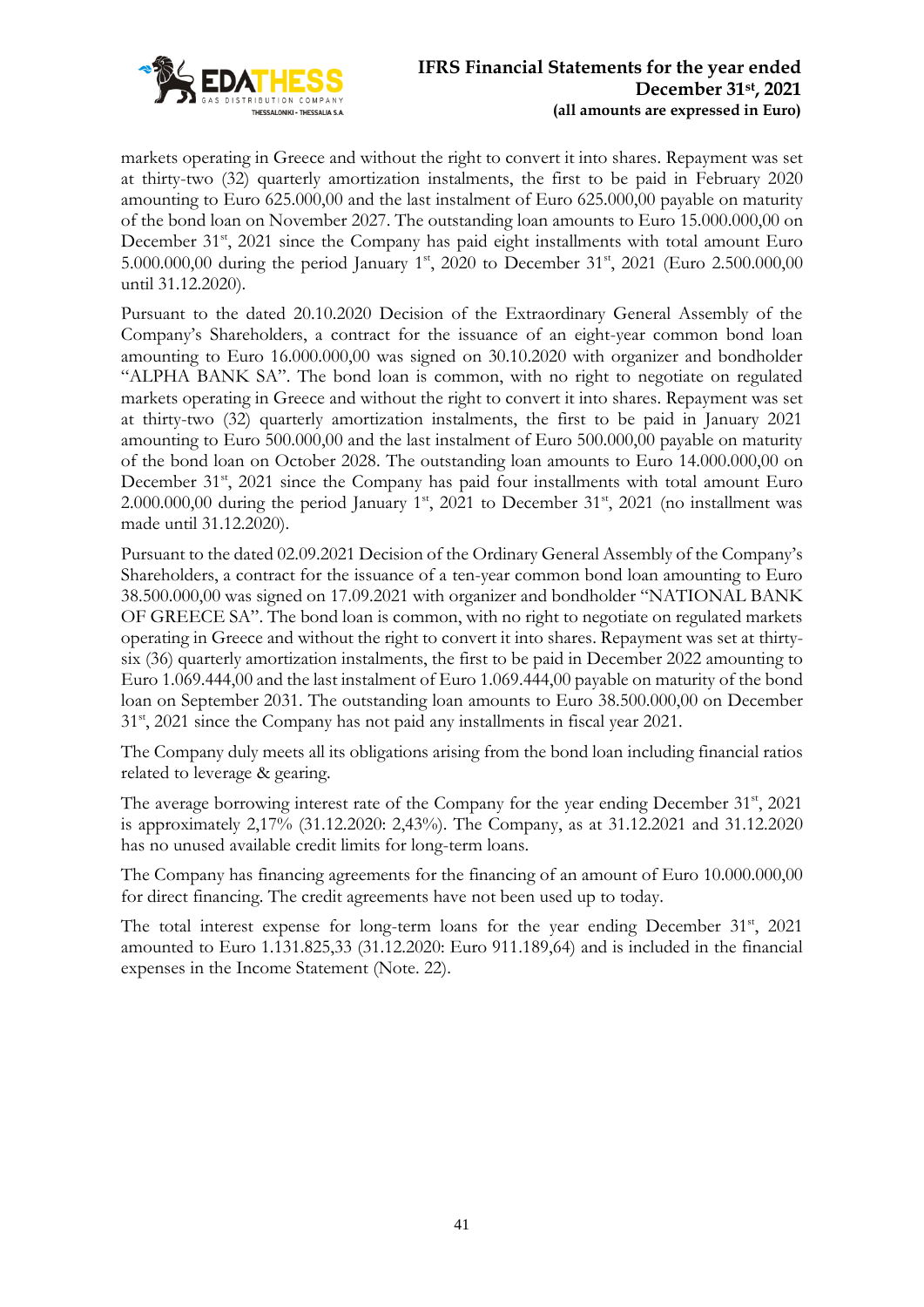

markets operating in Greece and without the right to convert it into shares. Repayment was set at thirty-two (32) quarterly amortization instalments, the first to be paid in February 2020 amounting to Euro 625.000,00 and the last instalment of Euro 625.000,00 payable on maturity of the bond loan on November 2027. The outstanding loan amounts to Euro 15.000.000,00 on December 31<sup>st</sup>, 2021 since the Company has paid eight installments with total amount Euro 5.000.000,00 during the period January 1<sup>st</sup>, 2020 to December 31<sup>st</sup>, 2021 (Euro 2.500.000,00 until 31.12.2020).

Pursuant to the dated 20.10.2020 Decision of the Extraordinary General Assembly of the Company's Shareholders, a contract for the issuance of an eight-year common bond loan amounting to Euro 16.000.000,00 was signed on 30.10.2020 with organizer and bondholder "ALPHA BANK SA". The bond loan is common, with no right to negotiate on regulated markets operating in Greece and without the right to convert it into shares. Repayment was set at thirty-two (32) quarterly amortization instalments, the first to be paid in January 2021 amounting to Euro 500.000,00 and the last instalment of Euro 500.000,00 payable on maturity of the bond loan on October 2028. The outstanding loan amounts to Euro 14.000.000,00 on December 31<sup>st</sup>, 2021 since the Company has paid four installments with total amount Euro 2.000.000,00 during the period January  $1<sup>st</sup>$ , 2021 to December 31 $<sup>st</sup>$ , 2021 (no installment was</sup> made until 31.12.2020).

Pursuant to the dated 02.09.2021 Decision of the Ordinary General Assembly of the Company's Shareholders, a contract for the issuance of a ten-year common bond loan amounting to Euro 38.500.000,00 was signed on 17.09.2021 with organizer and bondholder "NATIONAL BANK OF GREECE SA". The bond loan is common, with no right to negotiate on regulated markets operating in Greece and without the right to convert it into shares. Repayment was set at thirtysix (36) quarterly amortization instalments, the first to be paid in December 2022 amounting to Euro 1.069.444,00 and the last instalment of Euro 1.069.444,00 payable on maturity of the bond loan on September 2031. The outstanding loan amounts to Euro 38.500.000,00 on December 31<sup>st</sup>, 2021 since the Company has not paid any installments in fiscal year 2021.

The Company duly meets all its obligations arising from the bond loan including financial ratios related to leverage & gearing.

The average borrowing interest rate of the Company for the year ending December 31<sup>st</sup>, 2021 is approximately 2,17% (31.12.2020: 2,43%). The Company, as at 31.12.2021 and 31.12.2020 has no unused available credit limits for long-term loans.

The Company has financing agreements for the financing of an amount of Euro 10.000.000,00 for direct financing. The credit agreements have not been used up to today.

The total interest expense for long-term loans for the year ending December 31<sup>st</sup>, 2021 amounted to Euro 1.131.825,33 (31.12.2020: Euro 911.189,64) and is included in the financial expenses in the Income Statement (Note. 22).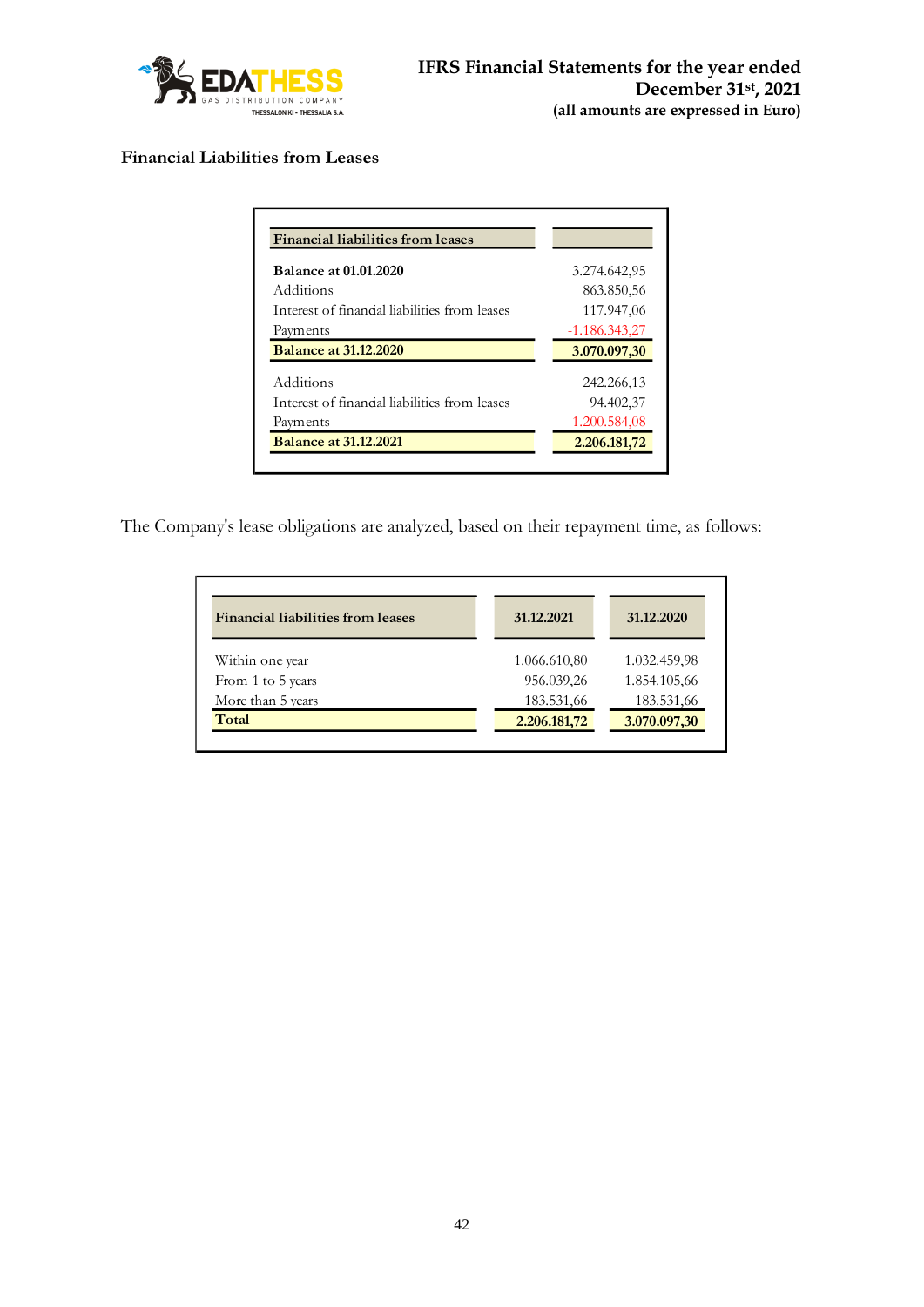

# **Financial Liabilities from Leases**

| <b>Balance at 01.01.2020</b>                  |                 |
|-----------------------------------------------|-----------------|
|                                               | 3.274.642,95    |
| Additions                                     | 863.850,56      |
| Interest of financial liabilities from leases | 117.947,06      |
| Payments                                      | $-1.186.343,27$ |
| <b>Balance at 31.12.2020</b>                  | 3.070.097,30    |
| Additions                                     | 242.266,13      |
| Interest of financial liabilities from leases | 94.402,37       |
| Payments                                      | $-1.200.584,08$ |
|                                               |                 |

The Company's lease obligations are analyzed, based on their repayment time, as follows:

| <b>Financial liabilities from leases</b> | 31.12.2021   | 31.12.2020   |
|------------------------------------------|--------------|--------------|
| Within one year                          | 1.066.610,80 | 1.032.459,98 |
| From 1 to 5 years                        | 956.039,26   | 1.854.105,66 |
| More than 5 years                        | 183.531,66   | 183.531,66   |
| Total                                    | 2.206.181,72 | 3.070.097,30 |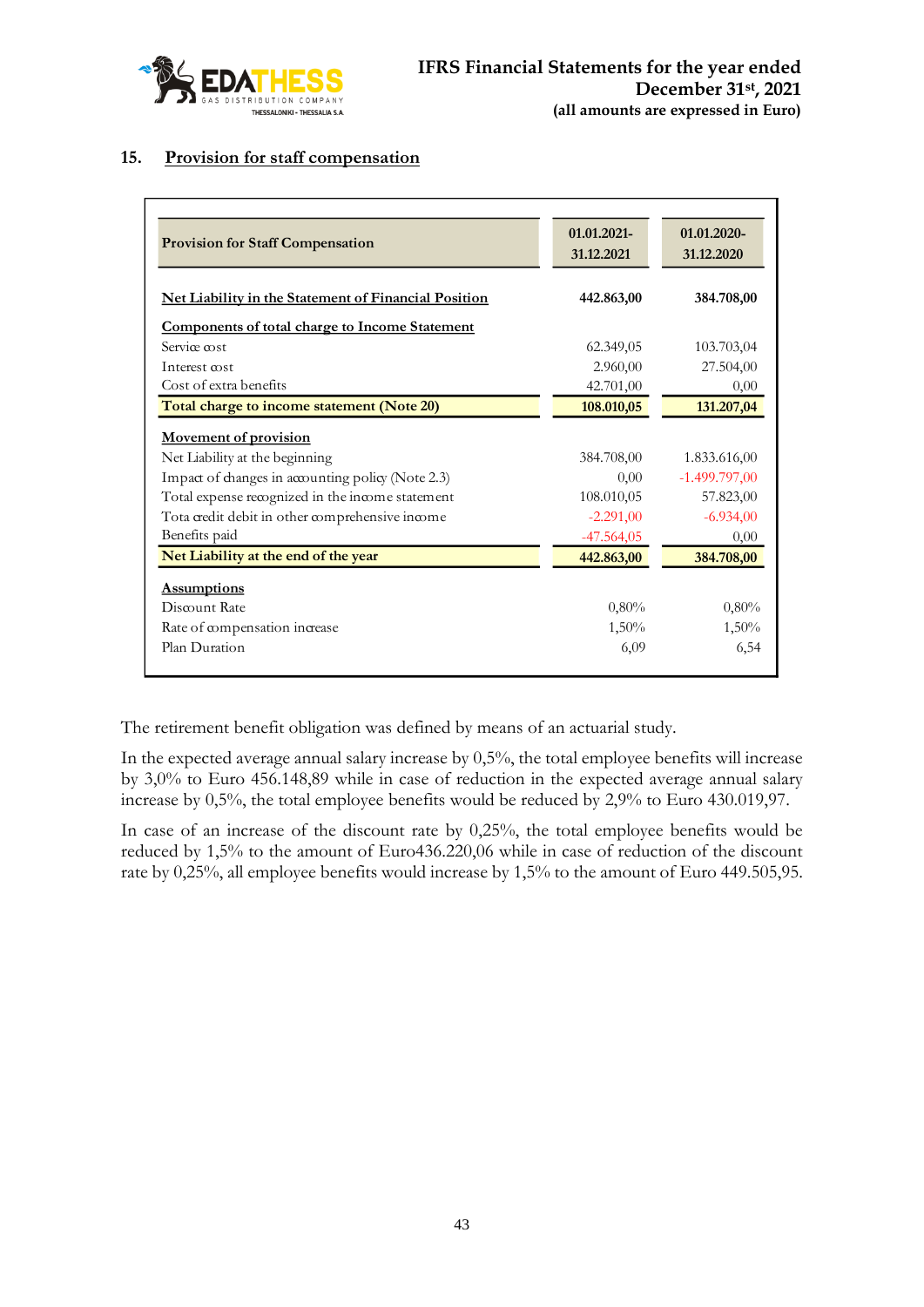

### **15. Provision for staff compensation**

| <b>Provision for Staff Compensation</b>                     | 01.01.2021-<br>31.12.2021 | 01.01.2020-<br>31.12.2020 |
|-------------------------------------------------------------|---------------------------|---------------------------|
| <b>Net Liability in the Statement of Financial Position</b> | 442.863,00                | 384.708,00                |
| <b>Components of total charge to Income Statement</b>       |                           |                           |
| Service cost                                                | 62.349,05                 | 103.703,04                |
| Interest cost                                               | 2.960,00                  | 27.504,00                 |
| Cost of extra benefits                                      | 42.701,00                 | 0,00                      |
| Total charge to income statement (Note 20)                  | 108.010,05                | 131.207,04                |
| <b>Movement of provision</b>                                |                           |                           |
| Net Liability at the beginning                              | 384.708,00                | 1.833.616,00              |
| Impact of changes in accounting policy (Note 2.3)           | 0.00                      | $-1.499.797,00$           |
| Total expense recognized in the income statement            | 108.010,05                | 57.823,00                 |
| Tota credit debit in other comprehensive income             | $-2.291,00$               | $-6.934,00$               |
| Benefits paid                                               | $-47.564,05$              | 0,00                      |
| Net Liability at the end of the year                        | 442.863,00                | 384.708,00                |
| <b>Assumptions</b>                                          |                           |                           |
| Discount Rate                                               | 0,80%                     | 0.80%                     |
| Rate of compensation increase                               | $1,50\%$                  | 1,50%                     |
| Plan Duration                                               | 6,09                      | 6,54                      |

The retirement benefit obligation was defined by means of an actuarial study.

In the expected average annual salary increase by 0,5%, the total employee benefits will increase by 3,0% to Euro 456.148,89 while in case of reduction in the expected average annual salary increase by 0,5%, the total employee benefits would be reduced by 2,9% to Euro 430.019,97.

In case of an increase of the discount rate by 0,25%, the total employee benefits would be reduced by 1,5% to the amount of Euro436.220,06 while in case of reduction of the discount rate by 0,25%, all employee benefits would increase by 1,5% to the amount of Euro 449.505,95.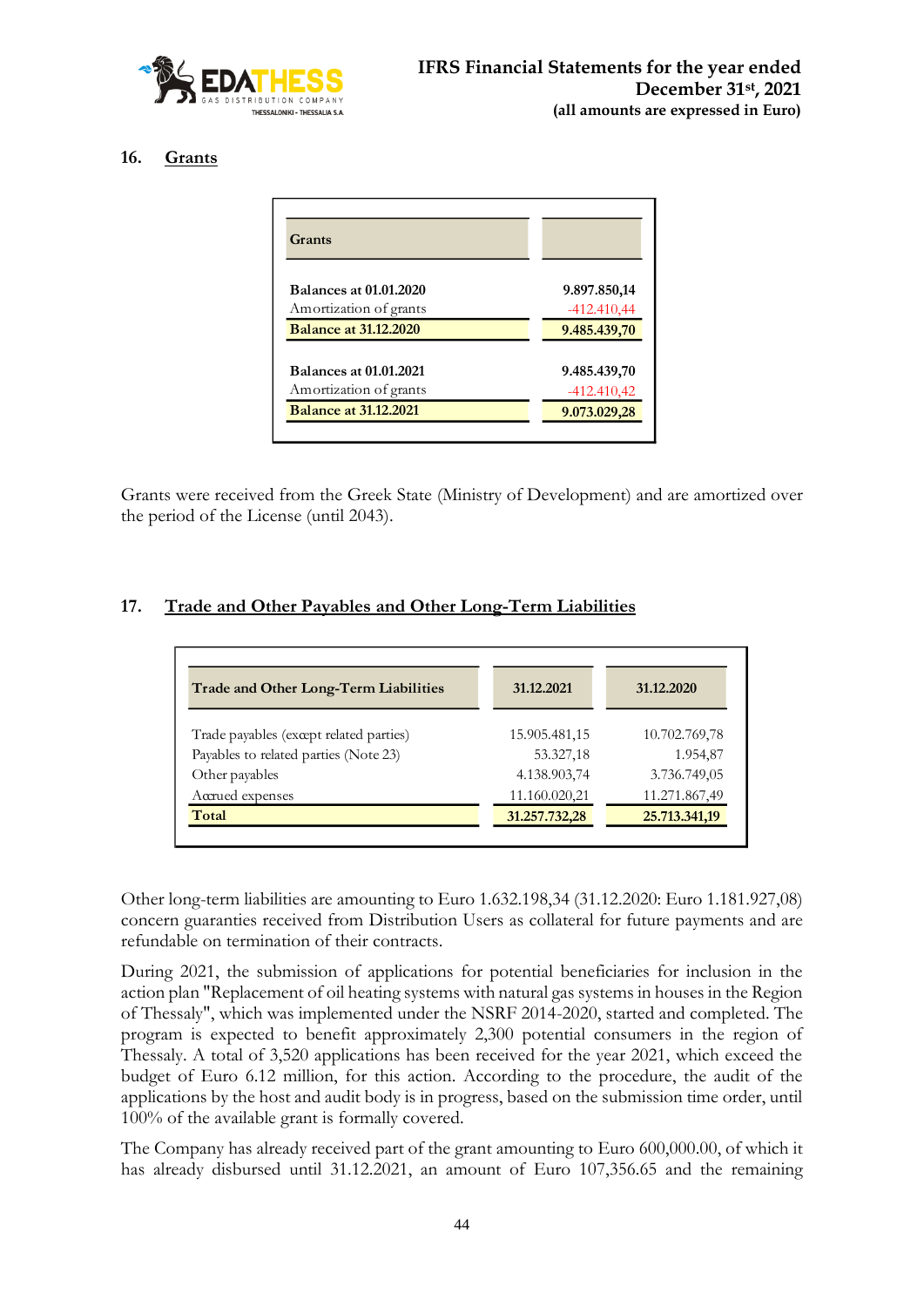

### **16. Grants**

| Grants                        |               |
|-------------------------------|---------------|
| <b>Balances at 01.01.2020</b> | 9.897.850,14  |
| Amortization of grants        | $-412.410,44$ |
| <b>Balance at 31.12.2020</b>  | 9.485.439,70  |
| <b>Balances at 01.01.2021</b> | 9.485.439,70  |
| Amortization of grants        | $-412.410,42$ |
| <b>Balance at 31.12.2021</b>  | 9.073.029,28  |

Grants were received from the Greek State (Ministry of Development) and are amortized over the period of the License (until 2043).

# **17. Trade and Other Payables and Other Long-Term Liabilities**

| Trade and Other Long-Term Liabilities   | 31.12.2021    | 31.12.2020    |
|-----------------------------------------|---------------|---------------|
| Trade payables (except related parties) | 15.905.481,15 | 10.702.769,78 |
| Payables to related parties (Note 23)   | 53.327,18     | 1.954,87      |
| Other payables                          | 4.138.903,74  | 3.736.749,05  |
| Accrued expenses                        | 11.160.020,21 | 11.271.867,49 |
| Total                                   | 31.257.732,28 | 25.713.341,19 |

Other long-term liabilities are amounting to Euro 1.632.198,34 (31.12.2020: Euro 1.181.927,08) concern guaranties received from Distribution Users as collateral for future payments and are refundable on termination of their contracts.

During 2021, the submission of applications for potential beneficiaries for inclusion in the action plan "Replacement of oil heating systems with natural gas systems in houses in the Region of Thessaly", which was implemented under the NSRF 2014-2020, started and completed. The program is expected to benefit approximately 2,300 potential consumers in the region of Thessaly. A total of 3,520 applications has been received for the year 2021, which exceed the budget of Euro 6.12 million, for this action. According to the procedure, the audit of the applications by the host and audit body is in progress, based on the submission time order, until 100% of the available grant is formally covered.

The Company has already received part of the grant amounting to Euro 600,000.00, of which it has already disbursed until 31.12.2021, an amount of Euro 107,356.65 and the remaining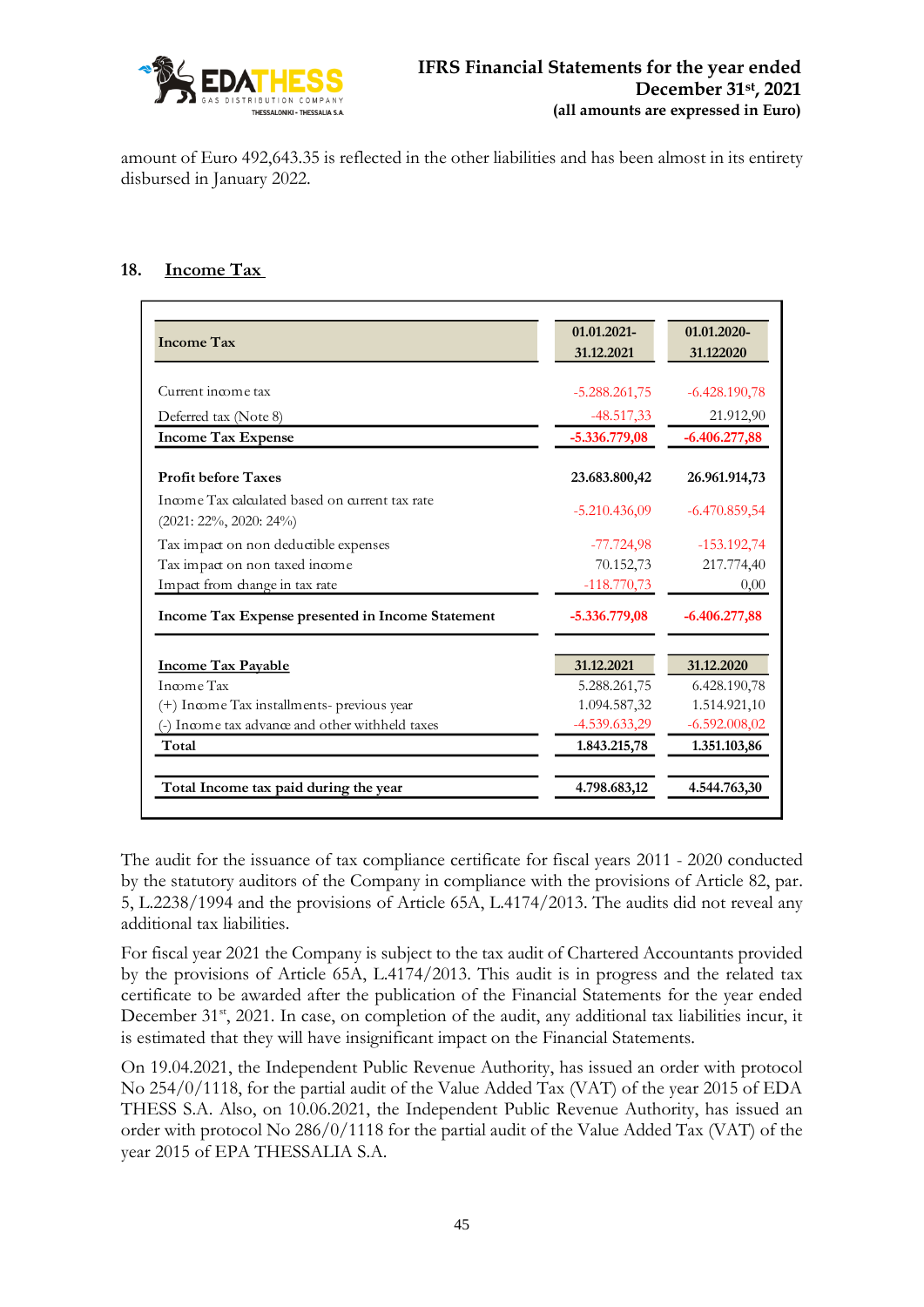

amount of Euro 492,643.35 is reflected in the other liabilities and has been almost in its entirety disbursed in January 2022.

## **18. Income Tax**

| <b>Income Tax</b>                                                             | 01.01.2021-<br>31.12.2021 | 01.01.2020-<br>31.122020 |
|-------------------------------------------------------------------------------|---------------------------|--------------------------|
|                                                                               |                           |                          |
| Current income tax                                                            | $-5.288.261,75$           | $-6.428.190,78$          |
| Deferred tax (Note 8)                                                         | $-48.517,33$              | 21.912,90                |
| <b>Income Tax Expense</b>                                                     | $-5.336.779,08$           | $-6.406.277,88$          |
| <b>Profit before Taxes</b>                                                    | 23.683.800,42             | 26.961.914,73            |
| Income Tax calculated based on current tax rate<br>$(2021: 22\%, 2020: 24\%)$ | $-5.210.436,09$           | $-6.470.859,54$          |
| Tax impact on non deductible expenses                                         | $-77.724.98$              | $-153.192,74$            |
| Tax impact on non taxed income                                                | 70.152,73                 | 217.774,40               |
| Impact from change in tax rate                                                | $-118.770,73$             | 0,00                     |
| Income Tax Expense presented in Income Statement                              | $-5.336.779,08$           | $-6.406.277,88$          |
| <b>Income Tax Payable</b>                                                     | 31.12.2021                | 31.12.2020               |
| Income Tax                                                                    | 5.288.261,75              | 6.428.190,78             |
| (+) Income Tax installments- previous year                                    | 1.094.587,32              | 1.514.921,10             |
| (-) Income tax advance and other withheld taxes                               | $-4.539.633,29$           | $-6.592.008,02$          |
| Total                                                                         | 1.843.215,78              | 1.351.103,86             |
| Total Income tax paid during the year                                         | 4.798.683,12              | 4.544.763,30             |

The audit for the issuance of tax compliance certificate for fiscal years 2011 - 2020 conducted by the statutory auditors of the Company in compliance with the provisions of Article 82, par. 5, L.2238/1994 and the provisions of Article 65A, L.4174/2013. The audits did not reveal any additional tax liabilities.

For fiscal year 2021 the Company is subject to the tax audit of Chartered Accountants provided by the provisions of Article 65A, L.4174/2013. This audit is in progress and the related tax certificate to be awarded after the publication of the Financial Statements for the year ended December 31<sup>st</sup>, 2021. In case, on completion of the audit, any additional tax liabilities incur, it is estimated that they will have insignificant impact on the Financial Statements.

On 19.04.2021, the Independent Public Revenue Authority, has issued an order with protocol No 254/0/1118, for the partial audit of the Value Added Tax (VAT) of the year 2015 of EDA THESS S.A. Also, on 10.06.2021, the Independent Public Revenue Authority, has issued an order with protocol No 286/0/1118 for the partial audit of the Value Added Tax (VAT) of the year 2015 of EPA THESSALIA S.A.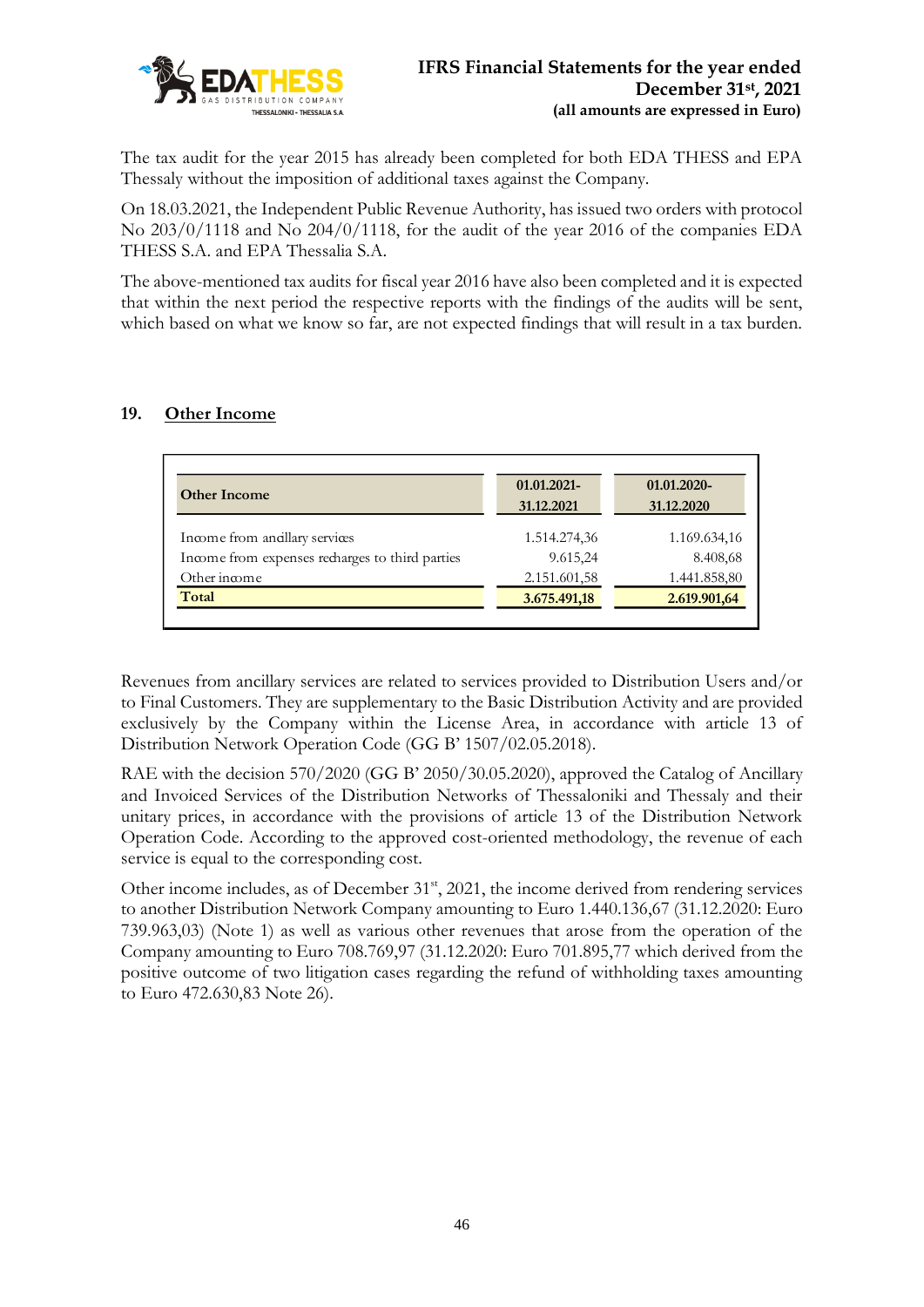

The tax audit for the year 2015 has already been completed for both EDA THESS and EPA Thessaly without the imposition of additional taxes against the Company.

On 18.03.2021, the Independent Public Revenue Authority, has issued two orders with protocol No 203/0/1118 and No 204/0/1118, for the audit of the year 2016 of the companies EDA THESS S.A. and EPA Thessalia S.A.

The above-mentioned tax audits for fiscal year 2016 have also been completed and it is expected that within the next period the respective reports with the findings of the audits will be sent, which based on what we know so far, are not expected findings that will result in a tax burden.

# **19. Other Income**

| <b>Other Income</b>                             | 01.01.2021-  | 01.01.2020-  |
|-------------------------------------------------|--------------|--------------|
|                                                 | 31.12.2021   | 31.12.2020   |
| Income from andllary services                   | 1.514.274,36 | 1.169.634,16 |
| Income from expenses recharges to third parties | 9.615,24     | 8.408,68     |
| Other income                                    | 2.151.601,58 | 1.441.858,80 |
| Total                                           | 3.675.491,18 | 2.619.901,64 |

Revenues from ancillary services are related to services provided to Distribution Users and/or to Final Customers. They are supplementary to the Basic Distribution Activity and are provided exclusively by the Company within the License Area, in accordance with article 13 of Distribution Network Operation Code (GG B' 1507/02.05.2018).

RAE with the decision 570/2020 (GG B' 2050/30.05.2020), approved the Catalog of Ancillary and Invoiced Services of the Distribution Networks of Thessaloniki and Thessaly and their unitary prices, in accordance with the provisions of article 13 of the Distribution Network Operation Code. According to the approved cost-oriented methodology, the revenue of each service is equal to the corresponding cost.

Other income includes, as of December 31<sup>st</sup>, 2021, the income derived from rendering services to another Distribution Network Company amounting to Euro 1.440.136,67 (31.12.2020: Euro 739.963,03) (Note 1) as well as various other revenues that arose from the operation of the Company amounting to Euro 708.769,97 (31.12.2020: Euro 701.895,77 which derived from the positive outcome of two litigation cases regarding the refund of withholding taxes amounting to Euro 472.630,83 Note 26).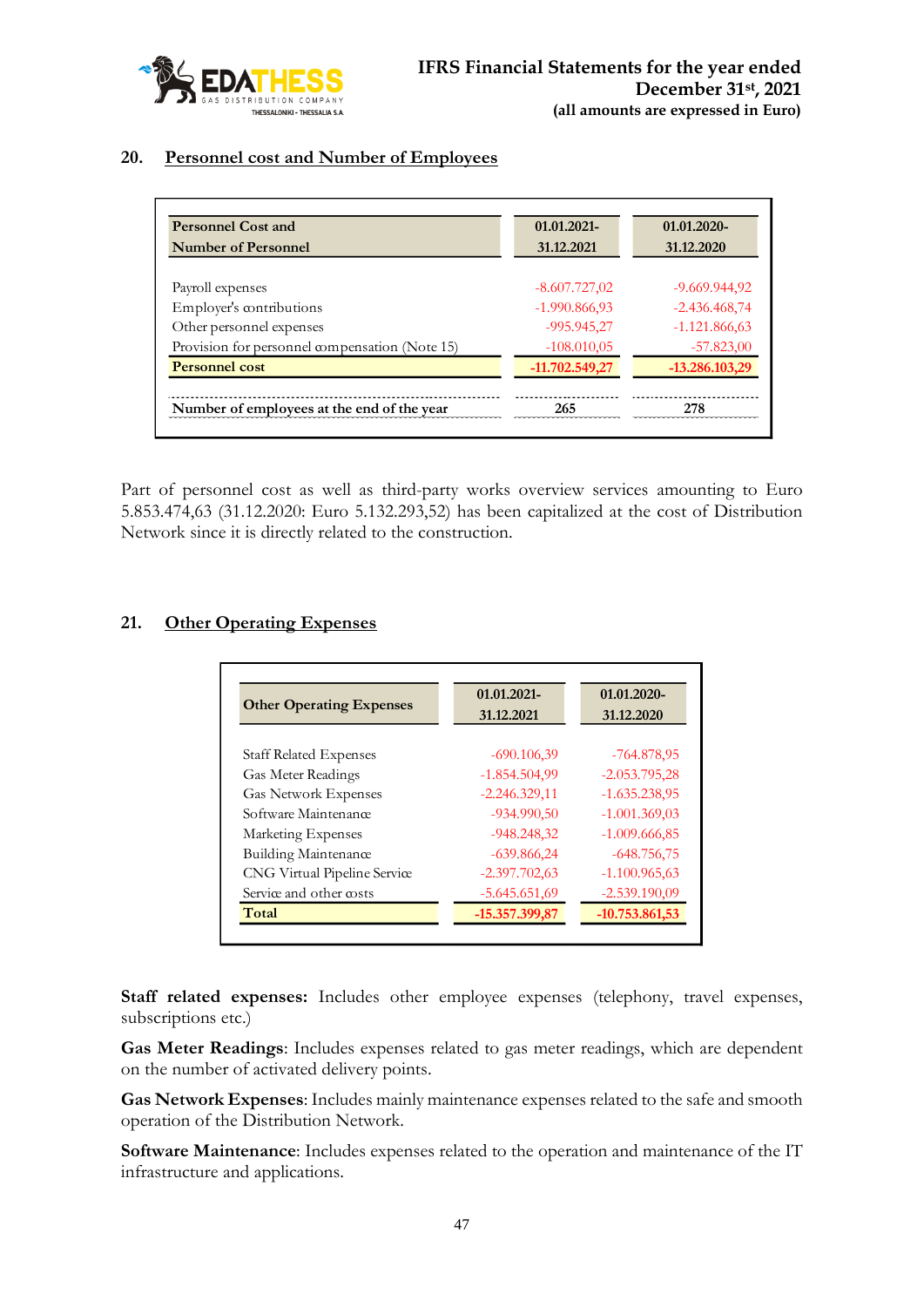

# **20. Personnel cost and Number of Employees**

| <b>Personnel Cost and</b>                      | 01.01.2021-      | 01.01.2020-     |
|------------------------------------------------|------------------|-----------------|
| <b>Number of Personnel</b>                     | 31.12.2021       | 31.12.2020      |
|                                                |                  |                 |
| Payroll expenses                               | $-8.607.727,02$  | $-9.669.944.92$ |
| Employer's contributions                       | $-1.990.866,93$  | $-2.436.468,74$ |
| Other personnel expenses                       | $-995.945.27$    | $-1.121.866,63$ |
| Provision for personnel compensation (Note 15) | $-108.010,05$    | $-57.823,00$    |
| <b>Personnel cost</b>                          | $-11.702.549.27$ | -13.286.103,29  |
|                                                |                  |                 |
| Number of employees at the end of the year     | 265              | 278             |

Part of personnel cost as well as third-party works overview services amounting to Euro 5.853.474,63 (31.12.2020: Euro 5.132.293,52) has been capitalized at the cost of Distribution Network since it is directly related to the construction.

# **21. Other Operating Expenses**

| <b>Other Operating Expenses</b> | 01.01.2021-     | 01.01.2020-      |  |
|---------------------------------|-----------------|------------------|--|
|                                 | 31.12.2021      | 31.12.2020       |  |
| <b>Staff Related Expenses</b>   | $-690.106,39$   | $-764.878.95$    |  |
| Gas Meter Readings              | $-1.854.504.99$ | $-2.053.795,28$  |  |
| <b>Gas Network Expenses</b>     | $-2.246.329,11$ | $-1.635.238,95$  |  |
| Software Maintenance            | $-934.990,50$   | $-1.001.369.03$  |  |
| Marketing Expenses              | $-948.248.32$   | $-1.009.666,85$  |  |
| Building Maintenance            | $-639.86624$    | $-648.756,75$    |  |
| CNG Virtual Pipeline Service    | $-2.397.702.63$ | $-1.100.965,63$  |  |
| Service and other costs         | $-5.645.651,69$ | $-2.539.190,09$  |  |
| Total                           | -15.357.399,87  | $-10.753.861,53$ |  |

Staff related expenses: Includes other employee expenses (telephony, travel expenses, subscriptions etc.)

**Gas Meter Readings**: Includes expenses related to gas meter readings, which are dependent on the number of activated delivery points.

**Gas Network Expenses**: Includes mainly maintenance expenses related to the safe and smooth operation of the Distribution Network.

**Software Maintenance**: Includes expenses related to the operation and maintenance of the IT infrastructure and applications.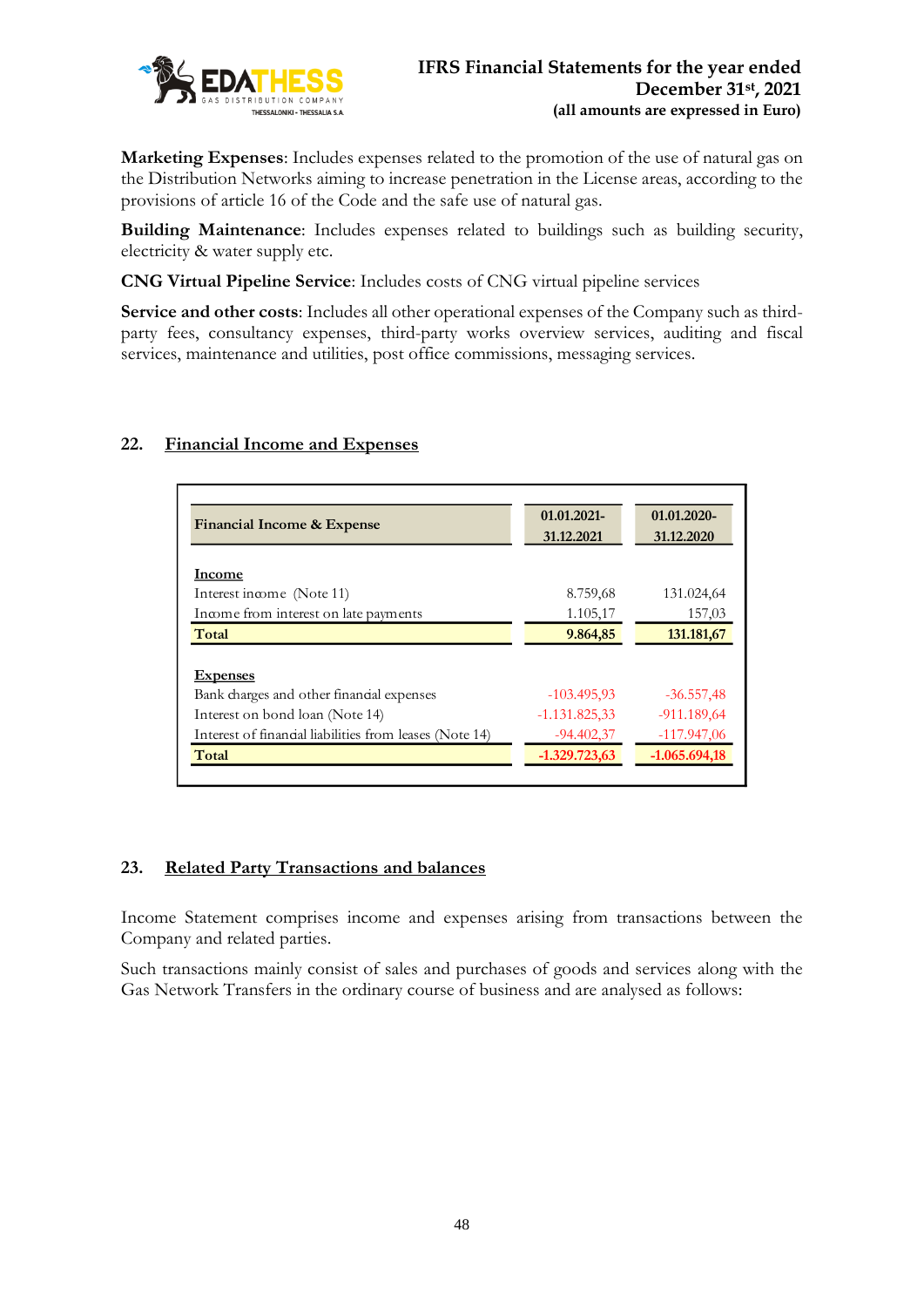

**Marketing Expenses**: Includes expenses related to the promotion of the use of natural gas on the Distribution Networks aiming to increase penetration in the License areas, according to the provisions of article 16 of the Code and the safe use of natural gas.

**Building Maintenance**: Includes expenses related to buildings such as building security, electricity & water supply etc.

**CNG Virtual Pipeline Service**: Includes costs of CNG virtual pipeline services

**Service and other costs**: Includes all other operational expenses of the Company such as thirdparty fees, consultancy expenses, third-party works overview services, auditing and fiscal services, maintenance and utilities, post office commissions, messaging services.

# **22. Financial Income and Expenses**

| Financial Income & Expense                              | 01.01.2021-<br>31.12.2021 | 01.01.2020-<br>31.12.2020 |
|---------------------------------------------------------|---------------------------|---------------------------|
|                                                         |                           |                           |
| Income                                                  |                           |                           |
| Interest income (Note 11)                               | 8.759,68                  | 131.024,64                |
| Income from interest on late payments                   | 1.105,17                  | 157,03                    |
| Total                                                   | 9.864,85                  | 131.181,67                |
| <b>Expenses</b>                                         |                           |                           |
| Bank charges and other financial expenses               | $-103.495.93$             | $-36.557,48$              |
| Interest on bond loan (Note 14)                         | $-1.131.825.33$           | $-911.189.64$             |
| Interest of financial liabilities from leases (Note 14) | $-94.402,37$              | $-117.947,06$             |
| Total                                                   | $-1.329.723.63$           | $-1.065.694,18$           |

### **23. Related Party Transactions and balances**

Income Statement comprises income and expenses arising from transactions between the Company and related parties.

Such transactions mainly consist of sales and purchases of goods and services along with the Gas Network Transfers in the ordinary course of business and are analysed as follows: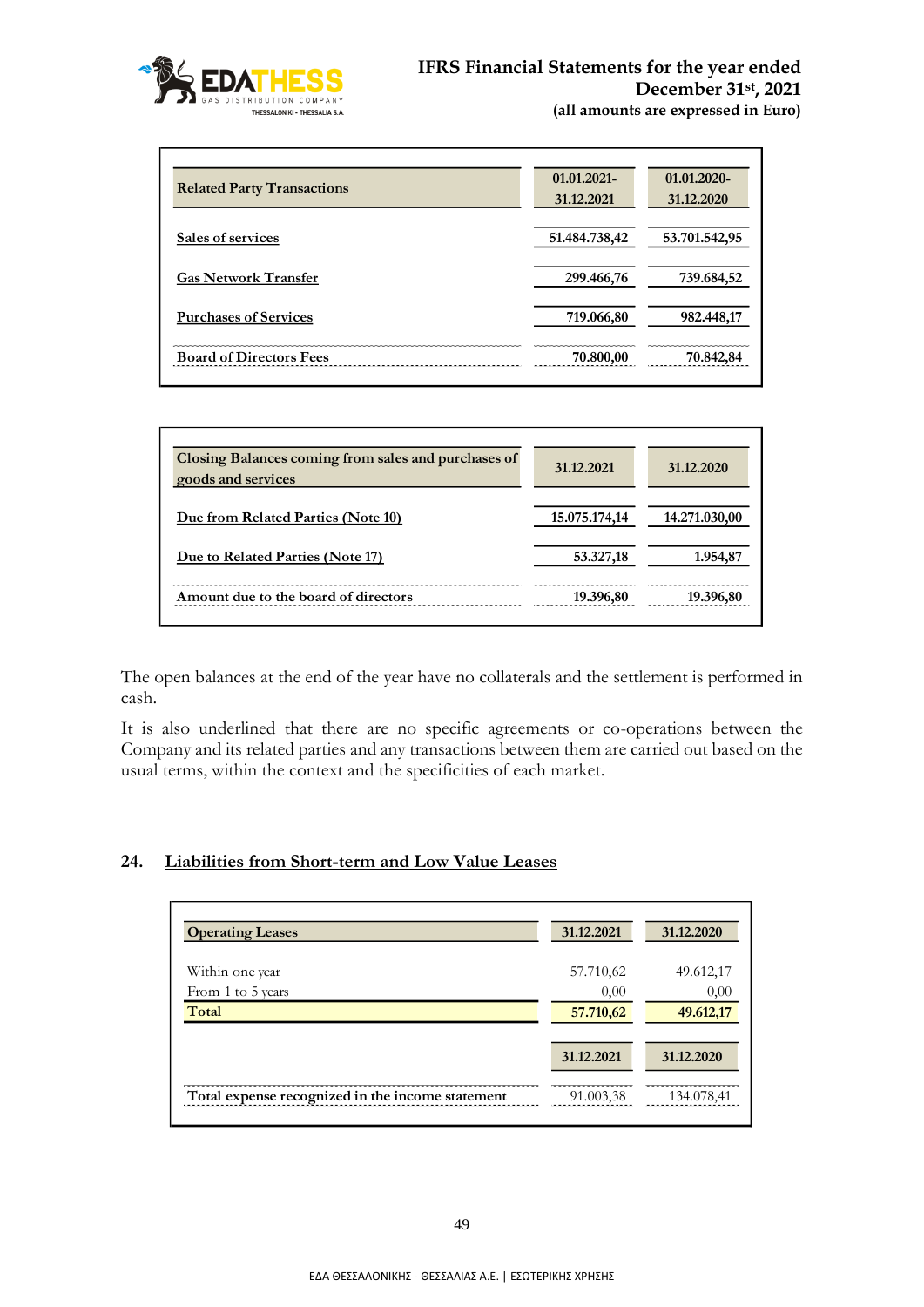

| <b>Related Party Transactions</b> | 01.01.2021-<br>31.12.2021 | $01.01.2020 -$<br>31.12.2020 |
|-----------------------------------|---------------------------|------------------------------|
| Sales of services                 | 51.484.738,42             | 53.701.542,95                |
| <b>Gas Network Transfer</b>       | 299.466,76                | 739.684,52                   |
| <b>Purchases of Services</b>      | 719.066,80                | 982.448,17                   |
| <b>Board of Directors Fees</b>    | 70.800,00                 | 70.842,84                    |

| Closing Balances coming from sales and purchases of<br>goods and services | 31.12.2021    | 31.12.2020    |
|---------------------------------------------------------------------------|---------------|---------------|
| Due from Related Parties (Note 10)                                        | 15.075.174,14 | 14.271.030,00 |
| Due to Related Parties (Note 17)                                          | 53.327,18     | 1.954,87      |
| Amount due to the board of directors                                      | 19.396,80     | 19.396,80     |

The open balances at the end of the year have no collaterals and the settlement is performed in cash.

It is also underlined that there are no specific agreements or co-operations between the Company and its related parties and any transactions between them are carried out based on the usual terms, within the context and the specificities of each market.

### **24. Liabilities from Short-term and Low Value Leases**

| <b>Operating Leases</b>                          | 31.12.2021 | 31.12.2020 |
|--------------------------------------------------|------------|------------|
| Within one year                                  | 57.710,62  | 49.612,17  |
| From 1 to 5 years                                | 0,00       | 0,00       |
| Total                                            | 57.710,62  | 49.612,17  |
|                                                  | 31.12.2021 | 31.12.2020 |
| Total expense recognized in the income statement | 91.003.38  | 134.078.41 |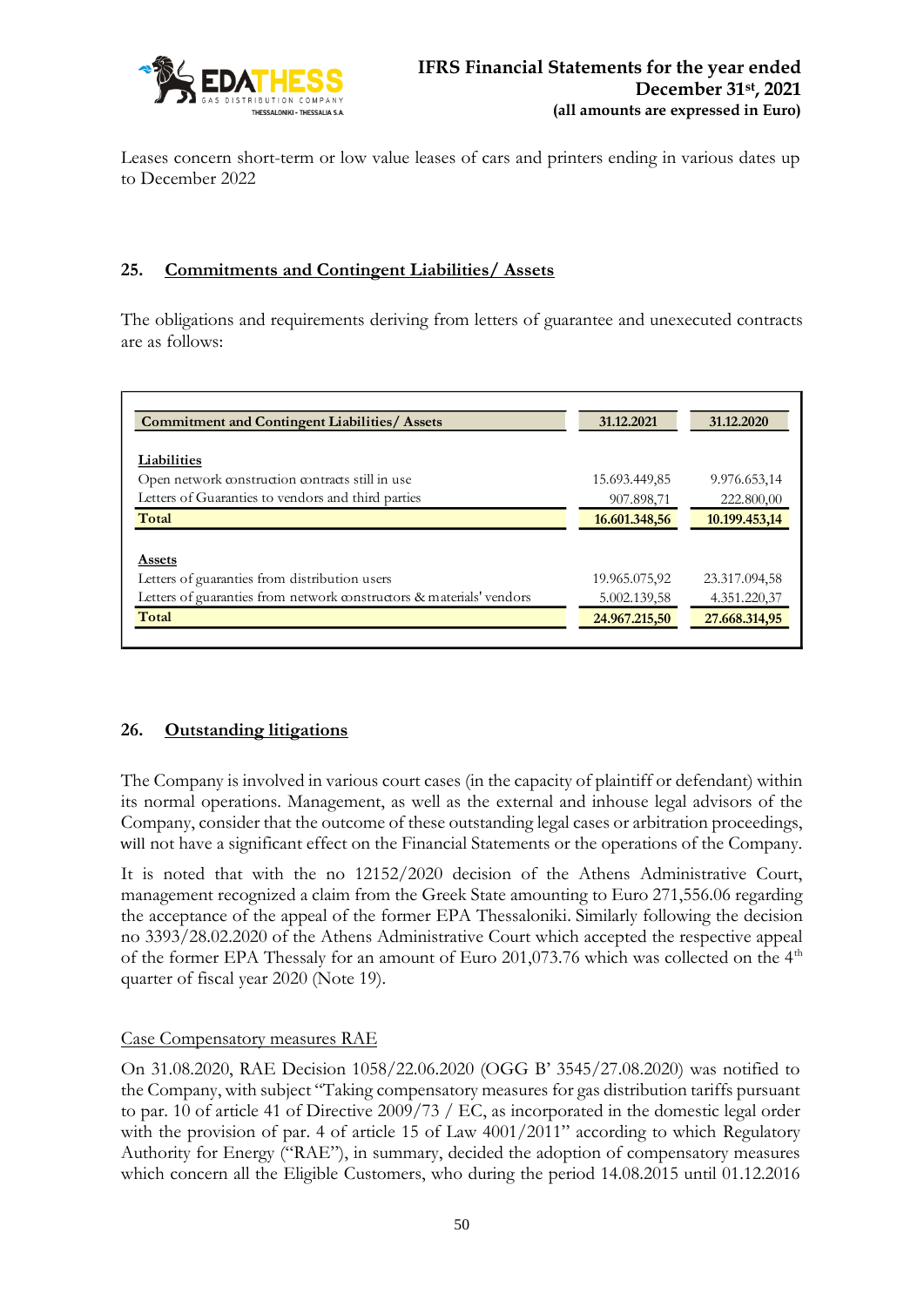

Leases concern short-term or low value leases of cars and printers ending in various dates up to December 2022

# **25. Commitments and Contingent Liabilities/ Assets**

The obligations and requirements deriving from letters of guarantee and unexecuted contracts are as follows:

| <b>Commitment and Contingent Liabilities/ Assets</b>                 | 31.12.2021    | 31.12.2020    |
|----------------------------------------------------------------------|---------------|---------------|
| Liabilities                                                          |               |               |
| Open network construction contracts still in use                     | 15.693.449,85 | 9.976.653,14  |
| Letters of Guaranties to vendors and third parties                   | 907.898,71    | 222.800,00    |
| Total                                                                | 16.601.348,56 | 10.199.453,14 |
|                                                                      |               |               |
| <b>Assets</b>                                                        |               |               |
| Letters of guaranties from distribution users                        | 19.965.075,92 | 23.317.094,58 |
| Letters of guaranties from network constructors & materials' vendors | 5.002.139,58  | 4.351.220,37  |
| Total                                                                | 24.967.215,50 | 27.668.314,95 |

### **26. Outstanding litigations**

The Company is involved in various court cases (in the capacity of plaintiff or defendant) within its normal operations. Management, as well as the external and inhouse legal advisors of the Company, consider that the outcome of these outstanding legal cases or arbitration proceedings, will not have a significant effect on the Financial Statements or the operations of the Company.

It is noted that with the no 12152/2020 decision of the Athens Administrative Court, management recognized a claim from the Greek State amounting to Euro 271,556.06 regarding the acceptance of the appeal of the former EPA Thessaloniki. Similarly following the decision no 3393/28.02.2020 of the Athens Administrative Court which accepted the respective appeal of the former EPA Thessaly for an amount of Euro 201,073.76 which was collected on the  $4<sup>th</sup>$ quarter of fiscal year 2020 (Note 19).

### Case Compensatory measures RAE

On 31.08.2020, RAE Decision 1058/22.06.2020 (OGG B' 3545/27.08.2020) was notified to the Company, with subject "Taking compensatory measures for gas distribution tariffs pursuant to par. 10 of article 41 of Directive 2009/73 / EC, as incorporated in the domestic legal order with the provision of par. 4 of article 15 of Law 4001/2011" according to which Regulatory Authority for Energy ("RAE"), in summary, decided the adoption of compensatory measures which concern all the Eligible Customers, who during the period 14.08.2015 until 01.12.2016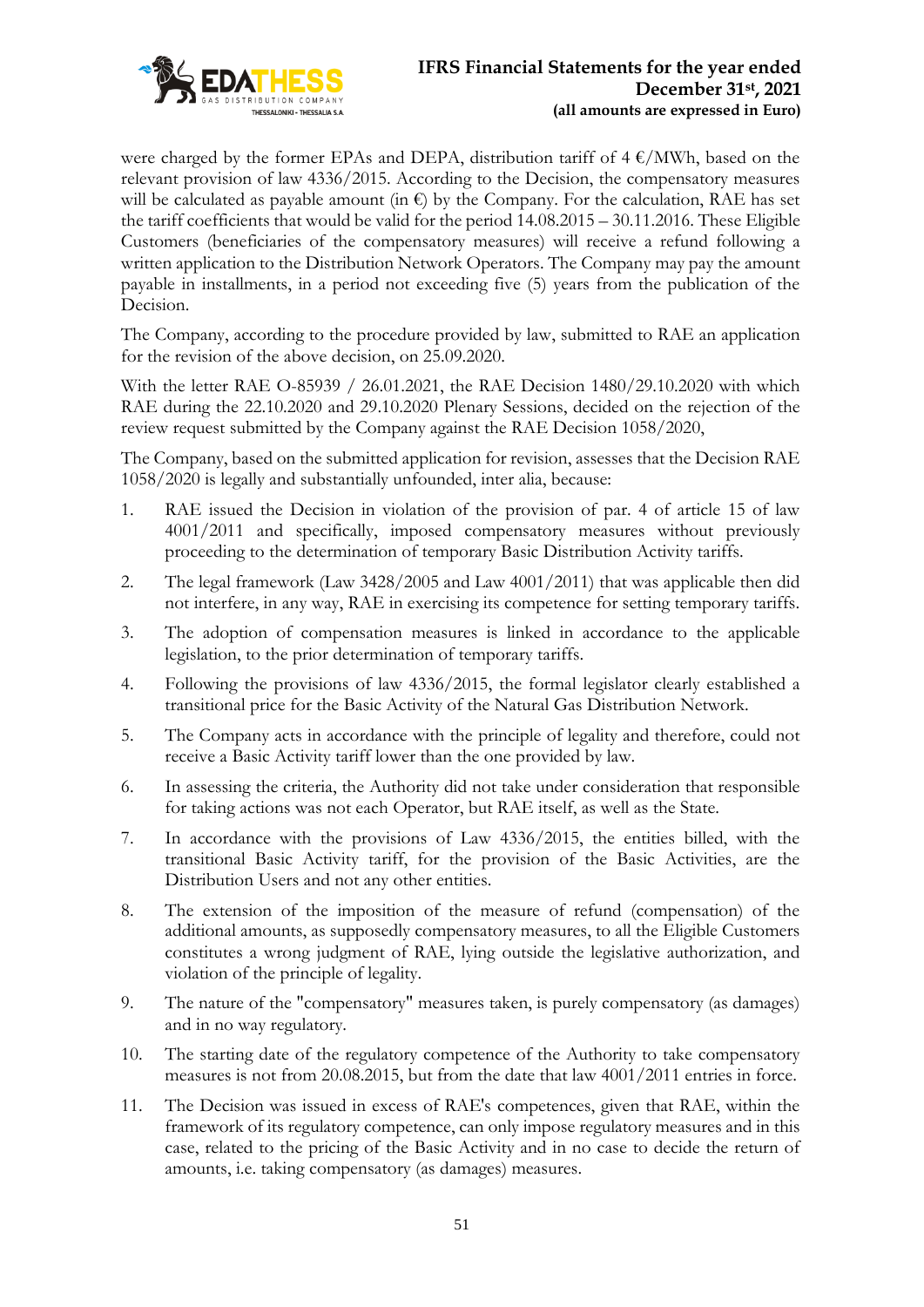

were charged by the former EPAs and DEPA, distribution tariff of  $4 \text{ }\epsilon/\text{MWh}$ , based on the relevant provision of law 4336/2015. According to the Decision, the compensatory measures will be calculated as payable amount (in  $\epsilon$ ) by the Company. For the calculation, RAE has set the tariff coefficients that would be valid for the period 14.08.2015 – 30.11.2016. These Eligible Customers (beneficiaries of the compensatory measures) will receive a refund following a written application to the Distribution Network Operators. The Company may pay the amount payable in installments, in a period not exceeding five (5) years from the publication of the Decision.

The Company, according to the procedure provided by law, submitted to RAE an application for the revision of the above decision, on 25.09.2020.

With the letter RAE O-85939 / 26.01.2021, the RAE Decision 1480/29.10.2020 with which RAE during the 22.10.2020 and 29.10.2020 Plenary Sessions, decided on the rejection of the review request submitted by the Company against the RAE Decision 1058/2020,

The Company, based on the submitted application for revision, assesses that the Decision RAE 1058/2020 is legally and substantially unfounded, inter alia, because:

- 1. RAE issued the Decision in violation of the provision of par. 4 of article 15 of law 4001/2011 and specifically, imposed compensatory measures without previously proceeding to the determination of temporary Basic Distribution Activity tariffs.
- 2. The legal framework (Law 3428/2005 and Law 4001/2011) that was applicable then did not interfere, in any way, RAE in exercising its competence for setting temporary tariffs.
- 3. The adoption of compensation measures is linked in accordance to the applicable legislation, to the prior determination of temporary tariffs.
- 4. Following the provisions of law 4336/2015, the formal legislator clearly established a transitional price for the Basic Activity of the Natural Gas Distribution Network.
- 5. The Company acts in accordance with the principle of legality and therefore, could not receive a Basic Activity tariff lower than the one provided by law.
- 6. In assessing the criteria, the Authority did not take under consideration that responsible for taking actions was not each Operator, but RAE itself, as well as the State.
- 7. In accordance with the provisions of Law 4336/2015, the entities billed, with the transitional Basic Activity tariff, for the provision of the Basic Activities, are the Distribution Users and not any other entities.
- 8. The extension of the imposition of the measure of refund (compensation) of the additional amounts, as supposedly compensatory measures, to all the Eligible Customers constitutes a wrong judgment of RAE, lying outside the legislative authorization, and violation of the principle of legality.
- 9. The nature of the "compensatory" measures taken, is purely compensatory (as damages) and in no way regulatory.
- 10. The starting date of the regulatory competence of the Authority to take compensatory measures is not from 20.08.2015, but from the date that law 4001/2011 entries in force.
- 11. The Decision was issued in excess of RAE's competences, given that RAE, within the framework of its regulatory competence, can only impose regulatory measures and in this case, related to the pricing of the Basic Activity and in no case to decide the return of amounts, i.e. taking compensatory (as damages) measures.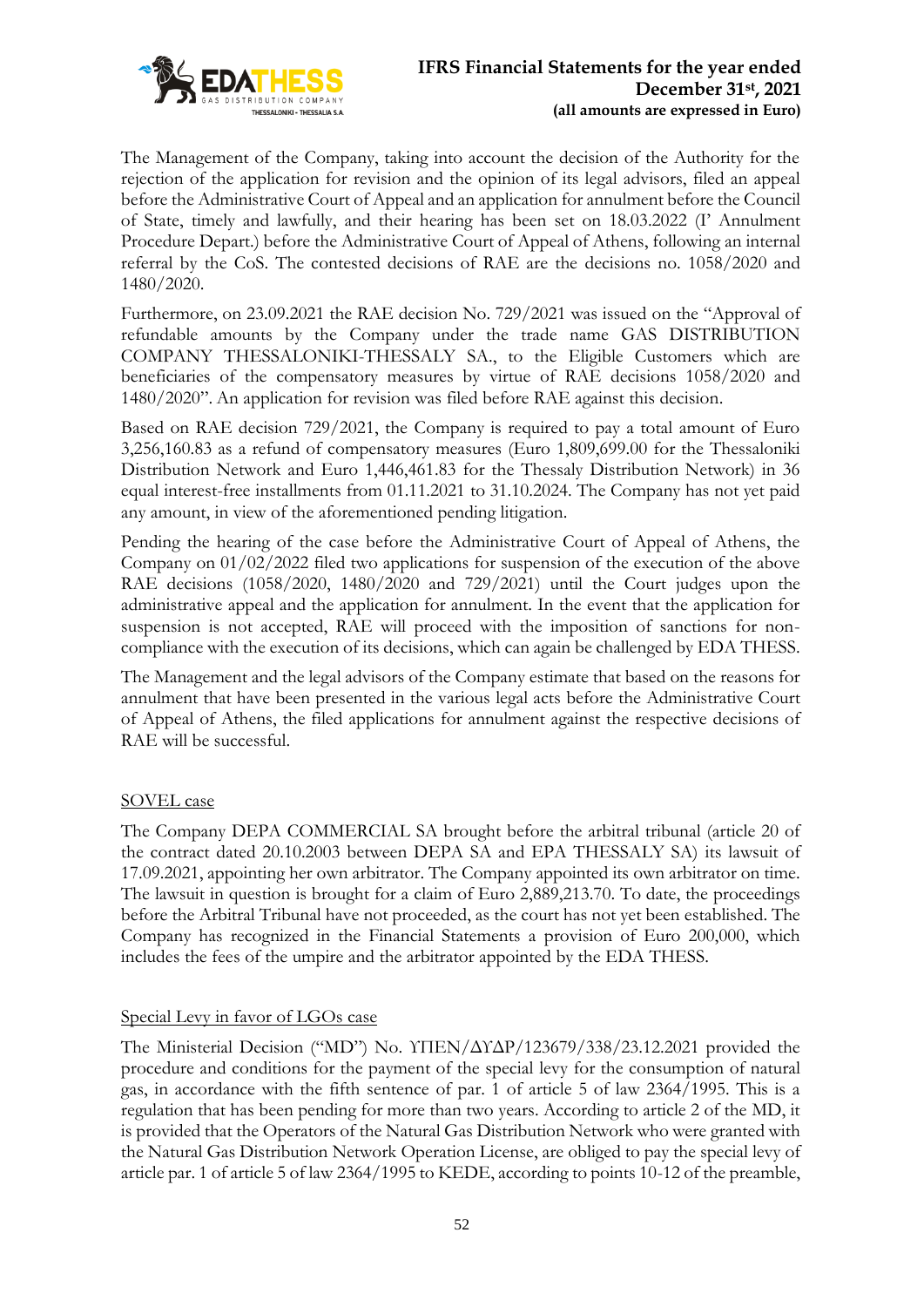

The Management of the Company, taking into account the decision of the Authority for the rejection of the application for revision and the opinion of its legal advisors, filed an appeal before the Administrative Court of Appeal and an application for annulment before the Council of State, timely and lawfully, and their hearing has been set on 18.03.2022 (I' Annulment Procedure Depart.) before the Administrative Court of Appeal of Athens, following an internal referral by the CoS. The contested decisions of RAE are the decisions no. 1058/2020 and 1480/2020.

Furthermore, on 23.09.2021 the RAE decision No. 729/2021 was issued on the "Approval of refundable amounts by the Company under the trade name GAS DISTRIBUTION COMPANY THESSALONIKI-THESSALY SA., to the Eligible Customers which are beneficiaries of the compensatory measures by virtue of RAE decisions 1058/2020 and 1480/2020". An application for revision was filed before RAE against this decision.

Based on RAE decision 729/2021, the Company is required to pay a total amount of Euro 3,256,160.83 as a refund of compensatory measures (Euro 1,809,699.00 for the Thessaloniki Distribution Network and Euro 1,446,461.83 for the Thessaly Distribution Network) in 36 equal interest-free installments from 01.11.2021 to 31.10.2024. The Company has not yet paid any amount, in view of the aforementioned pending litigation.

Pending the hearing of the case before the Administrative Court of Appeal of Athens, the Company on 01/02/2022 filed two applications for suspension of the execution of the above RAE decisions (1058/2020, 1480/2020 and 729/2021) until the Court judges upon the administrative appeal and the application for annulment. In the event that the application for suspension is not accepted, RAE will proceed with the imposition of sanctions for noncompliance with the execution of its decisions, which can again be challenged by EDA THESS.

The Management and the legal advisors of the Company estimate that based on the reasons for annulment that have been presented in the various legal acts before the Administrative Court of Appeal of Athens, the filed applications for annulment against the respective decisions of RAE will be successful.

### SOVEL case

The Company DEPA COMMERCIAL SA brought before the arbitral tribunal (article 20 of the contract dated 20.10.2003 between DEPA SA and EPA THESSALY SA) its lawsuit of 17.09.2021, appointing her own arbitrator. The Company appointed its own arbitrator on time. The lawsuit in question is brought for a claim of Euro 2,889,213.70. To date, the proceedings before the Arbitral Tribunal have not proceeded, as the court has not yet been established. The Company has recognized in the Financial Statements a provision of Euro 200,000, which includes the fees of the umpire and the arbitrator appointed by the EDA THESS.

### Special Levy in favor of LGOs case

The Ministerial Decision ("MD") No. ΥΠΕΝ/ΔΥΔΡ/123679/338/23.12.2021 provided the procedure and conditions for the payment of the special levy for the consumption of natural gas, in accordance with the fifth sentence of par. 1 of article 5 of law 2364/1995. This is a regulation that has been pending for more than two years. According to article 2 of the MD, it is provided that the Operators of the Natural Gas Distribution Network who were granted with the Natural Gas Distribution Network Operation License, are obliged to pay the special levy of article par. 1 of article 5 of law 2364/1995 to KEDE, according to points 10-12 of the preamble,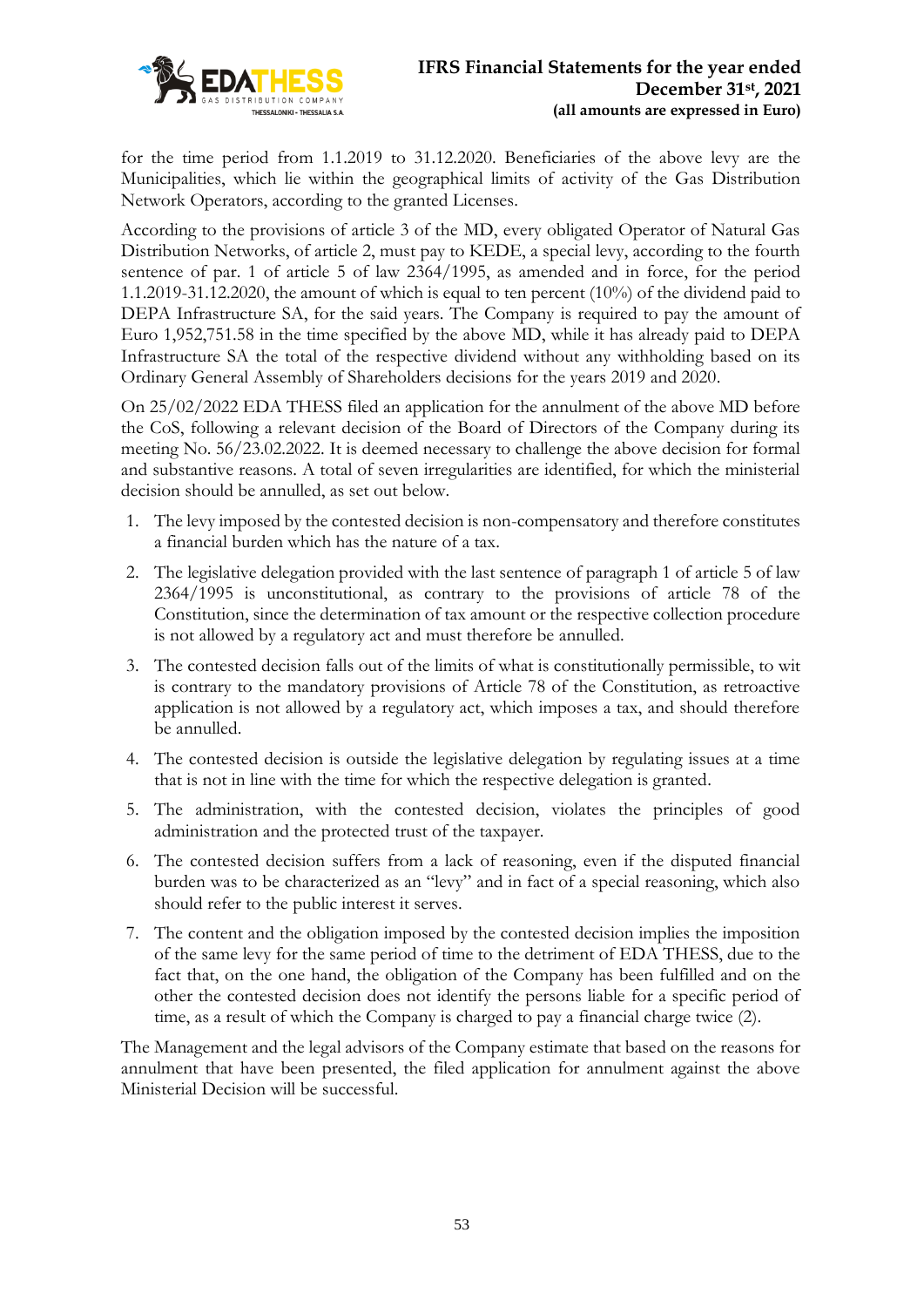

for the time period from 1.1.2019 to 31.12.2020. Beneficiaries of the above levy are the Municipalities, which lie within the geographical limits of activity of the Gas Distribution Network Operators, according to the granted Licenses.

According to the provisions of article 3 of the MD, every obligated Operator of Natural Gas Distribution Networks, of article 2, must pay to KEDE, a special levy, according to the fourth sentence of par. 1 of article 5 of law 2364/1995, as amended and in force, for the period 1.1.2019-31.12.2020, the amount of which is equal to ten percent (10%) of the dividend paid to DEPA Infrastructure SA, for the said years. The Company is required to pay the amount of Euro 1,952,751.58 in the time specified by the above MD, while it has already paid to DEPA Infrastructure SA the total of the respective dividend without any withholding based on its Ordinary General Assembly of Shareholders decisions for the years 2019 and 2020.

On 25/02/2022 EDA THESS filed an application for the annulment of the above MD before the CoS, following a relevant decision of the Board of Directors of the Company during its meeting No. 56/23.02.2022. It is deemed necessary to challenge the above decision for formal and substantive reasons. A total of seven irregularities are identified, for which the ministerial decision should be annulled, as set out below.

- 1. The levy imposed by the contested decision is non-compensatory and therefore constitutes a financial burden which has the nature of a tax.
- 2. The legislative delegation provided with the last sentence of paragraph 1 of article 5 of law 2364/1995 is unconstitutional, as contrary to the provisions of article 78 of the Constitution, since the determination of tax amount or the respective collection procedure is not allowed by a regulatory act and must therefore be annulled.
- 3. The contested decision falls out of the limits of what is constitutionally permissible, to wit is contrary to the mandatory provisions of Article 78 of the Constitution, as retroactive application is not allowed by a regulatory act, which imposes a tax, and should therefore be annulled.
- 4. The contested decision is outside the legislative delegation by regulating issues at a time that is not in line with the time for which the respective delegation is granted.
- 5. The administration, with the contested decision, violates the principles of good administration and the protected trust of the taxpayer.
- 6. The contested decision suffers from a lack of reasoning, even if the disputed financial burden was to be characterized as an "levy" and in fact of a special reasoning, which also should refer to the public interest it serves.
- 7. The content and the obligation imposed by the contested decision implies the imposition of the same levy for the same period of time to the detriment of EDA THESS, due to the fact that, on the one hand, the obligation of the Company has been fulfilled and on the other the contested decision does not identify the persons liable for a specific period of time, as a result of which the Company is charged to pay a financial charge twice (2).

The Management and the legal advisors of the Company estimate that based on the reasons for annulment that have been presented, the filed application for annulment against the above Ministerial Decision will be successful.